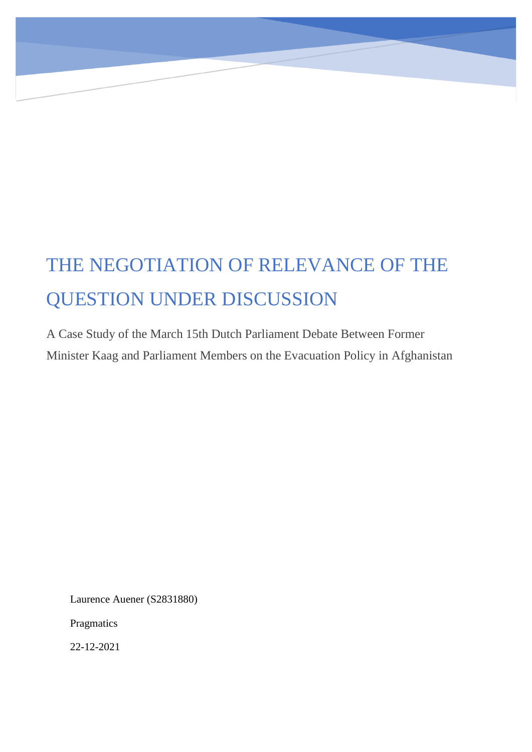# THE NEGOTIATION OF RELEVANCE OF THE QUESTION UNDER DISCUSSION

A Case Study of the March 15th Dutch Parliament Debate Between Former Minister Kaag and Parliament Members on the Evacuation Policy in Afghanistan

Laurence Auener (S2831880)

Pragmatics

22-12-2021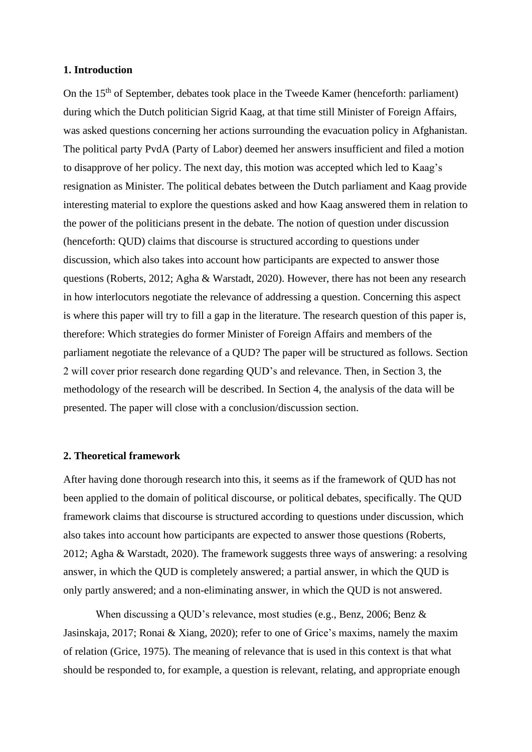## **1. Introduction**

On the 15<sup>th</sup> of September, debates took place in the Tweede Kamer (henceforth: parliament) during which the Dutch politician Sigrid Kaag, at that time still Minister of Foreign Affairs, was asked questions concerning her actions surrounding the evacuation policy in Afghanistan. The political party PvdA (Party of Labor) deemed her answers insufficient and filed a motion to disapprove of her policy. The next day, this motion was accepted which led to Kaag's resignation as Minister. The political debates between the Dutch parliament and Kaag provide interesting material to explore the questions asked and how Kaag answered them in relation to the power of the politicians present in the debate. The notion of question under discussion (henceforth: QUD) claims that discourse is structured according to questions under discussion, which also takes into account how participants are expected to answer those questions (Roberts, 2012; Agha & Warstadt, 2020). However, there has not been any research in how interlocutors negotiate the relevance of addressing a question. Concerning this aspect is where this paper will try to fill a gap in the literature. The research question of this paper is, therefore: Which strategies do former Minister of Foreign Affairs and members of the parliament negotiate the relevance of a QUD? The paper will be structured as follows. Section 2 will cover prior research done regarding QUD's and relevance. Then, in Section 3, the methodology of the research will be described. In Section 4, the analysis of the data will be presented. The paper will close with a conclusion/discussion section.

## **2. Theoretical framework**

After having done thorough research into this, it seems as if the framework of QUD has not been applied to the domain of political discourse, or political debates, specifically. The QUD framework claims that discourse is structured according to questions under discussion, which also takes into account how participants are expected to answer those questions (Roberts, 2012; Agha & Warstadt, 2020). The framework suggests three ways of answering: a resolving answer, in which the QUD is completely answered; a partial answer, in which the QUD is only partly answered; and a non-eliminating answer, in which the QUD is not answered.

When discussing a QUD's relevance, most studies (e.g., Benz, 2006; Benz & Jasinskaja, 2017; Ronai & Xiang, 2020); refer to one of Grice's maxims, namely the maxim of relation (Grice, 1975). The meaning of relevance that is used in this context is that what should be responded to, for example, a question is relevant, relating, and appropriate enough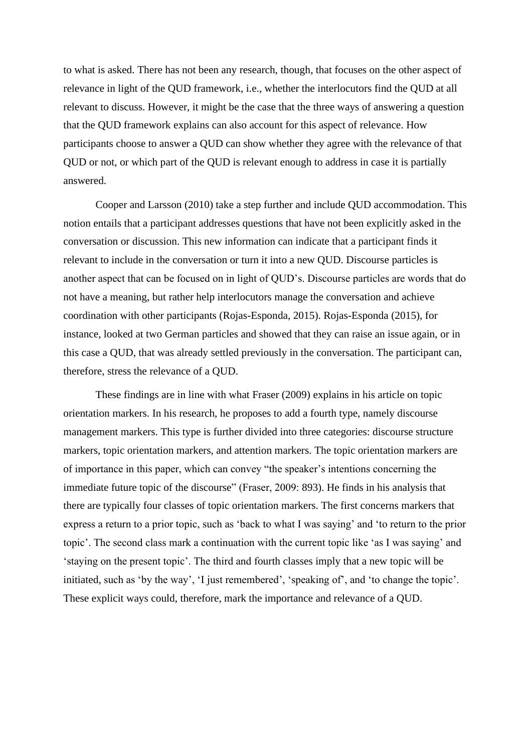to what is asked. There has not been any research, though, that focuses on the other aspect of relevance in light of the QUD framework, i.e., whether the interlocutors find the QUD at all relevant to discuss. However, it might be the case that the three ways of answering a question that the QUD framework explains can also account for this aspect of relevance. How participants choose to answer a QUD can show whether they agree with the relevance of that QUD or not, or which part of the QUD is relevant enough to address in case it is partially answered.

Cooper and Larsson (2010) take a step further and include QUD accommodation. This notion entails that a participant addresses questions that have not been explicitly asked in the conversation or discussion. This new information can indicate that a participant finds it relevant to include in the conversation or turn it into a new QUD. Discourse particles is another aspect that can be focused on in light of QUD's. Discourse particles are words that do not have a meaning, but rather help interlocutors manage the conversation and achieve coordination with other participants (Rojas-Esponda, 2015). Rojas-Esponda (2015), for instance, looked at two German particles and showed that they can raise an issue again, or in this case a QUD, that was already settled previously in the conversation. The participant can, therefore, stress the relevance of a QUD.

These findings are in line with what Fraser (2009) explains in his article on topic orientation markers. In his research, he proposes to add a fourth type, namely discourse management markers. This type is further divided into three categories: discourse structure markers, topic orientation markers, and attention markers. The topic orientation markers are of importance in this paper, which can convey "the speaker's intentions concerning the immediate future topic of the discourse" (Fraser, 2009: 893). He finds in his analysis that there are typically four classes of topic orientation markers. The first concerns markers that express a return to a prior topic, such as 'back to what I was saying' and 'to return to the prior topic'. The second class mark a continuation with the current topic like 'as I was saying' and 'staying on the present topic'. The third and fourth classes imply that a new topic will be initiated, such as 'by the way', 'I just remembered', 'speaking of', and 'to change the topic'. These explicit ways could, therefore, mark the importance and relevance of a QUD.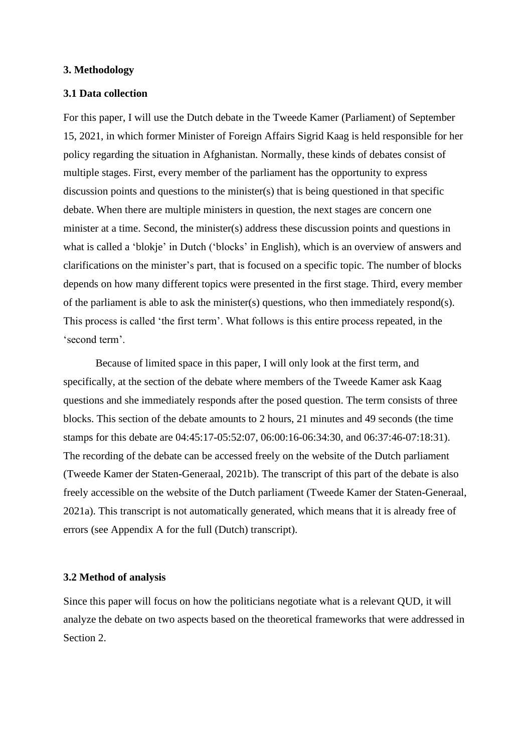## **3. Methodology**

## **3.1 Data collection**

For this paper, I will use the Dutch debate in the Tweede Kamer (Parliament) of September 15, 2021, in which former Minister of Foreign Affairs Sigrid Kaag is held responsible for her policy regarding the situation in Afghanistan. Normally, these kinds of debates consist of multiple stages. First, every member of the parliament has the opportunity to express discussion points and questions to the minister(s) that is being questioned in that specific debate. When there are multiple ministers in question, the next stages are concern one minister at a time. Second, the minister(s) address these discussion points and questions in what is called a 'blokje' in Dutch ('blocks' in English), which is an overview of answers and clarifications on the minister's part, that is focused on a specific topic. The number of blocks depends on how many different topics were presented in the first stage. Third, every member of the parliament is able to ask the minister(s) questions, who then immediately respond(s). This process is called 'the first term'. What follows is this entire process repeated, in the 'second term'.

Because of limited space in this paper, I will only look at the first term, and specifically, at the section of the debate where members of the Tweede Kamer ask Kaag questions and she immediately responds after the posed question. The term consists of three blocks. This section of the debate amounts to 2 hours, 21 minutes and 49 seconds (the time stamps for this debate are 04:45:17-05:52:07, 06:00:16-06:34:30, and 06:37:46-07:18:31). The recording of the debate can be accessed freely on the website of the Dutch parliament (Tweede Kamer der Staten-Generaal, 2021b). The transcript of this part of the debate is also freely accessible on the website of the Dutch parliament (Tweede Kamer der Staten-Generaal, 2021a). This transcript is not automatically generated, which means that it is already free of errors (see Appendix A for the full (Dutch) transcript).

#### **3.2 Method of analysis**

Since this paper will focus on how the politicians negotiate what is a relevant QUD, it will analyze the debate on two aspects based on the theoretical frameworks that were addressed in Section 2.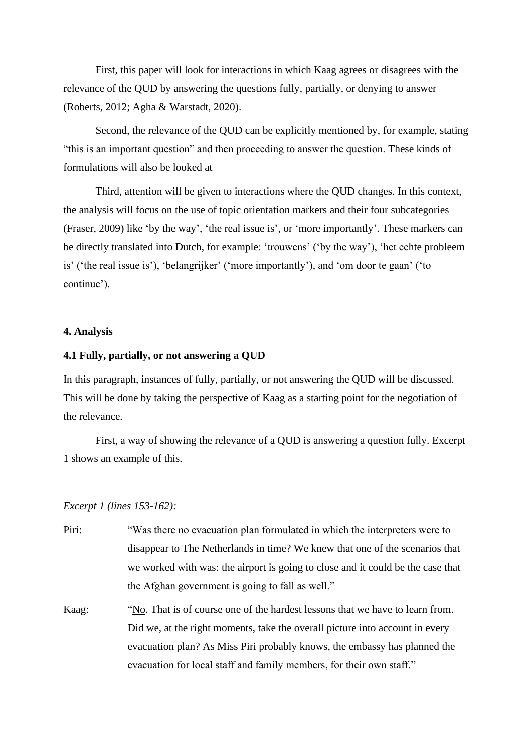First, this paper will look for interactions in which Kaag agrees or disagrees with the relevance of the QUD by answering the questions fully, partially, or denying to answer (Roberts, 2012; Agha & Warstadt, 2020).

Second, the relevance of the QUD can be explicitly mentioned by, for example, stating "this is an important question" and then proceeding to answer the question. These kinds of formulations will also be looked at

Third, attention will be given to interactions where the QUD changes. In this context, the analysis will focus on the use of topic orientation markers and their four subcategories (Fraser, 2009) like 'by the way', 'the real issue is', or 'more importantly'. These markers can be directly translated into Dutch, for example: 'trouwens' ('by the way'), 'het echte probleem is' ('the real issue is'), 'belangrijker' ('more importantly'), and 'om door te gaan' ('to continue').

## **4. Analysis**

## **4.1 Fully, partially, or not answering a QUD**

In this paragraph, instances of fully, partially, or not answering the QUD will be discussed. This will be done by taking the perspective of Kaag as a starting point for the negotiation of the relevance.

First, a way of showing the relevance of a QUD is answering a question fully. Excerpt 1 shows an example of this.

*Excerpt 1 (lines 153-162):* 

- Piri: "Was there no evacuation plan formulated in which the interpreters were to disappear to The Netherlands in time? We knew that one of the scenarios that we worked with was: the airport is going to close and it could be the case that the Afghan government is going to fall as well."
- Kaag: "No. That is of course one of the hardest lessons that we have to learn from. Did we, at the right moments, take the overall picture into account in every evacuation plan? As Miss Piri probably knows, the embassy has planned the evacuation for local staff and family members, for their own staff."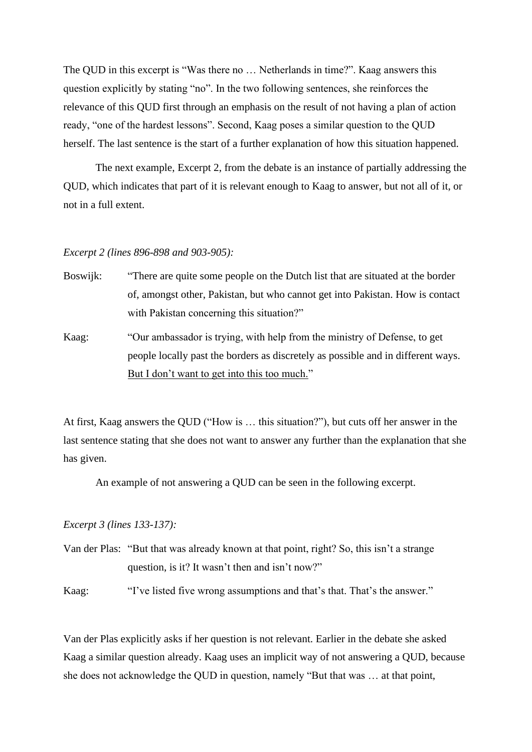The QUD in this excerpt is "Was there no … Netherlands in time?". Kaag answers this question explicitly by stating "no". In the two following sentences, she reinforces the relevance of this QUD first through an emphasis on the result of not having a plan of action ready, "one of the hardest lessons". Second, Kaag poses a similar question to the QUD herself. The last sentence is the start of a further explanation of how this situation happened.

The next example, Excerpt 2, from the debate is an instance of partially addressing the QUD, which indicates that part of it is relevant enough to Kaag to answer, but not all of it, or not in a full extent.

#### *Excerpt 2 (lines 896-898 and 903-905):*

- Boswijk: "There are quite some people on the Dutch list that are situated at the border of, amongst other, Pakistan, but who cannot get into Pakistan. How is contact with Pakistan concerning this situation?"
- Kaag: "Our ambassador is trying, with help from the ministry of Defense, to get people locally past the borders as discretely as possible and in different ways. But I don't want to get into this too much."

At first, Kaag answers the QUD ("How is … this situation?"), but cuts off her answer in the last sentence stating that she does not want to answer any further than the explanation that she has given.

An example of not answering a QUD can be seen in the following excerpt.

# *Excerpt 3 (lines 133-137):*

Van der Plas: "But that was already known at that point, right? So, this isn't a strange question, is it? It wasn't then and isn't now?"

Kaag: "I've listed five wrong assumptions and that's that. That's the answer."

Van der Plas explicitly asks if her question is not relevant. Earlier in the debate she asked Kaag a similar question already. Kaag uses an implicit way of not answering a QUD, because she does not acknowledge the QUD in question, namely "But that was … at that point,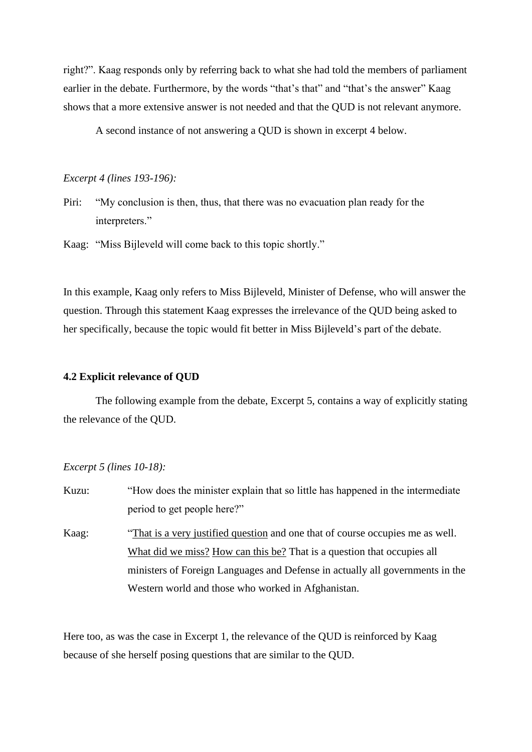right?". Kaag responds only by referring back to what she had told the members of parliament earlier in the debate. Furthermore, by the words "that's that" and "that's the answer" Kaag shows that a more extensive answer is not needed and that the QUD is not relevant anymore.

A second instance of not answering a QUD is shown in excerpt 4 below.

*Excerpt 4 (lines 193-196):*

Piri: "My conclusion is then, thus, that there was no evacuation plan ready for the interpreters."

Kaag: "Miss Bijleveld will come back to this topic shortly."

In this example, Kaag only refers to Miss Bijleveld, Minister of Defense, who will answer the question. Through this statement Kaag expresses the irrelevance of the QUD being asked to her specifically, because the topic would fit better in Miss Bijleveld's part of the debate.

# **4.2 Explicit relevance of QUD**

The following example from the debate, Excerpt 5, contains a way of explicitly stating the relevance of the QUD.

# *Excerpt 5 (lines 10-18):*

| Kuzu: | "How does the minister explain that so little has happened in the intermediate |
|-------|--------------------------------------------------------------------------------|
|       | period to get people here?"                                                    |
| Kaag: | "That is a very justified question and one that of course occupies me as well. |
|       | What did we miss? How can this be? That is a question that occupies all        |
|       | ministers of Foreign Languages and Defense in actually all governments in the  |
|       | Western world and those who worked in Afghanistan.                             |

Here too, as was the case in Excerpt 1, the relevance of the QUD is reinforced by Kaag because of she herself posing questions that are similar to the QUD.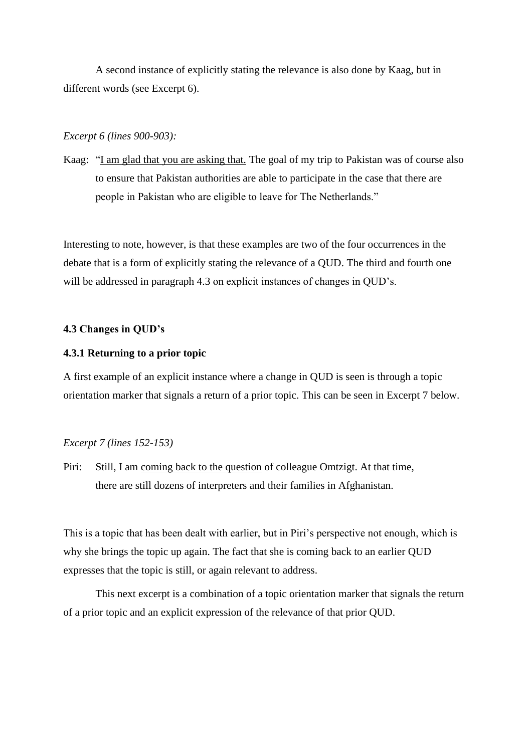A second instance of explicitly stating the relevance is also done by Kaag, but in different words (see Excerpt 6).

## *Excerpt 6 (lines 900-903):*

Kaag: "I am glad that you are asking that. The goal of my trip to Pakistan was of course also to ensure that Pakistan authorities are able to participate in the case that there are people in Pakistan who are eligible to leave for The Netherlands."

Interesting to note, however, is that these examples are two of the four occurrences in the debate that is a form of explicitly stating the relevance of a QUD. The third and fourth one will be addressed in paragraph 4.3 on explicit instances of changes in QUD's.

# **4.3 Changes in QUD's**

## **4.3.1 Returning to a prior topic**

A first example of an explicit instance where a change in QUD is seen is through a topic orientation marker that signals a return of a prior topic. This can be seen in Excerpt 7 below.

## *Excerpt 7 (lines 152-153)*

Piri: Still, I am coming back to the question of colleague Omtzigt. At that time, there are still dozens of interpreters and their families in Afghanistan.

This is a topic that has been dealt with earlier, but in Piri's perspective not enough, which is why she brings the topic up again. The fact that she is coming back to an earlier QUD expresses that the topic is still, or again relevant to address.

This next excerpt is a combination of a topic orientation marker that signals the return of a prior topic and an explicit expression of the relevance of that prior QUD.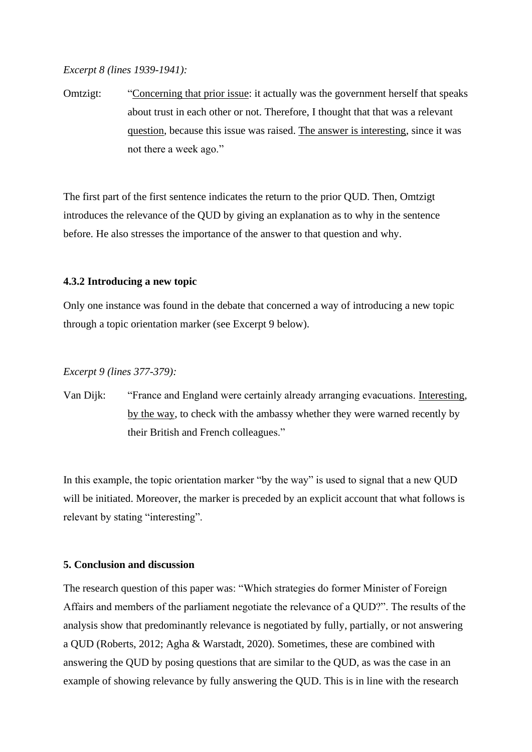## *Excerpt 8 (lines 1939-1941):*

Omtzigt: "Concerning that prior issue: it actually was the government herself that speaks about trust in each other or not. Therefore, I thought that that was a relevant question, because this issue was raised. The answer is interesting, since it was not there a week ago."

The first part of the first sentence indicates the return to the prior QUD. Then, Omtzigt introduces the relevance of the QUD by giving an explanation as to why in the sentence before. He also stresses the importance of the answer to that question and why.

## **4.3.2 Introducing a new topic**

Only one instance was found in the debate that concerned a way of introducing a new topic through a topic orientation marker (see Excerpt 9 below).

## *Excerpt 9 (lines 377-379):*

Van Dijk: "France and England were certainly already arranging evacuations. Interesting, by the way, to check with the ambassy whether they were warned recently by their British and French colleagues."

In this example, the topic orientation marker "by the way" is used to signal that a new QUD will be initiated. Moreover, the marker is preceded by an explicit account that what follows is relevant by stating "interesting".

# **5. Conclusion and discussion**

The research question of this paper was: "Which strategies do former Minister of Foreign Affairs and members of the parliament negotiate the relevance of a QUD?". The results of the analysis show that predominantly relevance is negotiated by fully, partially, or not answering a QUD (Roberts, 2012; Agha & Warstadt, 2020). Sometimes, these are combined with answering the QUD by posing questions that are similar to the QUD, as was the case in an example of showing relevance by fully answering the QUD. This is in line with the research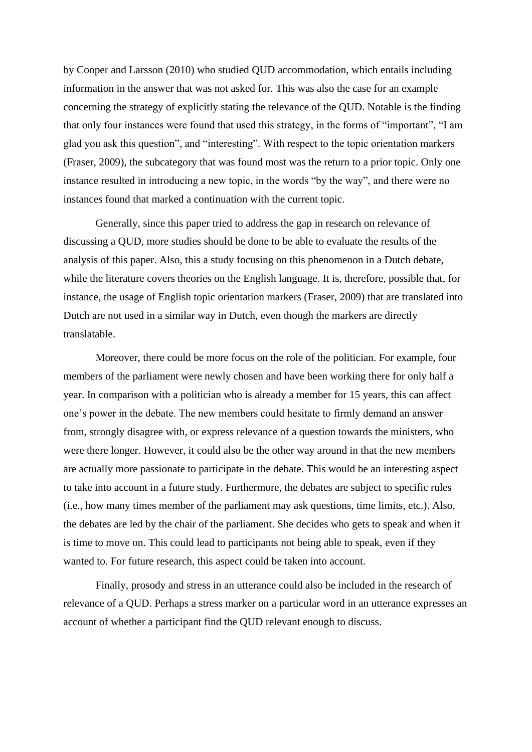by Cooper and Larsson (2010) who studied QUD accommodation, which entails including information in the answer that was not asked for. This was also the case for an example concerning the strategy of explicitly stating the relevance of the QUD. Notable is the finding that only four instances were found that used this strategy, in the forms of "important", "I am glad you ask this question", and "interesting". With respect to the topic orientation markers (Fraser, 2009), the subcategory that was found most was the return to a prior topic. Only one instance resulted in introducing a new topic, in the words "by the way", and there were no instances found that marked a continuation with the current topic.

Generally, since this paper tried to address the gap in research on relevance of discussing a QUD, more studies should be done to be able to evaluate the results of the analysis of this paper. Also, this a study focusing on this phenomenon in a Dutch debate, while the literature covers theories on the English language. It is, therefore, possible that, for instance, the usage of English topic orientation markers (Fraser, 2009) that are translated into Dutch are not used in a similar way in Dutch, even though the markers are directly translatable.

Moreover, there could be more focus on the role of the politician. For example, four members of the parliament were newly chosen and have been working there for only half a year. In comparison with a politician who is already a member for 15 years, this can affect one's power in the debate. The new members could hesitate to firmly demand an answer from, strongly disagree with, or express relevance of a question towards the ministers, who were there longer. However, it could also be the other way around in that the new members are actually more passionate to participate in the debate. This would be an interesting aspect to take into account in a future study. Furthermore, the debates are subject to specific rules (i.e., how many times member of the parliament may ask questions, time limits, etc.). Also, the debates are led by the chair of the parliament. She decides who gets to speak and when it is time to move on. This could lead to participants not being able to speak, even if they wanted to. For future research, this aspect could be taken into account.

Finally, prosody and stress in an utterance could also be included in the research of relevance of a QUD. Perhaps a stress marker on a particular word in an utterance expresses an account of whether a participant find the QUD relevant enough to discuss.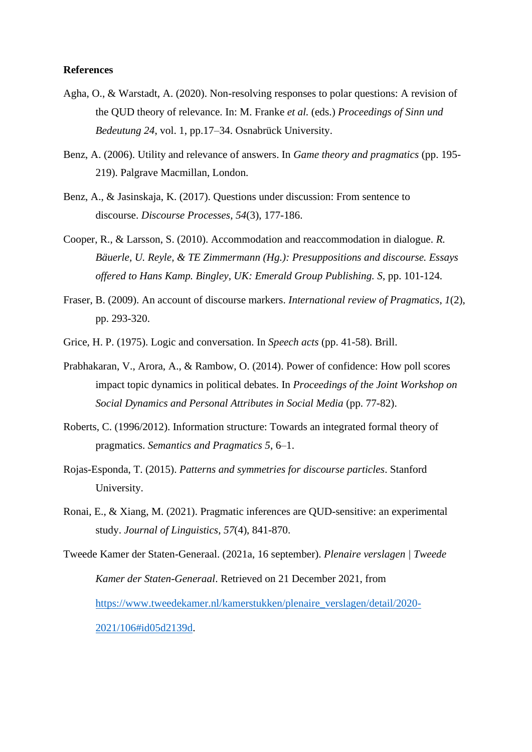## **References**

- Agha, O., & Warstadt, A. (2020). Non-resolving responses to polar questions: A revision of the QUD theory of relevance. In: M. Franke *et al.* (eds.) *Proceedings of Sinn und Bedeutung 24*, vol. 1, pp.17–34. Osnabrück University.
- Benz, A. (2006). Utility and relevance of answers. In *Game theory and pragmatics* (pp. 195- 219). Palgrave Macmillan, London.
- Benz, A., & Jasinskaja, K. (2017). Questions under discussion: From sentence to discourse. *Discourse Processes*, *54*(3), 177-186.
- Cooper, R., & Larsson, S. (2010). Accommodation and reaccommodation in dialogue. *R. Bäuerle, U. Reyle, & TE Zimmermann (Hg.): Presuppositions and discourse. Essays offered to Hans Kamp. Bingley, UK: Emerald Group Publishing. S*, pp. 101-124.
- Fraser, B. (2009). An account of discourse markers. *International review of Pragmatics*, *1*(2), pp. 293-320.
- Grice, H. P. (1975). Logic and conversation. In *Speech acts* (pp. 41-58). Brill.
- Prabhakaran, V., Arora, A., & Rambow, O. (2014). Power of confidence: How poll scores impact topic dynamics in political debates. In *Proceedings of the Joint Workshop on Social Dynamics and Personal Attributes in Social Media* (pp. 77-82).
- Roberts, C. (1996/2012). Information structure: Towards an integrated formal theory of pragmatics. *Semantics and Pragmatics 5*, 6–1.
- Rojas-Esponda, T. (2015). *Patterns and symmetries for discourse particles*. Stanford University.
- Ronai, E., & Xiang, M. (2021). Pragmatic inferences are QUD-sensitive: an experimental study. *Journal of Linguistics*, *57*(4), 841-870.

Tweede Kamer der Staten-Generaal. (2021a, 16 september). *Plenaire verslagen | Tweede Kamer der Staten-Generaal*. Retrieved on 21 December 2021, from [https://www.tweedekamer.nl/kamerstukken/plenaire\\_verslagen/detail/2020-](https://www.tweedekamer.nl/kamerstukken/plenaire_verslagen/detail/2020-2021/106#id05d2139d) [2021/106#id05d2139d.](https://www.tweedekamer.nl/kamerstukken/plenaire_verslagen/detail/2020-2021/106#id05d2139d)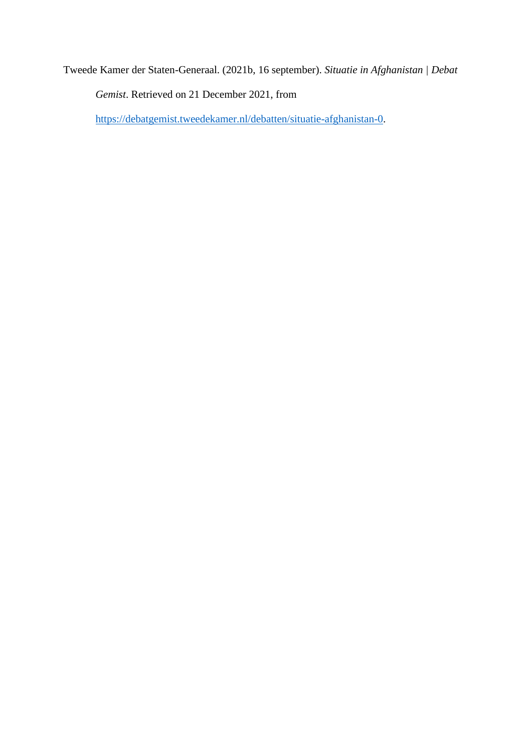Tweede Kamer der Staten-Generaal. (2021b, 16 september). *Situatie in Afghanistan | Debat Gemist*. Retrieved on 21 December 2021, from

[https://debatgemist.tweedekamer.nl/debatten/situatie-afghanistan-0.](https://debatgemist.tweedekamer.nl/debatten/situatie-afghanistan-0)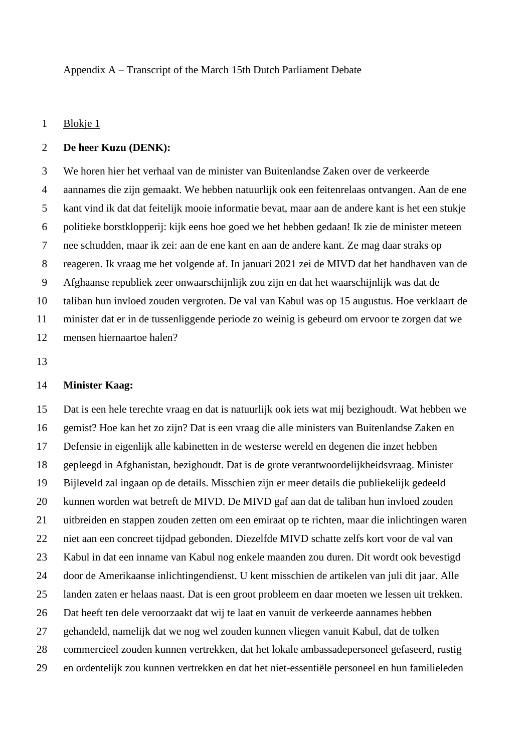## Appendix A – Transcript of the March 15th Dutch Parliament Debate

## Blokje 1

#### **De heer Kuzu (DENK):**

 We horen hier het verhaal van de minister van Buitenlandse Zaken over de verkeerde aannames die zijn gemaakt. We hebben natuurlijk ook een feitenrelaas ontvangen. Aan de ene kant vind ik dat dat feitelijk mooie informatie bevat, maar aan de andere kant is het een stukje politieke borstklopperij: kijk eens hoe goed we het hebben gedaan! Ik zie de minister meteen nee schudden, maar ik zei: aan de ene kant en aan de andere kant. Ze mag daar straks op reageren. Ik vraag me het volgende af. In januari 2021 zei de MIVD dat het handhaven van de Afghaanse republiek zeer onwaarschijnlijk zou zijn en dat het waarschijnlijk was dat de taliban hun invloed zouden vergroten. De val van Kabul was op 15 augustus. Hoe verklaart de minister dat er in de tussenliggende periode zo weinig is gebeurd om ervoor te zorgen dat we mensen hiernaartoe halen?

## **Minister Kaag:**

 Dat is een hele terechte vraag en dat is natuurlijk ook iets wat mij bezighoudt. Wat hebben we gemist? Hoe kan het zo zijn? Dat is een vraag die alle ministers van Buitenlandse Zaken en Defensie in eigenlijk alle kabinetten in de westerse wereld en degenen die inzet hebben gepleegd in Afghanistan, bezighoudt. Dat is de grote verantwoordelijkheidsvraag. Minister Bijleveld zal ingaan op de details. Misschien zijn er meer details die publiekelijk gedeeld kunnen worden wat betreft de MIVD. De MIVD gaf aan dat de taliban hun invloed zouden uitbreiden en stappen zouden zetten om een emiraat op te richten, maar die inlichtingen waren niet aan een concreet tijdpad gebonden. Diezelfde MIVD schatte zelfs kort voor de val van Kabul in dat een inname van Kabul nog enkele maanden zou duren. Dit wordt ook bevestigd door de Amerikaanse inlichtingendienst. U kent misschien de artikelen van juli dit jaar. Alle landen zaten er helaas naast. Dat is een groot probleem en daar moeten we lessen uit trekken. Dat heeft ten dele veroorzaakt dat wij te laat en vanuit de verkeerde aannames hebben gehandeld, namelijk dat we nog wel zouden kunnen vliegen vanuit Kabul, dat de tolken commercieel zouden kunnen vertrekken, dat het lokale ambassadepersoneel gefaseerd, rustig en ordentelijk zou kunnen vertrekken en dat het niet-essentiële personeel en hun familieleden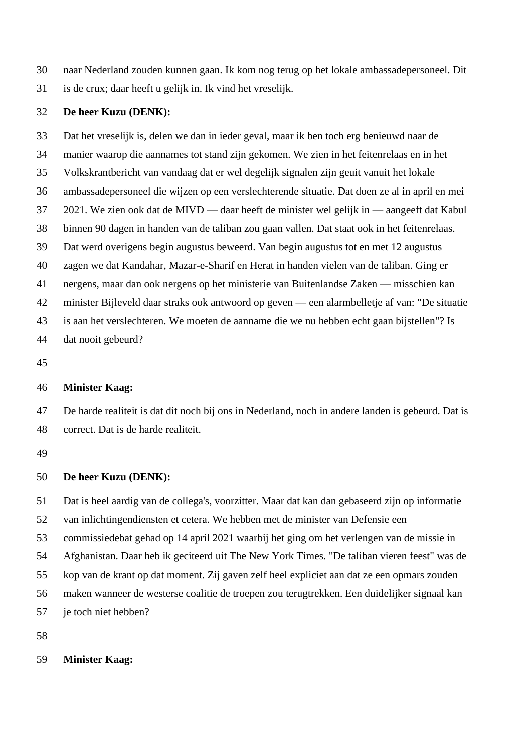- naar Nederland zouden kunnen gaan. Ik kom nog terug op het lokale ambassadepersoneel. Dit
- is de crux; daar heeft u gelijk in. Ik vind het vreselijk.

# **De heer Kuzu (DENK):**

 Dat het vreselijk is, delen we dan in ieder geval, maar ik ben toch erg benieuwd naar de manier waarop die aannames tot stand zijn gekomen. We zien in het feitenrelaas en in het Volkskrantbericht van vandaag dat er wel degelijk signalen zijn geuit vanuit het lokale ambassadepersoneel die wijzen op een verslechterende situatie. Dat doen ze al in april en mei 2021. We zien ook dat de MIVD — daar heeft de minister wel gelijk in — aangeeft dat Kabul binnen 90 dagen in handen van de taliban zou gaan vallen. Dat staat ook in het feitenrelaas. Dat werd overigens begin augustus beweerd. Van begin augustus tot en met 12 augustus zagen we dat Kandahar, Mazar-e-Sharif en Herat in handen vielen van de taliban. Ging er nergens, maar dan ook nergens op het ministerie van Buitenlandse Zaken — misschien kan minister Bijleveld daar straks ook antwoord op geven — een alarmbelletje af van: "De situatie is aan het verslechteren. We moeten de aanname die we nu hebben echt gaan bijstellen"? Is dat nooit gebeurd?

# **Minister Kaag:**

 De harde realiteit is dat dit noch bij ons in Nederland, noch in andere landen is gebeurd. Dat is correct. Dat is de harde realiteit.

# **De heer Kuzu (DENK):**

 Dat is heel aardig van de collega's, voorzitter. Maar dat kan dan gebaseerd zijn op informatie van inlichtingendiensten et cetera. We hebben met de minister van Defensie een commissiedebat gehad op 14 april 2021 waarbij het ging om het verlengen van de missie in Afghanistan. Daar heb ik geciteerd uit The New York Times. "De taliban vieren feest" was de kop van de krant op dat moment. Zij gaven zelf heel expliciet aan dat ze een opmars zouden maken wanneer de westerse coalitie de troepen zou terugtrekken. Een duidelijker signaal kan je toch niet hebben?

## **Minister Kaag:**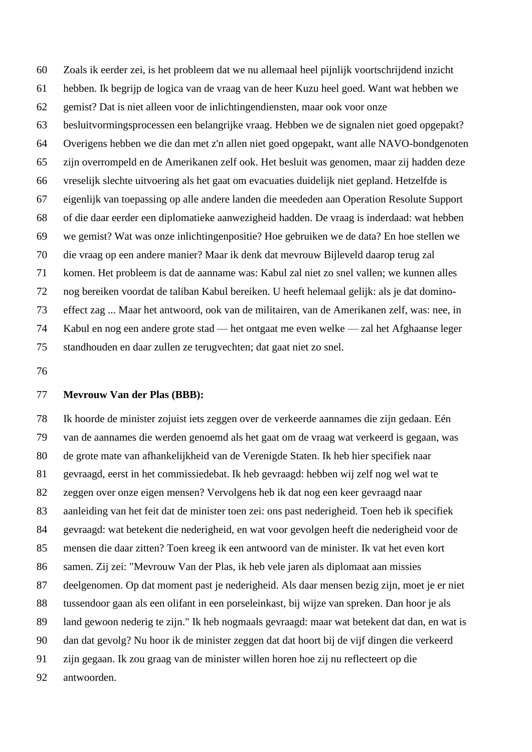Zoals ik eerder zei, is het probleem dat we nu allemaal heel pijnlijk voortschrijdend inzicht hebben. Ik begrijp de logica van de vraag van de heer Kuzu heel goed. Want wat hebben we gemist? Dat is niet alleen voor de inlichtingendiensten, maar ook voor onze besluitvormingsprocessen een belangrijke vraag. Hebben we de signalen niet goed opgepakt? Overigens hebben we die dan met z'n allen niet goed opgepakt, want alle NAVO-bondgenoten zijn overrompeld en de Amerikanen zelf ook. Het besluit was genomen, maar zij hadden deze vreselijk slechte uitvoering als het gaat om evacuaties duidelijk niet gepland. Hetzelfde is eigenlijk van toepassing op alle andere landen die meededen aan Operation Resolute Support of die daar eerder een diplomatieke aanwezigheid hadden. De vraag is inderdaad: wat hebben we gemist? Wat was onze inlichtingenpositie? Hoe gebruiken we de data? En hoe stellen we die vraag op een andere manier? Maar ik denk dat mevrouw Bijleveld daarop terug zal komen. Het probleem is dat de aanname was: Kabul zal niet zo snel vallen; we kunnen alles nog bereiken voordat de taliban Kabul bereiken. U heeft helemaal gelijk: als je dat domino- effect zag ... Maar het antwoord, ook van de militairen, van de Amerikanen zelf, was: nee, in Kabul en nog een andere grote stad — het ontgaat me even welke — zal het Afghaanse leger standhouden en daar zullen ze terugvechten; dat gaat niet zo snel.

## **Mevrouw Van der Plas (BBB):**

 Ik hoorde de minister zojuist iets zeggen over de verkeerde aannames die zijn gedaan. Eén van de aannames die werden genoemd als het gaat om de vraag wat verkeerd is gegaan, was de grote mate van afhankelijkheid van de Verenigde Staten. Ik heb hier specifiek naar gevraagd, eerst in het commissiedebat. Ik heb gevraagd: hebben wij zelf nog wel wat te zeggen over onze eigen mensen? Vervolgens heb ik dat nog een keer gevraagd naar aanleiding van het feit dat de minister toen zei: ons past nederigheid. Toen heb ik specifiek gevraagd: wat betekent die nederigheid, en wat voor gevolgen heeft die nederigheid voor de mensen die daar zitten? Toen kreeg ik een antwoord van de minister. Ik vat het even kort samen. Zij zei: "Mevrouw Van der Plas, ik heb vele jaren als diplomaat aan missies deelgenomen. Op dat moment past je nederigheid. Als daar mensen bezig zijn, moet je er niet tussendoor gaan als een olifant in een porseleinkast, bij wijze van spreken. Dan hoor je als land gewoon nederig te zijn." Ik heb nogmaals gevraagd: maar wat betekent dat dan, en wat is dan dat gevolg? Nu hoor ik de minister zeggen dat dat hoort bij de vijf dingen die verkeerd zijn gegaan. Ik zou graag van de minister willen horen hoe zij nu reflecteert op die antwoorden.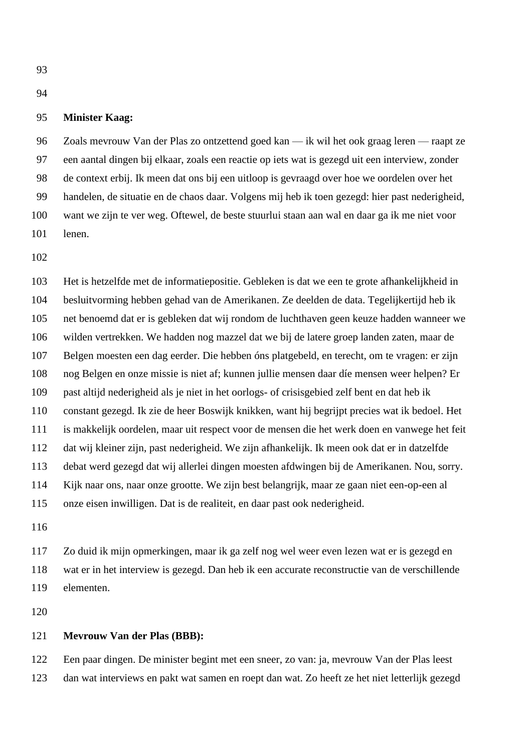# **Minister Kaag:**

 Zoals mevrouw Van der Plas zo ontzettend goed kan — ik wil het ook graag leren — raapt ze een aantal dingen bij elkaar, zoals een reactie op iets wat is gezegd uit een interview, zonder de context erbij. Ik meen dat ons bij een uitloop is gevraagd over hoe we oordelen over het handelen, de situatie en de chaos daar. Volgens mij heb ik toen gezegd: hier past nederigheid, want we zijn te ver weg. Oftewel, de beste stuurlui staan aan wal en daar ga ik me niet voor lenen.

 Het is hetzelfde met de informatiepositie. Gebleken is dat we een te grote afhankelijkheid in besluitvorming hebben gehad van de Amerikanen. Ze deelden de data. Tegelijkertijd heb ik net benoemd dat er is gebleken dat wij rondom de luchthaven geen keuze hadden wanneer we wilden vertrekken. We hadden nog mazzel dat we bij de latere groep landen zaten, maar de Belgen moesten een dag eerder. Die hebben óns platgebeld, en terecht, om te vragen: er zijn nog Belgen en onze missie is niet af; kunnen jullie mensen daar díe mensen weer helpen? Er past altijd nederigheid als je niet in het oorlogs- of crisisgebied zelf bent en dat heb ik constant gezegd. Ik zie de heer Boswijk knikken, want hij begrijpt precies wat ik bedoel. Het is makkelijk oordelen, maar uit respect voor de mensen die het werk doen en vanwege het feit dat wij kleiner zijn, past nederigheid. We zijn afhankelijk. Ik meen ook dat er in datzelfde debat werd gezegd dat wij allerlei dingen moesten afdwingen bij de Amerikanen. Nou, sorry. Kijk naar ons, naar onze grootte. We zijn best belangrijk, maar ze gaan niet een-op-een al onze eisen inwilligen. Dat is de realiteit, en daar past ook nederigheid.

 Zo duid ik mijn opmerkingen, maar ik ga zelf nog wel weer even lezen wat er is gezegd en wat er in het interview is gezegd. Dan heb ik een accurate reconstructie van de verschillende elementen.

#### **Mevrouw Van der Plas (BBB):**

 Een paar dingen. De minister begint met een sneer, zo van: ja, mevrouw Van der Plas leest dan wat interviews en pakt wat samen en roept dan wat. Zo heeft ze het niet letterlijk gezegd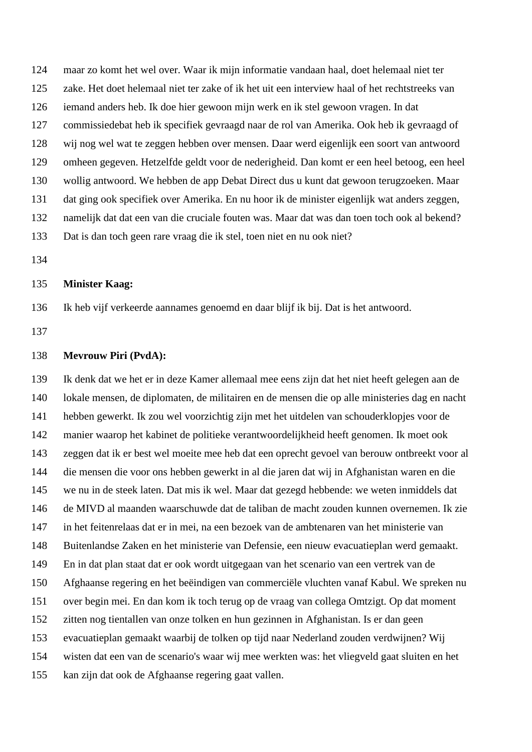maar zo komt het wel over. Waar ik mijn informatie vandaan haal, doet helemaal niet ter zake. Het doet helemaal niet ter zake of ik het uit een interview haal of het rechtstreeks van iemand anders heb. Ik doe hier gewoon mijn werk en ik stel gewoon vragen. In dat commissiedebat heb ik specifiek gevraagd naar de rol van Amerika. Ook heb ik gevraagd of wij nog wel wat te zeggen hebben over mensen. Daar werd eigenlijk een soort van antwoord omheen gegeven. Hetzelfde geldt voor de nederigheid. Dan komt er een heel betoog, een heel wollig antwoord. We hebben de app Debat Direct dus u kunt dat gewoon terugzoeken. Maar dat ging ook specifiek over Amerika. En nu hoor ik de minister eigenlijk wat anders zeggen, namelijk dat dat een van die cruciale fouten was. Maar dat was dan toen toch ook al bekend? Dat is dan toch geen rare vraag die ik stel, toen niet en nu ook niet?

#### **Minister Kaag:**

Ik heb vijf verkeerde aannames genoemd en daar blijf ik bij. Dat is het antwoord.

## **Mevrouw Piri (PvdA):**

 Ik denk dat we het er in deze Kamer allemaal mee eens zijn dat het niet heeft gelegen aan de lokale mensen, de diplomaten, de militairen en de mensen die op alle ministeries dag en nacht hebben gewerkt. Ik zou wel voorzichtig zijn met het uitdelen van schouderklopjes voor de manier waarop het kabinet de politieke verantwoordelijkheid heeft genomen. Ik moet ook zeggen dat ik er best wel moeite mee heb dat een oprecht gevoel van berouw ontbreekt voor al die mensen die voor ons hebben gewerkt in al die jaren dat wij in Afghanistan waren en die we nu in de steek laten. Dat mis ik wel. Maar dat gezegd hebbende: we weten inmiddels dat de MIVD al maanden waarschuwde dat de taliban de macht zouden kunnen overnemen. Ik zie in het feitenrelaas dat er in mei, na een bezoek van de ambtenaren van het ministerie van Buitenlandse Zaken en het ministerie van Defensie, een nieuw evacuatieplan werd gemaakt. En in dat plan staat dat er ook wordt uitgegaan van het scenario van een vertrek van de Afghaanse regering en het beëindigen van commerciële vluchten vanaf Kabul. We spreken nu over begin mei. En dan kom ik toch terug op de vraag van collega Omtzigt. Op dat moment zitten nog tientallen van onze tolken en hun gezinnen in Afghanistan. Is er dan geen evacuatieplan gemaakt waarbij de tolken op tijd naar Nederland zouden verdwijnen? Wij wisten dat een van de scenario's waar wij mee werkten was: het vliegveld gaat sluiten en het kan zijn dat ook de Afghaanse regering gaat vallen.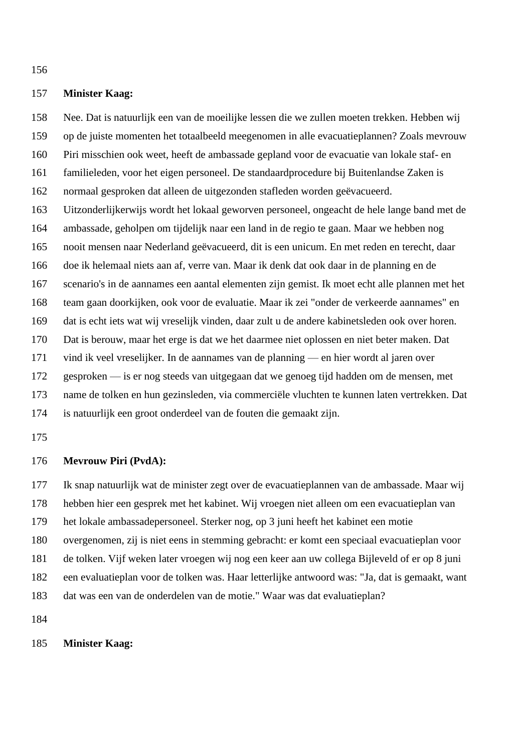## **Minister Kaag:**

 Nee. Dat is natuurlijk een van de moeilijke lessen die we zullen moeten trekken. Hebben wij op de juiste momenten het totaalbeeld meegenomen in alle evacuatieplannen? Zoals mevrouw Piri misschien ook weet, heeft de ambassade gepland voor de evacuatie van lokale staf- en familieleden, voor het eigen personeel. De standaardprocedure bij Buitenlandse Zaken is normaal gesproken dat alleen de uitgezonden stafleden worden geëvacueerd. Uitzonderlijkerwijs wordt het lokaal geworven personeel, ongeacht de hele lange band met de ambassade, geholpen om tijdelijk naar een land in de regio te gaan. Maar we hebben nog nooit mensen naar Nederland geëvacueerd, dit is een unicum. En met reden en terecht, daar doe ik helemaal niets aan af, verre van. Maar ik denk dat ook daar in de planning en de scenario's in de aannames een aantal elementen zijn gemist. Ik moet echt alle plannen met het team gaan doorkijken, ook voor de evaluatie. Maar ik zei "onder de verkeerde aannames" en dat is echt iets wat wij vreselijk vinden, daar zult u de andere kabinetsleden ook over horen. Dat is berouw, maar het erge is dat we het daarmee niet oplossen en niet beter maken. Dat vind ik veel vreselijker. In de aannames van de planning — en hier wordt al jaren over gesproken — is er nog steeds van uitgegaan dat we genoeg tijd hadden om de mensen, met name de tolken en hun gezinsleden, via commerciële vluchten te kunnen laten vertrekken. Dat is natuurlijk een groot onderdeel van de fouten die gemaakt zijn.

## **Mevrouw Piri (PvdA):**

 Ik snap natuurlijk wat de minister zegt over de evacuatieplannen van de ambassade. Maar wij hebben hier een gesprek met het kabinet. Wij vroegen niet alleen om een evacuatieplan van het lokale ambassadepersoneel. Sterker nog, op 3 juni heeft het kabinet een motie overgenomen, zij is niet eens in stemming gebracht: er komt een speciaal evacuatieplan voor de tolken. Vijf weken later vroegen wij nog een keer aan uw collega Bijleveld of er op 8 juni een evaluatieplan voor de tolken was. Haar letterlijke antwoord was: "Ja, dat is gemaakt, want dat was een van de onderdelen van de motie." Waar was dat evaluatieplan?

# **Minister Kaag:**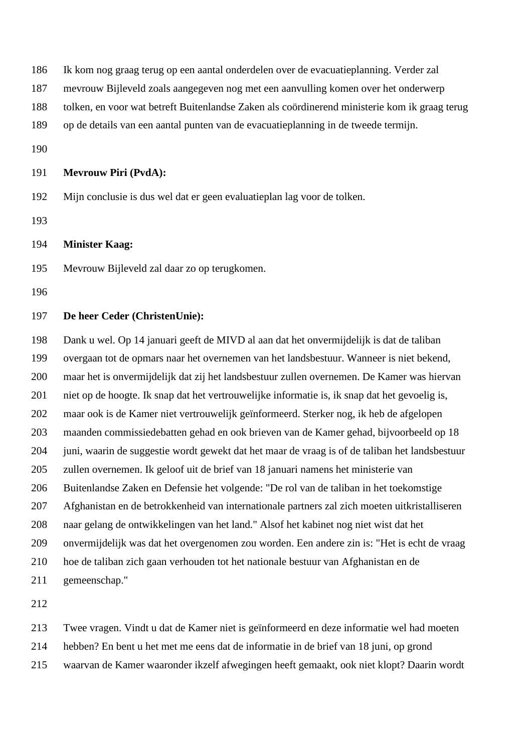- Ik kom nog graag terug op een aantal onderdelen over de evacuatieplanning. Verder zal
- mevrouw Bijleveld zoals aangegeven nog met een aanvulling komen over het onderwerp
- tolken, en voor wat betreft Buitenlandse Zaken als coördinerend ministerie kom ik graag terug
- op de details van een aantal punten van de evacuatieplanning in de tweede termijn.
- 

# **Mevrouw Piri (PvdA):**

- Mijn conclusie is dus wel dat er geen evaluatieplan lag voor de tolken.
- 

# **Minister Kaag:**

- Mevrouw Bijleveld zal daar zo op terugkomen.
- 

## **De heer Ceder (ChristenUnie):**

 Dank u wel. Op 14 januari geeft de MIVD al aan dat het onvermijdelijk is dat de taliban overgaan tot de opmars naar het overnemen van het landsbestuur. Wanneer is niet bekend, maar het is onvermijdelijk dat zij het landsbestuur zullen overnemen. De Kamer was hiervan niet op de hoogte. Ik snap dat het vertrouwelijke informatie is, ik snap dat het gevoelig is, maar ook is de Kamer niet vertrouwelijk geïnformeerd. Sterker nog, ik heb de afgelopen maanden commissiedebatten gehad en ook brieven van de Kamer gehad, bijvoorbeeld op 18 juni, waarin de suggestie wordt gewekt dat het maar de vraag is of de taliban het landsbestuur zullen overnemen. Ik geloof uit de brief van 18 januari namens het ministerie van Buitenlandse Zaken en Defensie het volgende: "De rol van de taliban in het toekomstige Afghanistan en de betrokkenheid van internationale partners zal zich moeten uitkristalliseren naar gelang de ontwikkelingen van het land." Alsof het kabinet nog niet wist dat het onvermijdelijk was dat het overgenomen zou worden. Een andere zin is: "Het is echt de vraag hoe de taliban zich gaan verhouden tot het nationale bestuur van Afghanistan en de gemeenschap."

Twee vragen. Vindt u dat de Kamer niet is geïnformeerd en deze informatie wel had moeten

- hebben? En bent u het met me eens dat de informatie in de brief van 18 juni, op grond
- waarvan de Kamer waaronder ikzelf afwegingen heeft gemaakt, ook niet klopt? Daarin wordt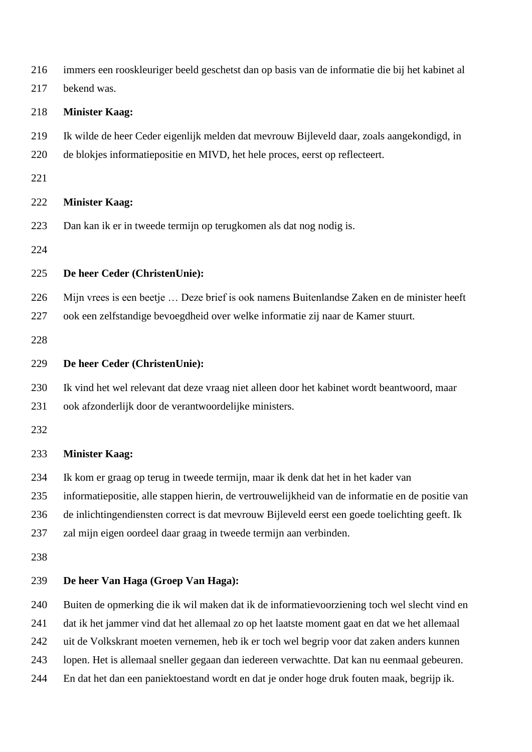| 216 | immers een rooskleuriger beeld geschetst dan op basis van de informatie die bij het kabinet al   |
|-----|--------------------------------------------------------------------------------------------------|
| 217 | bekend was.                                                                                      |
| 218 | <b>Minister Kaag:</b>                                                                            |
| 219 | Ik wilde de heer Ceder eigenlijk melden dat mevrouw Bijleveld daar, zoals aangekondigd, in       |
| 220 | de blokjes informatiepositie en MIVD, het hele proces, eerst op reflecteert.                     |
| 221 |                                                                                                  |
| 222 | <b>Minister Kaag:</b>                                                                            |
| 223 | Dan kan ik er in tweede termijn op terugkomen als dat nog nodig is.                              |
| 224 |                                                                                                  |
| 225 | De heer Ceder (ChristenUnie):                                                                    |
| 226 | Mijn vrees is een beetje  Deze brief is ook namens Buitenlandse Zaken en de minister heeft       |
| 227 | ook een zelfstandige bevoegdheid over welke informatie zij naar de Kamer stuurt.                 |
| 228 |                                                                                                  |
| 229 | De heer Ceder (ChristenUnie):                                                                    |
| 230 | Ik vind het wel relevant dat deze vraag niet alleen door het kabinet wordt beantwoord, maar      |
| 231 | ook afzonderlijk door de verantwoordelijke ministers.                                            |
| 232 |                                                                                                  |
| 233 | <b>Minister Kaag:</b>                                                                            |
| 234 | Ik kom er graag op terug in tweede termijn, maar ik denk dat het in het kader van                |
| 235 | informatiepositie, alle stappen hierin, de vertrouwelijkheid van de informatie en de positie van |
| 236 | de inlichtingendiensten correct is dat mevrouw Bijleveld eerst een goede toelichting geeft. Ik   |
| 237 | zal mijn eigen oordeel daar graag in tweede termijn aan verbinden.                               |
| 238 |                                                                                                  |
| 239 | De heer Van Haga (Groep Van Haga):                                                               |
| 240 | Buiten de opmerking die ik wil maken dat ik de informatievoorziening toch wel slecht vind en     |
| 241 | dat ik het jammer vind dat het allemaal zo op het laatste moment gaat en dat we het allemaal     |
| 242 | uit de Volkskrant moeten vernemen, heb ik er toch wel begrip voor dat zaken anders kunnen        |
| 243 | lopen. Het is allemaal sneller gegaan dan iedereen verwachtte. Dat kan nu eenmaal gebeuren.      |
| 244 | En dat het dan een paniektoestand wordt en dat je onder hoge druk fouten maak, begrijp ik.       |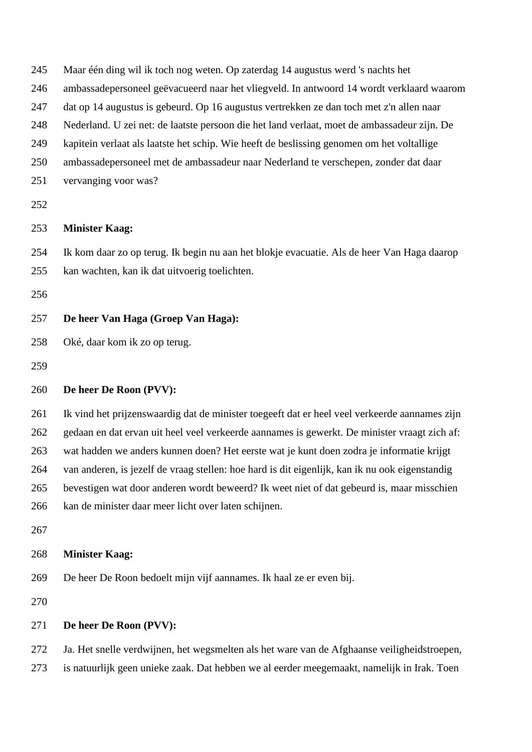| 245 | Maar één ding wil ik toch nog weten. Op zaterdag 14 augustus werd 's nachts het                |
|-----|------------------------------------------------------------------------------------------------|
| 246 | ambassadepersoneel geëvacueerd naar het vliegveld. In antwoord 14 wordt verklaard waarom       |
| 247 | dat op 14 augustus is gebeurd. Op 16 augustus vertrekken ze dan toch met z'n allen naar        |
| 248 | Nederland. U zei net: de laatste persoon die het land verlaat, moet de ambassadeur zijn. De    |
| 249 | kapitein verlaat als laatste het schip. Wie heeft de beslissing genomen om het voltallige      |
| 250 | ambassadepersoneel met de ambassadeur naar Nederland te verschepen, zonder dat daar            |
| 251 | vervanging voor was?                                                                           |
| 252 |                                                                                                |
| 253 | <b>Minister Kaag:</b>                                                                          |
| 254 | Ik kom daar zo op terug. Ik begin nu aan het blokje evacuatie. Als de heer Van Haga daarop     |
| 255 | kan wachten, kan ik dat uitvoerig toelichten.                                                  |
| 256 |                                                                                                |
| 257 | De heer Van Haga (Groep Van Haga):                                                             |
| 258 | Oké, daar kom ik zo op terug.                                                                  |
| 259 |                                                                                                |
|     |                                                                                                |
| 260 | De heer De Roon (PVV):                                                                         |
| 261 | Ik vind het prijzenswaardig dat de minister toegeeft dat er heel veel verkeerde aannames zijn  |
| 262 | gedaan en dat ervan uit heel veel verkeerde aannames is gewerkt. De minister vraagt zich af:   |
| 263 | wat hadden we anders kunnen doen? Het eerste wat je kunt doen zodra je informatie krijgt       |
| 264 | van anderen, is jezelf de vraag stellen: hoe hard is dit eigenlijk, kan ik nu ook eigenstandig |
| 265 | bevestigen wat door anderen wordt beweerd? Ik weet niet of dat gebeurd is, maar misschien      |
| 266 | kan de minister daar meer licht over laten schijnen.                                           |
| 267 |                                                                                                |
| 268 | <b>Minister Kaag:</b>                                                                          |
| 269 | De heer De Roon bedoelt mijn vijf aannames. Ik haal ze er even bij.                            |
| 270 |                                                                                                |
| 271 | De heer De Roon (PVV):                                                                         |
| 272 | Ja. Het snelle verdwijnen, het wegsmelten als het ware van de Afghaanse veiligheidstroepen,    |
| 273 | is natuurlijk geen unieke zaak. Dat hebben we al eerder meegemaakt, namelijk in Irak. Toen     |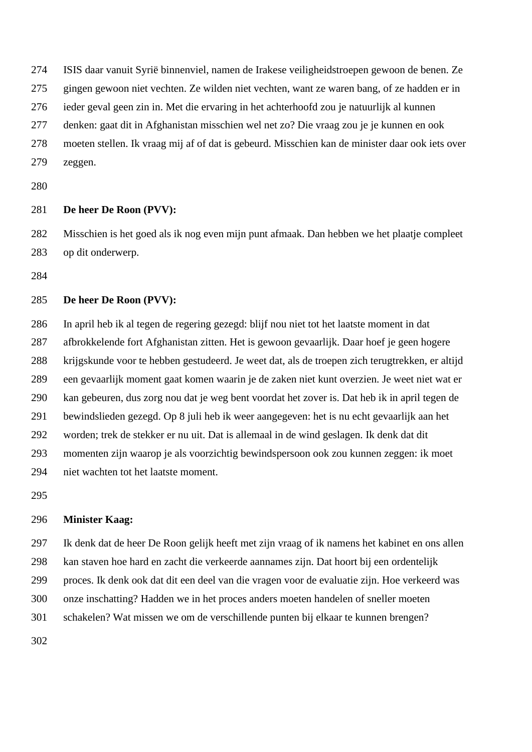ISIS daar vanuit Syrië binnenviel, namen de Irakese veiligheidstroepen gewoon de benen. Ze

gingen gewoon niet vechten. Ze wilden niet vechten, want ze waren bang, of ze hadden er in

ieder geval geen zin in. Met die ervaring in het achterhoofd zou je natuurlijk al kunnen

denken: gaat dit in Afghanistan misschien wel net zo? Die vraag zou je je kunnen en ook

 moeten stellen. Ik vraag mij af of dat is gebeurd. Misschien kan de minister daar ook iets over zeggen.

# **De heer De Roon (PVV):**

 Misschien is het goed als ik nog even mijn punt afmaak. Dan hebben we het plaatje compleet op dit onderwerp.

# **De heer De Roon (PVV):**

 In april heb ik al tegen de regering gezegd: blijf nou niet tot het laatste moment in dat afbrokkelende fort Afghanistan zitten. Het is gewoon gevaarlijk. Daar hoef je geen hogere krijgskunde voor te hebben gestudeerd. Je weet dat, als de troepen zich terugtrekken, er altijd een gevaarlijk moment gaat komen waarin je de zaken niet kunt overzien. Je weet niet wat er kan gebeuren, dus zorg nou dat je weg bent voordat het zover is. Dat heb ik in april tegen de bewindslieden gezegd. Op 8 juli heb ik weer aangegeven: het is nu echt gevaarlijk aan het worden; trek de stekker er nu uit. Dat is allemaal in de wind geslagen. Ik denk dat dit momenten zijn waarop je als voorzichtig bewindspersoon ook zou kunnen zeggen: ik moet niet wachten tot het laatste moment.

# **Minister Kaag:**

Ik denk dat de heer De Roon gelijk heeft met zijn vraag of ik namens het kabinet en ons allen

kan staven hoe hard en zacht die verkeerde aannames zijn. Dat hoort bij een ordentelijk

proces. Ik denk ook dat dit een deel van die vragen voor de evaluatie zijn. Hoe verkeerd was

onze inschatting? Hadden we in het proces anders moeten handelen of sneller moeten

schakelen? Wat missen we om de verschillende punten bij elkaar te kunnen brengen?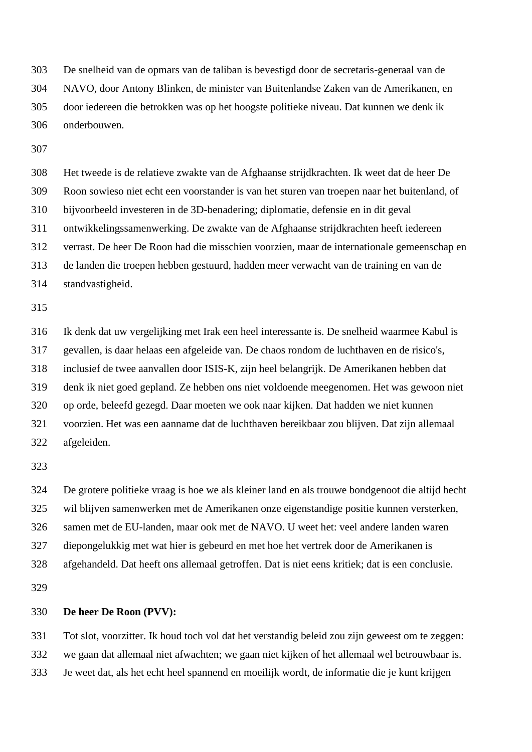De snelheid van de opmars van de taliban is bevestigd door de secretaris-generaal van de NAVO, door Antony Blinken, de minister van Buitenlandse Zaken van de Amerikanen, en door iedereen die betrokken was op het hoogste politieke niveau. Dat kunnen we denk ik onderbouwen.

 Het tweede is de relatieve zwakte van de Afghaanse strijdkrachten. Ik weet dat de heer De Roon sowieso niet echt een voorstander is van het sturen van troepen naar het buitenland, of bijvoorbeeld investeren in de 3D-benadering; diplomatie, defensie en in dit geval ontwikkelingssamenwerking. De zwakte van de Afghaanse strijdkrachten heeft iedereen verrast. De heer De Roon had die misschien voorzien, maar de internationale gemeenschap en de landen die troepen hebben gestuurd, hadden meer verwacht van de training en van de standvastigheid.

 Ik denk dat uw vergelijking met Irak een heel interessante is. De snelheid waarmee Kabul is gevallen, is daar helaas een afgeleide van. De chaos rondom de luchthaven en de risico's, inclusief de twee aanvallen door ISIS-K, zijn heel belangrijk. De Amerikanen hebben dat denk ik niet goed gepland. Ze hebben ons niet voldoende meegenomen. Het was gewoon niet op orde, beleefd gezegd. Daar moeten we ook naar kijken. Dat hadden we niet kunnen voorzien. Het was een aanname dat de luchthaven bereikbaar zou blijven. Dat zijn allemaal afgeleiden.

 De grotere politieke vraag is hoe we als kleiner land en als trouwe bondgenoot die altijd hecht wil blijven samenwerken met de Amerikanen onze eigenstandige positie kunnen versterken, samen met de EU-landen, maar ook met de NAVO. U weet het: veel andere landen waren diepongelukkig met wat hier is gebeurd en met hoe het vertrek door de Amerikanen is afgehandeld. Dat heeft ons allemaal getroffen. Dat is niet eens kritiek; dat is een conclusie.

# **De heer De Roon (PVV):**

 Tot slot, voorzitter. Ik houd toch vol dat het verstandig beleid zou zijn geweest om te zeggen: we gaan dat allemaal niet afwachten; we gaan niet kijken of het allemaal wel betrouwbaar is.

Je weet dat, als het echt heel spannend en moeilijk wordt, de informatie die je kunt krijgen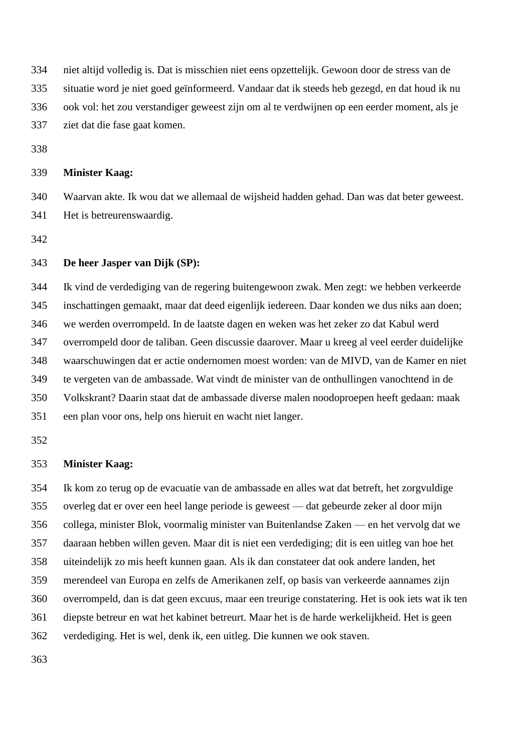niet altijd volledig is. Dat is misschien niet eens opzettelijk. Gewoon door de stress van de

situatie word je niet goed geïnformeerd. Vandaar dat ik steeds heb gezegd, en dat houd ik nu

ook vol: het zou verstandiger geweest zijn om al te verdwijnen op een eerder moment, als je

ziet dat die fase gaat komen.

# **Minister Kaag:**

 Waarvan akte. Ik wou dat we allemaal de wijsheid hadden gehad. Dan was dat beter geweest. Het is betreurenswaardig.

## **De heer Jasper van Dijk (SP):**

 Ik vind de verdediging van de regering buitengewoon zwak. Men zegt: we hebben verkeerde inschattingen gemaakt, maar dat deed eigenlijk iedereen. Daar konden we dus niks aan doen; we werden overrompeld. In de laatste dagen en weken was het zeker zo dat Kabul werd overrompeld door de taliban. Geen discussie daarover. Maar u kreeg al veel eerder duidelijke waarschuwingen dat er actie ondernomen moest worden: van de MIVD, van de Kamer en niet te vergeten van de ambassade. Wat vindt de minister van de onthullingen vanochtend in de Volkskrant? Daarin staat dat de ambassade diverse malen noodoproepen heeft gedaan: maak een plan voor ons, help ons hieruit en wacht niet langer.

## **Minister Kaag:**

 Ik kom zo terug op de evacuatie van de ambassade en alles wat dat betreft, het zorgvuldige overleg dat er over een heel lange periode is geweest — dat gebeurde zeker al door mijn collega, minister Blok, voormalig minister van Buitenlandse Zaken — en het vervolg dat we daaraan hebben willen geven. Maar dit is niet een verdediging; dit is een uitleg van hoe het uiteindelijk zo mis heeft kunnen gaan. Als ik dan constateer dat ook andere landen, het merendeel van Europa en zelfs de Amerikanen zelf, op basis van verkeerde aannames zijn overrompeld, dan is dat geen excuus, maar een treurige constatering. Het is ook iets wat ik ten diepste betreur en wat het kabinet betreurt. Maar het is de harde werkelijkheid. Het is geen verdediging. Het is wel, denk ik, een uitleg. Die kunnen we ook staven.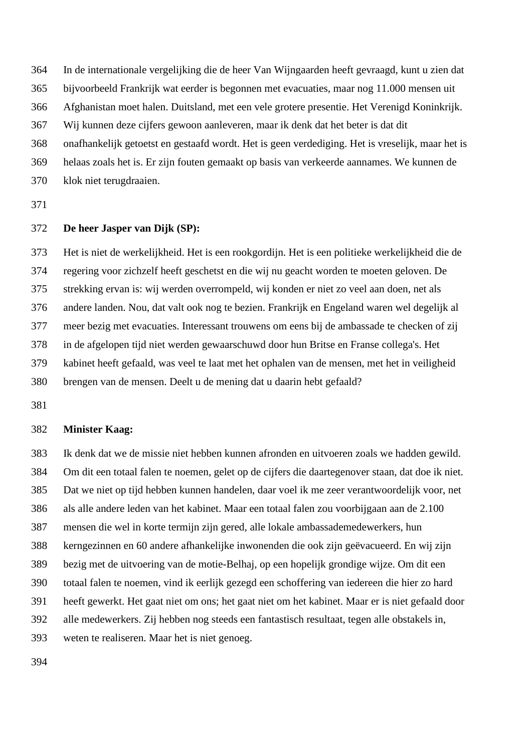In de internationale vergelijking die de heer Van Wijngaarden heeft gevraagd, kunt u zien dat

bijvoorbeeld Frankrijk wat eerder is begonnen met evacuaties, maar nog 11.000 mensen uit

Afghanistan moet halen. Duitsland, met een vele grotere presentie. Het Verenigd Koninkrijk.

Wij kunnen deze cijfers gewoon aanleveren, maar ik denk dat het beter is dat dit

onafhankelijk getoetst en gestaafd wordt. Het is geen verdediging. Het is vreselijk, maar het is

helaas zoals het is. Er zijn fouten gemaakt op basis van verkeerde aannames. We kunnen de

klok niet terugdraaien.

# **De heer Jasper van Dijk (SP):**

 Het is niet de werkelijkheid. Het is een rookgordijn. Het is een politieke werkelijkheid die de regering voor zichzelf heeft geschetst en die wij nu geacht worden te moeten geloven. De strekking ervan is: wij werden overrompeld, wij konden er niet zo veel aan doen, net als andere landen. Nou, dat valt ook nog te bezien. Frankrijk en Engeland waren wel degelijk al meer bezig met evacuaties. Interessant trouwens om eens bij de ambassade te checken of zij in de afgelopen tijd niet werden gewaarschuwd door hun Britse en Franse collega's. Het kabinet heeft gefaald, was veel te laat met het ophalen van de mensen, met het in veiligheid brengen van de mensen. Deelt u de mening dat u daarin hebt gefaald?

## **Minister Kaag:**

 Ik denk dat we de missie niet hebben kunnen afronden en uitvoeren zoals we hadden gewild. Om dit een totaal falen te noemen, gelet op de cijfers die daartegenover staan, dat doe ik niet. Dat we niet op tijd hebben kunnen handelen, daar voel ik me zeer verantwoordelijk voor, net als alle andere leden van het kabinet. Maar een totaal falen zou voorbijgaan aan de 2.100 mensen die wel in korte termijn zijn gered, alle lokale ambassademedewerkers, hun kerngezinnen en 60 andere afhankelijke inwonenden die ook zijn geëvacueerd. En wij zijn bezig met de uitvoering van de motie-Belhaj, op een hopelijk grondige wijze. Om dit een totaal falen te noemen, vind ik eerlijk gezegd een schoffering van iedereen die hier zo hard heeft gewerkt. Het gaat niet om ons; het gaat niet om het kabinet. Maar er is niet gefaald door alle medewerkers. Zij hebben nog steeds een fantastisch resultaat, tegen alle obstakels in, weten te realiseren. Maar het is niet genoeg.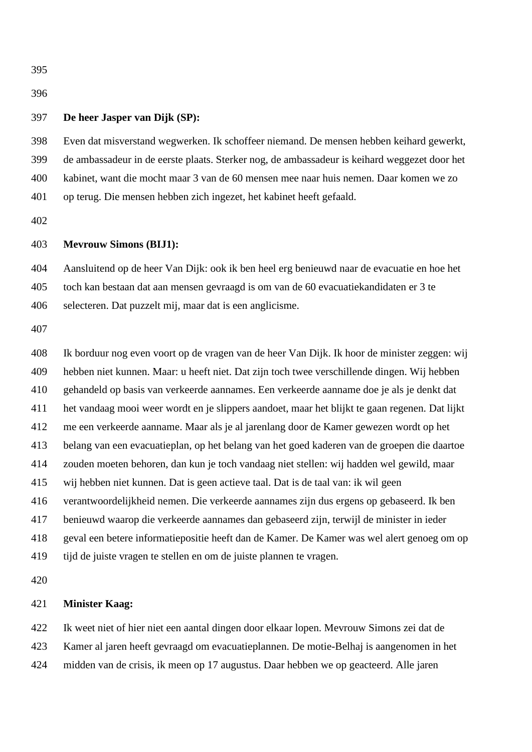# 

# **De heer Jasper van Dijk (SP):**

 Even dat misverstand wegwerken. Ik schoffeer niemand. De mensen hebben keihard gewerkt, de ambassadeur in de eerste plaats. Sterker nog, de ambassadeur is keihard weggezet door het kabinet, want die mocht maar 3 van de 60 mensen mee naar huis nemen. Daar komen we zo op terug. Die mensen hebben zich ingezet, het kabinet heeft gefaald.

## **Mevrouw Simons (BIJ1):**

 Aansluitend op de heer Van Dijk: ook ik ben heel erg benieuwd naar de evacuatie en hoe het toch kan bestaan dat aan mensen gevraagd is om van de 60 evacuatiekandidaten er 3 te selecteren. Dat puzzelt mij, maar dat is een anglicisme.

 Ik borduur nog even voort op de vragen van de heer Van Dijk. Ik hoor de minister zeggen: wij hebben niet kunnen. Maar: u heeft niet. Dat zijn toch twee verschillende dingen. Wij hebben gehandeld op basis van verkeerde aannames. Een verkeerde aanname doe je als je denkt dat het vandaag mooi weer wordt en je slippers aandoet, maar het blijkt te gaan regenen. Dat lijkt me een verkeerde aanname. Maar als je al jarenlang door de Kamer gewezen wordt op het belang van een evacuatieplan, op het belang van het goed kaderen van de groepen die daartoe zouden moeten behoren, dan kun je toch vandaag niet stellen: wij hadden wel gewild, maar wij hebben niet kunnen. Dat is geen actieve taal. Dat is de taal van: ik wil geen verantwoordelijkheid nemen. Die verkeerde aannames zijn dus ergens op gebaseerd. Ik ben benieuwd waarop die verkeerde aannames dan gebaseerd zijn, terwijl de minister in ieder geval een betere informatiepositie heeft dan de Kamer. De Kamer was wel alert genoeg om op tijd de juiste vragen te stellen en om de juiste plannen te vragen.

## **Minister Kaag:**

 Ik weet niet of hier niet een aantal dingen door elkaar lopen. Mevrouw Simons zei dat de Kamer al jaren heeft gevraagd om evacuatieplannen. De motie-Belhaj is aangenomen in het midden van de crisis, ik meen op 17 augustus. Daar hebben we op geacteerd. Alle jaren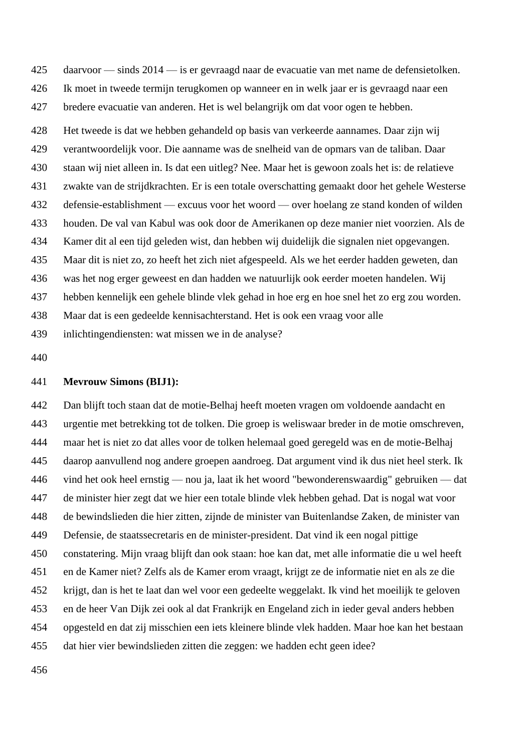daarvoor — sinds 2014 — is er gevraagd naar de evacuatie van met name de defensietolken. Ik moet in tweede termijn terugkomen op wanneer en in welk jaar er is gevraagd naar een bredere evacuatie van anderen. Het is wel belangrijk om dat voor ogen te hebben. Het tweede is dat we hebben gehandeld op basis van verkeerde aannames. Daar zijn wij verantwoordelijk voor. Die aanname was de snelheid van de opmars van de taliban. Daar staan wij niet alleen in. Is dat een uitleg? Nee. Maar het is gewoon zoals het is: de relatieve zwakte van de strijdkrachten. Er is een totale overschatting gemaakt door het gehele Westerse defensie-establishment — excuus voor het woord — over hoelang ze stand konden of wilden houden. De val van Kabul was ook door de Amerikanen op deze manier niet voorzien. Als de Kamer dit al een tijd geleden wist, dan hebben wij duidelijk die signalen niet opgevangen. Maar dit is niet zo, zo heeft het zich niet afgespeeld. Als we het eerder hadden geweten, dan was het nog erger geweest en dan hadden we natuurlijk ook eerder moeten handelen. Wij hebben kennelijk een gehele blinde vlek gehad in hoe erg en hoe snel het zo erg zou worden. Maar dat is een gedeelde kennisachterstand. Het is ook een vraag voor alle inlichtingendiensten: wat missen we in de analyse?

#### **Mevrouw Simons (BIJ1):**

 Dan blijft toch staan dat de motie-Belhaj heeft moeten vragen om voldoende aandacht en urgentie met betrekking tot de tolken. Die groep is weliswaar breder in de motie omschreven, maar het is niet zo dat alles voor de tolken helemaal goed geregeld was en de motie-Belhaj daarop aanvullend nog andere groepen aandroeg. Dat argument vind ik dus niet heel sterk. Ik vind het ook heel ernstig — nou ja, laat ik het woord "bewonderenswaardig" gebruiken — dat de minister hier zegt dat we hier een totale blinde vlek hebben gehad. Dat is nogal wat voor de bewindslieden die hier zitten, zijnde de minister van Buitenlandse Zaken, de minister van Defensie, de staatssecretaris en de minister-president. Dat vind ik een nogal pittige constatering. Mijn vraag blijft dan ook staan: hoe kan dat, met alle informatie die u wel heeft en de Kamer niet? Zelfs als de Kamer erom vraagt, krijgt ze de informatie niet en als ze die krijgt, dan is het te laat dan wel voor een gedeelte weggelakt. Ik vind het moeilijk te geloven en de heer Van Dijk zei ook al dat Frankrijk en Engeland zich in ieder geval anders hebben opgesteld en dat zij misschien een iets kleinere blinde vlek hadden. Maar hoe kan het bestaan dat hier vier bewindslieden zitten die zeggen: we hadden echt geen idee?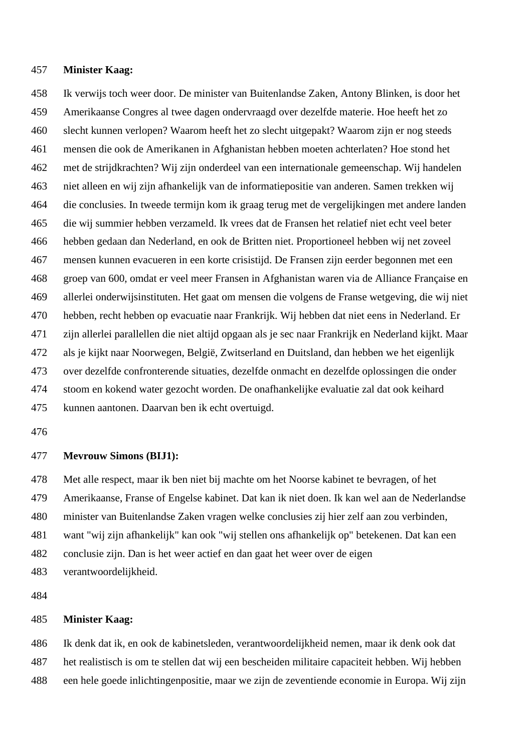## **Minister Kaag:**

 Ik verwijs toch weer door. De minister van Buitenlandse Zaken, Antony Blinken, is door het Amerikaanse Congres al twee dagen ondervraagd over dezelfde materie. Hoe heeft het zo slecht kunnen verlopen? Waarom heeft het zo slecht uitgepakt? Waarom zijn er nog steeds mensen die ook de Amerikanen in Afghanistan hebben moeten achterlaten? Hoe stond het met de strijdkrachten? Wij zijn onderdeel van een internationale gemeenschap. Wij handelen niet alleen en wij zijn afhankelijk van de informatiepositie van anderen. Samen trekken wij die conclusies. In tweede termijn kom ik graag terug met de vergelijkingen met andere landen die wij summier hebben verzameld. Ik vrees dat de Fransen het relatief niet echt veel beter hebben gedaan dan Nederland, en ook de Britten niet. Proportioneel hebben wij net zoveel mensen kunnen evacueren in een korte crisistijd. De Fransen zijn eerder begonnen met een groep van 600, omdat er veel meer Fransen in Afghanistan waren via de Alliance Française en allerlei onderwijsinstituten. Het gaat om mensen die volgens de Franse wetgeving, die wij niet hebben, recht hebben op evacuatie naar Frankrijk. Wij hebben dat niet eens in Nederland. Er zijn allerlei parallellen die niet altijd opgaan als je sec naar Frankrijk en Nederland kijkt. Maar als je kijkt naar Noorwegen, België, Zwitserland en Duitsland, dan hebben we het eigenlijk over dezelfde confronterende situaties, dezelfde onmacht en dezelfde oplossingen die onder stoom en kokend water gezocht worden. De onafhankelijke evaluatie zal dat ook keihard kunnen aantonen. Daarvan ben ik echt overtuigd.

## **Mevrouw Simons (BIJ1):**

 Met alle respect, maar ik ben niet bij machte om het Noorse kabinet te bevragen, of het Amerikaanse, Franse of Engelse kabinet. Dat kan ik niet doen. Ik kan wel aan de Nederlandse minister van Buitenlandse Zaken vragen welke conclusies zij hier zelf aan zou verbinden, want "wij zijn afhankelijk" kan ook "wij stellen ons afhankelijk op" betekenen. Dat kan een conclusie zijn. Dan is het weer actief en dan gaat het weer over de eigen

verantwoordelijkheid.

# **Minister Kaag:**

 Ik denk dat ik, en ook de kabinetsleden, verantwoordelijkheid nemen, maar ik denk ook dat het realistisch is om te stellen dat wij een bescheiden militaire capaciteit hebben. Wij hebben een hele goede inlichtingenpositie, maar we zijn de zeventiende economie in Europa. Wij zijn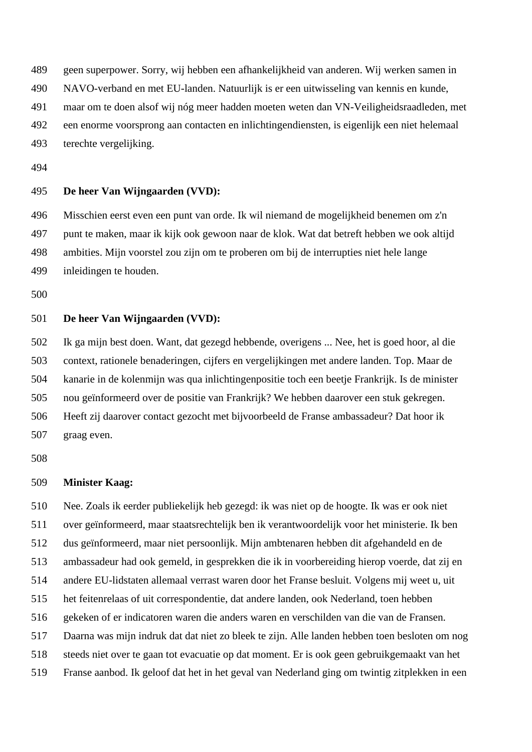geen superpower. Sorry, wij hebben een afhankelijkheid van anderen. Wij werken samen in

NAVO-verband en met EU-landen. Natuurlijk is er een uitwisseling van kennis en kunde,

maar om te doen alsof wij nóg meer hadden moeten weten dan VN-Veiligheidsraadleden, met

een enorme voorsprong aan contacten en inlichtingendiensten, is eigenlijk een niet helemaal

terechte vergelijking.

# **De heer Van Wijngaarden (VVD):**

 Misschien eerst even een punt van orde. Ik wil niemand de mogelijkheid benemen om z'n punt te maken, maar ik kijk ook gewoon naar de klok. Wat dat betreft hebben we ook altijd ambities. Mijn voorstel zou zijn om te proberen om bij de interrupties niet hele lange inleidingen te houden.

# **De heer Van Wijngaarden (VVD):**

 Ik ga mijn best doen. Want, dat gezegd hebbende, overigens ... Nee, het is goed hoor, al die context, rationele benaderingen, cijfers en vergelijkingen met andere landen. Top. Maar de kanarie in de kolenmijn was qua inlichtingenpositie toch een beetje Frankrijk. Is de minister nou geïnformeerd over de positie van Frankrijk? We hebben daarover een stuk gekregen. Heeft zij daarover contact gezocht met bijvoorbeeld de Franse ambassadeur? Dat hoor ik graag even.

### **Minister Kaag:**

 Nee. Zoals ik eerder publiekelijk heb gezegd: ik was niet op de hoogte. Ik was er ook niet over geïnformeerd, maar staatsrechtelijk ben ik verantwoordelijk voor het ministerie. Ik ben dus geïnformeerd, maar niet persoonlijk. Mijn ambtenaren hebben dit afgehandeld en de ambassadeur had ook gemeld, in gesprekken die ik in voorbereiding hierop voerde, dat zij en andere EU-lidstaten allemaal verrast waren door het Franse besluit. Volgens mij weet u, uit het feitenrelaas of uit correspondentie, dat andere landen, ook Nederland, toen hebben gekeken of er indicatoren waren die anders waren en verschilden van die van de Fransen. Daarna was mijn indruk dat dat niet zo bleek te zijn. Alle landen hebben toen besloten om nog steeds niet over te gaan tot evacuatie op dat moment. Er is ook geen gebruikgemaakt van het Franse aanbod. Ik geloof dat het in het geval van Nederland ging om twintig zitplekken in een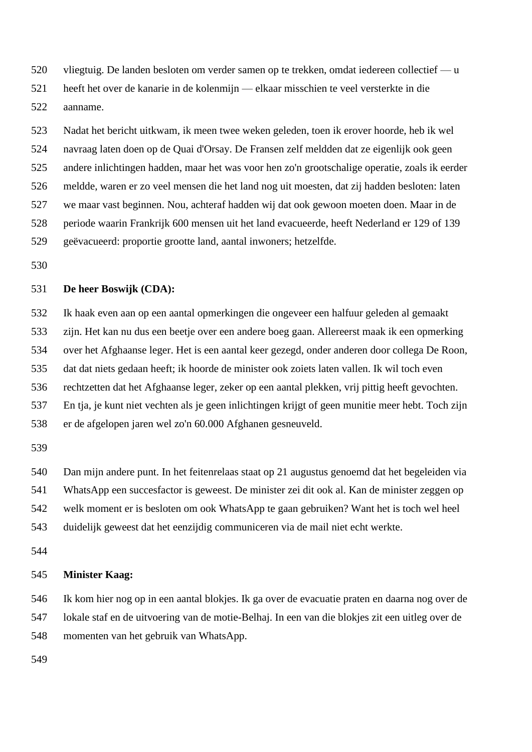vliegtuig. De landen besloten om verder samen op te trekken, omdat iedereen collectief — u

heeft het over de kanarie in de kolenmijn — elkaar misschien te veel versterkte in die

aanname.

 Nadat het bericht uitkwam, ik meen twee weken geleden, toen ik erover hoorde, heb ik wel navraag laten doen op de Quai d'Orsay. De Fransen zelf meldden dat ze eigenlijk ook geen andere inlichtingen hadden, maar het was voor hen zo'n grootschalige operatie, zoals ik eerder meldde, waren er zo veel mensen die het land nog uit moesten, dat zij hadden besloten: laten we maar vast beginnen. Nou, achteraf hadden wij dat ook gewoon moeten doen. Maar in de periode waarin Frankrijk 600 mensen uit het land evacueerde, heeft Nederland er 129 of 139 geëvacueerd: proportie grootte land, aantal inwoners; hetzelfde.

# **De heer Boswijk (CDA):**

 Ik haak even aan op een aantal opmerkingen die ongeveer een halfuur geleden al gemaakt zijn. Het kan nu dus een beetje over een andere boeg gaan. Allereerst maak ik een opmerking over het Afghaanse leger. Het is een aantal keer gezegd, onder anderen door collega De Roon, dat dat niets gedaan heeft; ik hoorde de minister ook zoiets laten vallen. Ik wil toch even rechtzetten dat het Afghaanse leger, zeker op een aantal plekken, vrij pittig heeft gevochten. En tja, je kunt niet vechten als je geen inlichtingen krijgt of geen munitie meer hebt. Toch zijn er de afgelopen jaren wel zo'n 60.000 Afghanen gesneuveld.

 Dan mijn andere punt. In het feitenrelaas staat op 21 augustus genoemd dat het begeleiden via WhatsApp een succesfactor is geweest. De minister zei dit ook al. Kan de minister zeggen op welk moment er is besloten om ook WhatsApp te gaan gebruiken? Want het is toch wel heel duidelijk geweest dat het eenzijdig communiceren via de mail niet echt werkte.

## **Minister Kaag:**

 Ik kom hier nog op in een aantal blokjes. Ik ga over de evacuatie praten en daarna nog over de lokale staf en de uitvoering van de motie-Belhaj. In een van die blokjes zit een uitleg over de momenten van het gebruik van WhatsApp.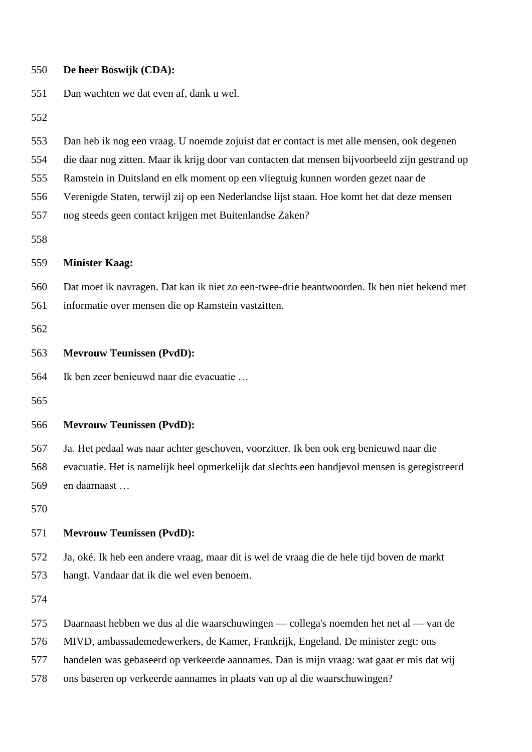| 550                                    | De heer Boswijk (CDA):                                                                                                                                                                                                                                                                                                                                                                                                                   |
|----------------------------------------|------------------------------------------------------------------------------------------------------------------------------------------------------------------------------------------------------------------------------------------------------------------------------------------------------------------------------------------------------------------------------------------------------------------------------------------|
| 551                                    | Dan wachten we dat even af, dank u wel.                                                                                                                                                                                                                                                                                                                                                                                                  |
| 552                                    |                                                                                                                                                                                                                                                                                                                                                                                                                                          |
| 553<br>554<br>555<br>556<br>557<br>558 | Dan heb ik nog een vraag. U noemde zojuist dat er contact is met alle mensen, ook degenen<br>die daar nog zitten. Maar ik krijg door van contacten dat mensen bijvoorbeeld zijn gestrand op<br>Ramstein in Duitsland en elk moment op een vliegtuig kunnen worden gezet naar de<br>Verenigde Staten, terwijl zij op een Nederlandse lijst staan. Hoe komt het dat deze mensen<br>nog steeds geen contact krijgen met Buitenlandse Zaken? |
| 559                                    | <b>Minister Kaag:</b>                                                                                                                                                                                                                                                                                                                                                                                                                    |
| 560<br>561<br>562                      | Dat moet ik navragen. Dat kan ik niet zo een-twee-drie beantwoorden. Ik ben niet bekend met<br>informatie over mensen die op Ramstein vastzitten.                                                                                                                                                                                                                                                                                        |
| 563                                    | <b>Mevrouw Teunissen (PvdD):</b>                                                                                                                                                                                                                                                                                                                                                                                                         |
| 564<br>565                             | Ik ben zeer benieuwd naar die evacuatie                                                                                                                                                                                                                                                                                                                                                                                                  |
| 566                                    | <b>Mevrouw Teunissen (PvdD):</b>                                                                                                                                                                                                                                                                                                                                                                                                         |
| 567<br>568<br>569<br>570               | Ja. Het pedaal was naar achter geschoven, voorzitter. Ik ben ook erg benieuwd naar die<br>evacuatie. Het is namelijk heel opmerkelijk dat slechts een handjevol mensen is geregistreerd<br>en daarnaast                                                                                                                                                                                                                                  |
| 571                                    | <b>Mevrouw Teunissen (PvdD):</b>                                                                                                                                                                                                                                                                                                                                                                                                         |
| 572<br>573<br>574                      | Ja, oké. Ik heb een andere vraag, maar dit is wel de vraag die de hele tijd boven de markt<br>hangt. Vandaar dat ik die wel even benoem.                                                                                                                                                                                                                                                                                                 |
| 575<br>576<br>577<br>578               | Daarnaast hebben we dus al die waarschuwingen — collega's noemden het net al — van de<br>MIVD, ambassademedewerkers, de Kamer, Frankrijk, Engeland. De minister zegt: ons<br>handelen was gebaseerd op verkeerde aannames. Dan is mijn vraag: wat gaat er mis dat wij<br>ons baseren op verkeerde aannames in plaats van op al die waarschuwingen?                                                                                       |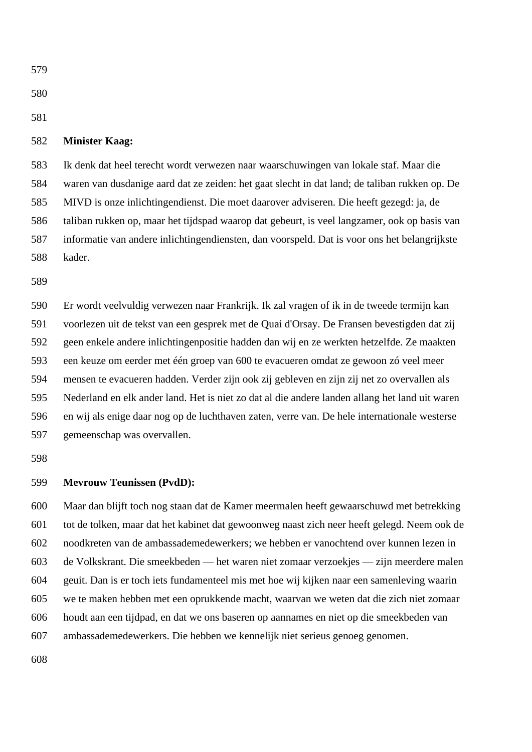# **Minister Kaag:**

 Ik denk dat heel terecht wordt verwezen naar waarschuwingen van lokale staf. Maar die waren van dusdanige aard dat ze zeiden: het gaat slecht in dat land; de taliban rukken op. De MIVD is onze inlichtingendienst. Die moet daarover adviseren. Die heeft gezegd: ja, de taliban rukken op, maar het tijdspad waarop dat gebeurt, is veel langzamer, ook op basis van informatie van andere inlichtingendiensten, dan voorspeld. Dat is voor ons het belangrijkste kader.

 Er wordt veelvuldig verwezen naar Frankrijk. Ik zal vragen of ik in de tweede termijn kan voorlezen uit de tekst van een gesprek met de Quai d'Orsay. De Fransen bevestigden dat zij geen enkele andere inlichtingenpositie hadden dan wij en ze werkten hetzelfde. Ze maakten een keuze om eerder met één groep van 600 te evacueren omdat ze gewoon zó veel meer mensen te evacueren hadden. Verder zijn ook zij gebleven en zijn zij net zo overvallen als Nederland en elk ander land. Het is niet zo dat al die andere landen allang het land uit waren en wij als enige daar nog op de luchthaven zaten, verre van. De hele internationale westerse gemeenschap was overvallen.

### **Mevrouw Teunissen (PvdD):**

 Maar dan blijft toch nog staan dat de Kamer meermalen heeft gewaarschuwd met betrekking tot de tolken, maar dat het kabinet dat gewoonweg naast zich neer heeft gelegd. Neem ook de noodkreten van de ambassademedewerkers; we hebben er vanochtend over kunnen lezen in de Volkskrant. Die smeekbeden — het waren niet zomaar verzoekjes — zijn meerdere malen geuit. Dan is er toch iets fundamenteel mis met hoe wij kijken naar een samenleving waarin we te maken hebben met een oprukkende macht, waarvan we weten dat die zich niet zomaar houdt aan een tijdpad, en dat we ons baseren op aannames en niet op die smeekbeden van ambassademedewerkers. Die hebben we kennelijk niet serieus genoeg genomen.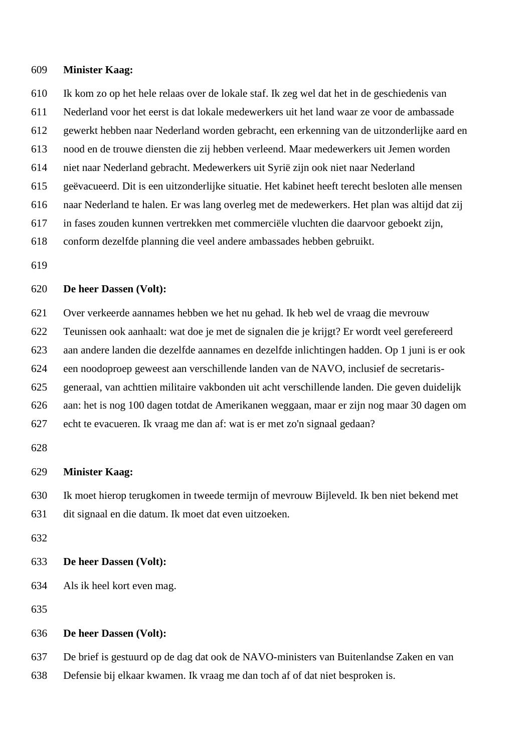#### **Minister Kaag:**

- Ik kom zo op het hele relaas over de lokale staf. Ik zeg wel dat het in de geschiedenis van
- Nederland voor het eerst is dat lokale medewerkers uit het land waar ze voor de ambassade
- gewerkt hebben naar Nederland worden gebracht, een erkenning van de uitzonderlijke aard en
- nood en de trouwe diensten die zij hebben verleend. Maar medewerkers uit Jemen worden
- niet naar Nederland gebracht. Medewerkers uit Syrië zijn ook niet naar Nederland
- geëvacueerd. Dit is een uitzonderlijke situatie. Het kabinet heeft terecht besloten alle mensen
- naar Nederland te halen. Er was lang overleg met de medewerkers. Het plan was altijd dat zij
- in fases zouden kunnen vertrekken met commerciële vluchten die daarvoor geboekt zijn,
- conform dezelfde planning die veel andere ambassades hebben gebruikt.
- 

# **De heer Dassen (Volt):**

Over verkeerde aannames hebben we het nu gehad. Ik heb wel de vraag die mevrouw

- Teunissen ook aanhaalt: wat doe je met de signalen die je krijgt? Er wordt veel gerefereerd
- aan andere landen die dezelfde aannames en dezelfde inlichtingen hadden. Op 1 juni is er ook
- een noodoproep geweest aan verschillende landen van de NAVO, inclusief de secretaris-
- generaal, van achttien militaire vakbonden uit acht verschillende landen. Die geven duidelijk
- aan: het is nog 100 dagen totdat de Amerikanen weggaan, maar er zijn nog maar 30 dagen om echt te evacueren. Ik vraag me dan af: wat is er met zo'n signaal gedaan?
- 

## **Minister Kaag:**

Ik moet hierop terugkomen in tweede termijn of mevrouw Bijleveld. Ik ben niet bekend met

- dit signaal en die datum. Ik moet dat even uitzoeken.
- 

#### **De heer Dassen (Volt):**

- Als ik heel kort even mag.
- 

## **De heer Dassen (Volt):**

De brief is gestuurd op de dag dat ook de NAVO-ministers van Buitenlandse Zaken en van

Defensie bij elkaar kwamen. Ik vraag me dan toch af of dat niet besproken is.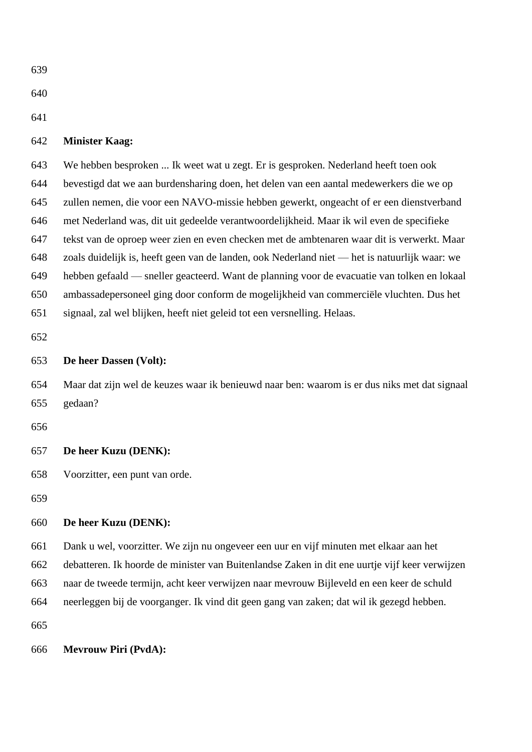| 639 |                                                                                         |
|-----|-----------------------------------------------------------------------------------------|
| 640 |                                                                                         |
| 641 |                                                                                         |
| 642 | <b>Minister Kaag:</b>                                                                   |
| 643 | We hebben besproken  Ik weet wat u zegt. Er is gesproken. Nederland heeft toen ook      |
| 644 | bevestigd dat we aan burdensharing doen, het delen van een aantal medewerkers die we op |
| 645 | zullen nemen, die voor een NAVO-missie hebben gewerkt, ongeacht of er een dienstverband |

met Nederland was, dit uit gedeelde verantwoordelijkheid. Maar ik wil even de specifieke

tekst van de oproep weer zien en even checken met de ambtenaren waar dit is verwerkt. Maar

zoals duidelijk is, heeft geen van de landen, ook Nederland niet — het is natuurlijk waar: we

hebben gefaald — sneller geacteerd. Want de planning voor de evacuatie van tolken en lokaal

ambassadepersoneel ging door conform de mogelijkheid van commerciële vluchten. Dus het

signaal, zal wel blijken, heeft niet geleid tot een versnelling. Helaas.

# **De heer Dassen (Volt):**

 Maar dat zijn wel de keuzes waar ik benieuwd naar ben: waarom is er dus niks met dat signaal gedaan?

# **De heer Kuzu (DENK):**

Voorzitter, een punt van orde.

# **De heer Kuzu (DENK):**

Dank u wel, voorzitter. We zijn nu ongeveer een uur en vijf minuten met elkaar aan het

debatteren. Ik hoorde de minister van Buitenlandse Zaken in dit ene uurtje vijf keer verwijzen

naar de tweede termijn, acht keer verwijzen naar mevrouw Bijleveld en een keer de schuld

neerleggen bij de voorganger. Ik vind dit geen gang van zaken; dat wil ik gezegd hebben.

# **Mevrouw Piri (PvdA):**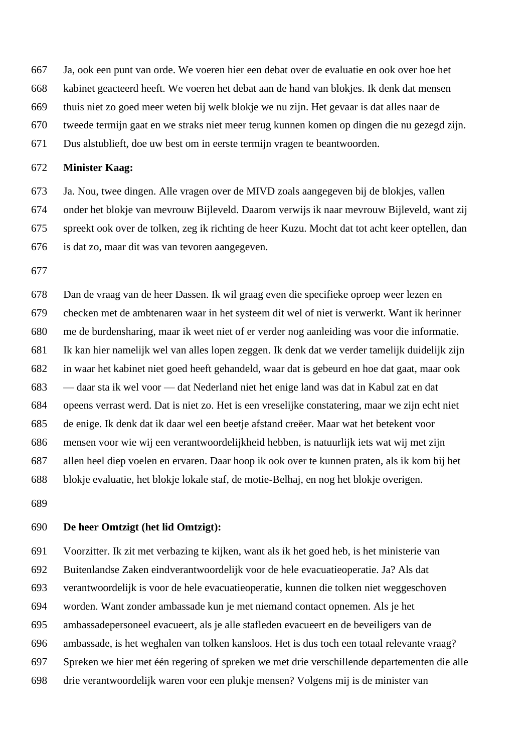Ja, ook een punt van orde. We voeren hier een debat over de evaluatie en ook over hoe het

kabinet geacteerd heeft. We voeren het debat aan de hand van blokjes. Ik denk dat mensen

thuis niet zo goed meer weten bij welk blokje we nu zijn. Het gevaar is dat alles naar de

tweede termijn gaat en we straks niet meer terug kunnen komen op dingen die nu gezegd zijn.

Dus alstublieft, doe uw best om in eerste termijn vragen te beantwoorden.

## **Minister Kaag:**

 Ja. Nou, twee dingen. Alle vragen over de MIVD zoals aangegeven bij de blokjes, vallen onder het blokje van mevrouw Bijleveld. Daarom verwijs ik naar mevrouw Bijleveld, want zij spreekt ook over de tolken, zeg ik richting de heer Kuzu. Mocht dat tot acht keer optellen, dan is dat zo, maar dit was van tevoren aangegeven.

 Dan de vraag van de heer Dassen. Ik wil graag even die specifieke oproep weer lezen en checken met de ambtenaren waar in het systeem dit wel of niet is verwerkt. Want ik herinner me de burdensharing, maar ik weet niet of er verder nog aanleiding was voor die informatie. Ik kan hier namelijk wel van alles lopen zeggen. Ik denk dat we verder tamelijk duidelijk zijn in waar het kabinet niet goed heeft gehandeld, waar dat is gebeurd en hoe dat gaat, maar ook — daar sta ik wel voor — dat Nederland niet het enige land was dat in Kabul zat en dat opeens verrast werd. Dat is niet zo. Het is een vreselijke constatering, maar we zijn echt niet de enige. Ik denk dat ik daar wel een beetje afstand creëer. Maar wat het betekent voor mensen voor wie wij een verantwoordelijkheid hebben, is natuurlijk iets wat wij met zijn allen heel diep voelen en ervaren. Daar hoop ik ook over te kunnen praten, als ik kom bij het blokje evaluatie, het blokje lokale staf, de motie-Belhaj, en nog het blokje overigen.

## **De heer Omtzigt (het lid Omtzigt):**

 Voorzitter. Ik zit met verbazing te kijken, want als ik het goed heb, is het ministerie van Buitenlandse Zaken eindverantwoordelijk voor de hele evacuatieoperatie. Ja? Als dat verantwoordelijk is voor de hele evacuatieoperatie, kunnen die tolken niet weggeschoven worden. Want zonder ambassade kun je met niemand contact opnemen. Als je het ambassadepersoneel evacueert, als je alle stafleden evacueert en de beveiligers van de ambassade, is het weghalen van tolken kansloos. Het is dus toch een totaal relevante vraag? Spreken we hier met één regering of spreken we met drie verschillende departementen die alle drie verantwoordelijk waren voor een plukje mensen? Volgens mij is de minister van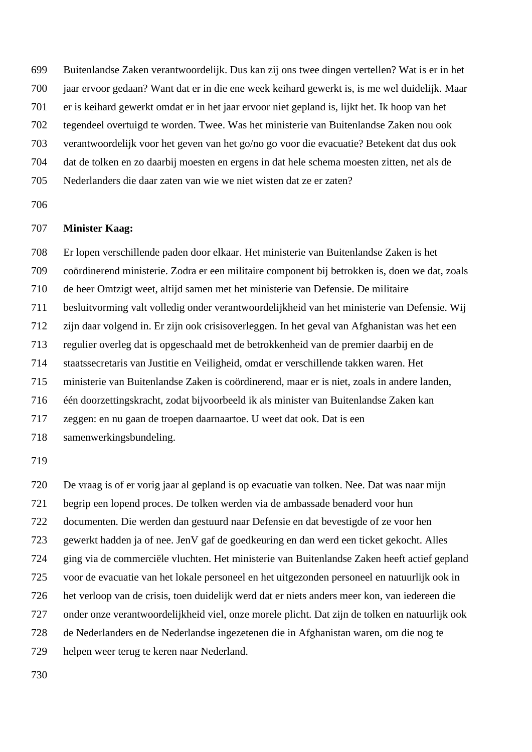Buitenlandse Zaken verantwoordelijk. Dus kan zij ons twee dingen vertellen? Wat is er in het jaar ervoor gedaan? Want dat er in die ene week keihard gewerkt is, is me wel duidelijk. Maar

er is keihard gewerkt omdat er in het jaar ervoor niet gepland is, lijkt het. Ik hoop van het

tegendeel overtuigd te worden. Twee. Was het ministerie van Buitenlandse Zaken nou ook

verantwoordelijk voor het geven van het go/no go voor die evacuatie? Betekent dat dus ook

dat de tolken en zo daarbij moesten en ergens in dat hele schema moesten zitten, net als de

Nederlanders die daar zaten van wie we niet wisten dat ze er zaten?

# **Minister Kaag:**

 Er lopen verschillende paden door elkaar. Het ministerie van Buitenlandse Zaken is het coördinerend ministerie. Zodra er een militaire component bij betrokken is, doen we dat, zoals de heer Omtzigt weet, altijd samen met het ministerie van Defensie. De militaire besluitvorming valt volledig onder verantwoordelijkheid van het ministerie van Defensie. Wij zijn daar volgend in. Er zijn ook crisisoverleggen. In het geval van Afghanistan was het een regulier overleg dat is opgeschaald met de betrokkenheid van de premier daarbij en de staatssecretaris van Justitie en Veiligheid, omdat er verschillende takken waren. Het ministerie van Buitenlandse Zaken is coördinerend, maar er is niet, zoals in andere landen, één doorzettingskracht, zodat bijvoorbeeld ik als minister van Buitenlandse Zaken kan zeggen: en nu gaan de troepen daarnaartoe. U weet dat ook. Dat is een samenwerkingsbundeling.

 De vraag is of er vorig jaar al gepland is op evacuatie van tolken. Nee. Dat was naar mijn begrip een lopend proces. De tolken werden via de ambassade benaderd voor hun documenten. Die werden dan gestuurd naar Defensie en dat bevestigde of ze voor hen gewerkt hadden ja of nee. JenV gaf de goedkeuring en dan werd een ticket gekocht. Alles ging via de commerciële vluchten. Het ministerie van Buitenlandse Zaken heeft actief gepland voor de evacuatie van het lokale personeel en het uitgezonden personeel en natuurlijk ook in het verloop van de crisis, toen duidelijk werd dat er niets anders meer kon, van iedereen die onder onze verantwoordelijkheid viel, onze morele plicht. Dat zijn de tolken en natuurlijk ook de Nederlanders en de Nederlandse ingezetenen die in Afghanistan waren, om die nog te helpen weer terug te keren naar Nederland.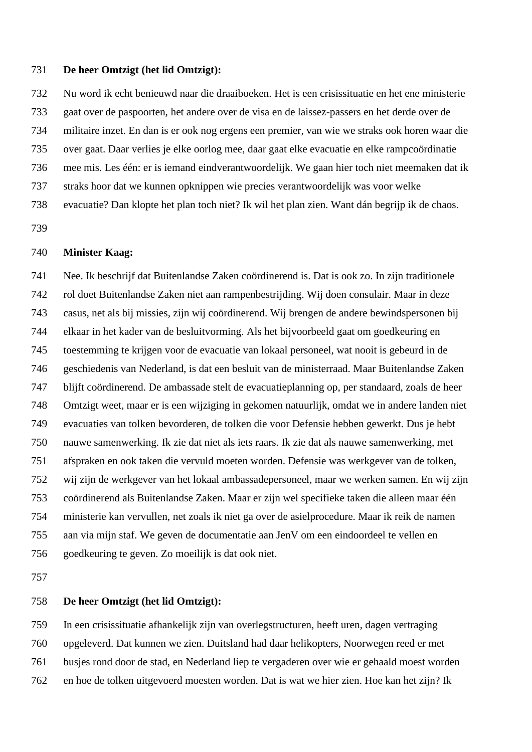# **De heer Omtzigt (het lid Omtzigt):**

 Nu word ik echt benieuwd naar die draaiboeken. Het is een crisissituatie en het ene ministerie gaat over de paspoorten, het andere over de visa en de laissez-passers en het derde over de militaire inzet. En dan is er ook nog ergens een premier, van wie we straks ook horen waar die over gaat. Daar verlies je elke oorlog mee, daar gaat elke evacuatie en elke rampcoördinatie mee mis. Les één: er is iemand eindverantwoordelijk. We gaan hier toch niet meemaken dat ik straks hoor dat we kunnen opknippen wie precies verantwoordelijk was voor welke evacuatie? Dan klopte het plan toch niet? Ik wil het plan zien. Want dán begrijp ik de chaos.

## **Minister Kaag:**

 Nee. Ik beschrijf dat Buitenlandse Zaken coördinerend is. Dat is ook zo. In zijn traditionele rol doet Buitenlandse Zaken niet aan rampenbestrijding. Wij doen consulair. Maar in deze casus, net als bij missies, zijn wij coördinerend. Wij brengen de andere bewindspersonen bij elkaar in het kader van de besluitvorming. Als het bijvoorbeeld gaat om goedkeuring en toestemming te krijgen voor de evacuatie van lokaal personeel, wat nooit is gebeurd in de geschiedenis van Nederland, is dat een besluit van de ministerraad. Maar Buitenlandse Zaken blijft coördinerend. De ambassade stelt de evacuatieplanning op, per standaard, zoals de heer Omtzigt weet, maar er is een wijziging in gekomen natuurlijk, omdat we in andere landen niet evacuaties van tolken bevorderen, de tolken die voor Defensie hebben gewerkt. Dus je hebt nauwe samenwerking. Ik zie dat niet als iets raars. Ik zie dat als nauwe samenwerking, met afspraken en ook taken die vervuld moeten worden. Defensie was werkgever van de tolken, wij zijn de werkgever van het lokaal ambassadepersoneel, maar we werken samen. En wij zijn coördinerend als Buitenlandse Zaken. Maar er zijn wel specifieke taken die alleen maar één ministerie kan vervullen, net zoals ik niet ga over de asielprocedure. Maar ik reik de namen aan via mijn staf. We geven de documentatie aan JenV om een eindoordeel te vellen en goedkeuring te geven. Zo moeilijk is dat ook niet.

#### **De heer Omtzigt (het lid Omtzigt):**

 In een crisissituatie afhankelijk zijn van overlegstructuren, heeft uren, dagen vertraging opgeleverd. Dat kunnen we zien. Duitsland had daar helikopters, Noorwegen reed er met busjes rond door de stad, en Nederland liep te vergaderen over wie er gehaald moest worden en hoe de tolken uitgevoerd moesten worden. Dat is wat we hier zien. Hoe kan het zijn? Ik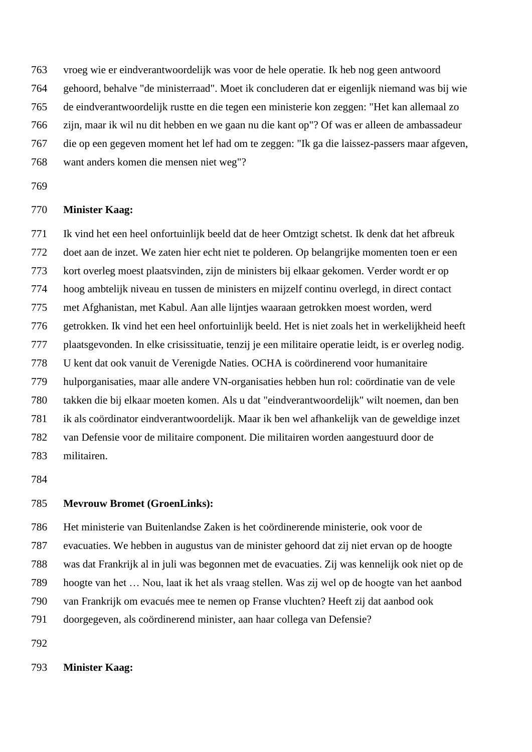vroeg wie er eindverantwoordelijk was voor de hele operatie. Ik heb nog geen antwoord

gehoord, behalve "de ministerraad". Moet ik concluderen dat er eigenlijk niemand was bij wie

de eindverantwoordelijk rustte en die tegen een ministerie kon zeggen: "Het kan allemaal zo

- zijn, maar ik wil nu dit hebben en we gaan nu die kant op"? Of was er alleen de ambassadeur
- die op een gegeven moment het lef had om te zeggen: "Ik ga die laissez-passers maar afgeven,
- 
- 

# **Minister Kaag:**

want anders komen die mensen niet weg"?

 Ik vind het een heel onfortuinlijk beeld dat de heer Omtzigt schetst. Ik denk dat het afbreuk doet aan de inzet. We zaten hier echt niet te polderen. Op belangrijke momenten toen er een kort overleg moest plaatsvinden, zijn de ministers bij elkaar gekomen. Verder wordt er op hoog ambtelijk niveau en tussen de ministers en mijzelf continu overlegd, in direct contact met Afghanistan, met Kabul. Aan alle lijntjes waaraan getrokken moest worden, werd getrokken. Ik vind het een heel onfortuinlijk beeld. Het is niet zoals het in werkelijkheid heeft plaatsgevonden. In elke crisissituatie, tenzij je een militaire operatie leidt, is er overleg nodig. U kent dat ook vanuit de Verenigde Naties. OCHA is coördinerend voor humanitaire hulporganisaties, maar alle andere VN-organisaties hebben hun rol: coördinatie van de vele takken die bij elkaar moeten komen. Als u dat "eindverantwoordelijk" wilt noemen, dan ben ik als coördinator eindverantwoordelijk. Maar ik ben wel afhankelijk van de geweldige inzet van Defensie voor de militaire component. Die militairen worden aangestuurd door de militairen.

# **Mevrouw Bromet (GroenLinks):**

 Het ministerie van Buitenlandse Zaken is het coördinerende ministerie, ook voor de evacuaties. We hebben in augustus van de minister gehoord dat zij niet ervan op de hoogte was dat Frankrijk al in juli was begonnen met de evacuaties. Zij was kennelijk ook niet op de hoogte van het … Nou, laat ik het als vraag stellen. Was zij wel op de hoogte van het aanbod van Frankrijk om evacués mee te nemen op Franse vluchten? Heeft zij dat aanbod ook doorgegeven, als coördinerend minister, aan haar collega van Defensie?

# **Minister Kaag:**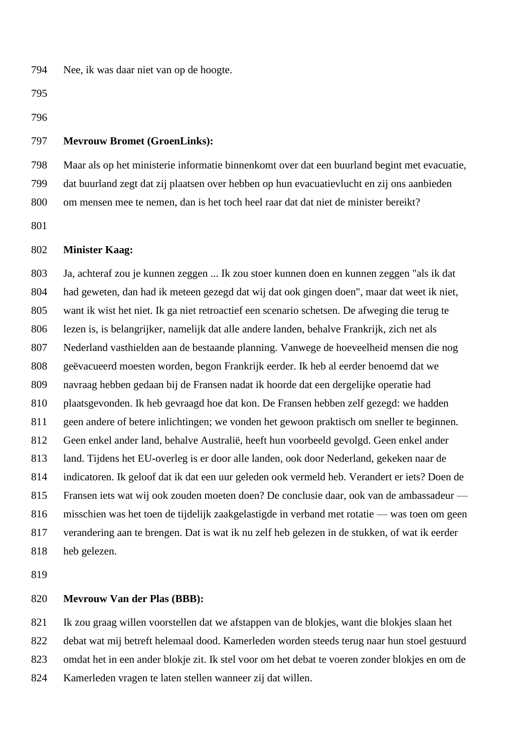Nee, ik was daar niet van op de hoogte.

### **Mevrouw Bromet (GroenLinks):**

 Maar als op het ministerie informatie binnenkomt over dat een buurland begint met evacuatie, dat buurland zegt dat zij plaatsen over hebben op hun evacuatievlucht en zij ons aanbieden om mensen mee te nemen, dan is het toch heel raar dat dat niet de minister bereikt?

# **Minister Kaag:**

 Ja, achteraf zou je kunnen zeggen ... Ik zou stoer kunnen doen en kunnen zeggen "als ik dat had geweten, dan had ik meteen gezegd dat wij dat ook gingen doen", maar dat weet ik niet, want ik wist het niet. Ik ga niet retroactief een scenario schetsen. De afweging die terug te lezen is, is belangrijker, namelijk dat alle andere landen, behalve Frankrijk, zich net als Nederland vasthielden aan de bestaande planning. Vanwege de hoeveelheid mensen die nog geëvacueerd moesten worden, begon Frankrijk eerder. Ik heb al eerder benoemd dat we navraag hebben gedaan bij de Fransen nadat ik hoorde dat een dergelijke operatie had plaatsgevonden. Ik heb gevraagd hoe dat kon. De Fransen hebben zelf gezegd: we hadden geen andere of betere inlichtingen; we vonden het gewoon praktisch om sneller te beginnen. Geen enkel ander land, behalve Australië, heeft hun voorbeeld gevolgd. Geen enkel ander land. Tijdens het EU-overleg is er door alle landen, ook door Nederland, gekeken naar de indicatoren. Ik geloof dat ik dat een uur geleden ook vermeld heb. Verandert er iets? Doen de Fransen iets wat wij ook zouden moeten doen? De conclusie daar, ook van de ambassadeur — misschien was het toen de tijdelijk zaakgelastigde in verband met rotatie — was toen om geen verandering aan te brengen. Dat is wat ik nu zelf heb gelezen in de stukken, of wat ik eerder heb gelezen.

#### **Mevrouw Van der Plas (BBB):**

 Ik zou graag willen voorstellen dat we afstappen van de blokjes, want die blokjes slaan het debat wat mij betreft helemaal dood. Kamerleden worden steeds terug naar hun stoel gestuurd omdat het in een ander blokje zit. Ik stel voor om het debat te voeren zonder blokjes en om de

Kamerleden vragen te laten stellen wanneer zij dat willen.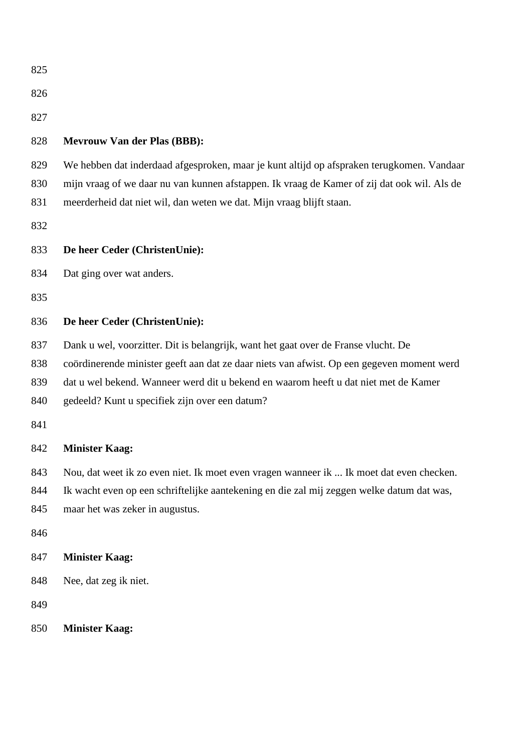| 825                             |                                                                                                                                                                                                                                                                                                                          |
|---------------------------------|--------------------------------------------------------------------------------------------------------------------------------------------------------------------------------------------------------------------------------------------------------------------------------------------------------------------------|
| 826                             |                                                                                                                                                                                                                                                                                                                          |
| 827                             |                                                                                                                                                                                                                                                                                                                          |
| 828                             | <b>Mevrouw Van der Plas (BBB):</b>                                                                                                                                                                                                                                                                                       |
| 829<br>830<br>831<br>832        | We hebben dat inderdaad afgesproken, maar je kunt altijd op afspraken terugkomen. Vandaar<br>mijn vraag of we daar nu van kunnen afstappen. Ik vraag de Kamer of zij dat ook wil. Als de<br>meerderheid dat niet wil, dan weten we dat. Mijn vraag blijft staan.                                                         |
| 833                             | De heer Ceder (ChristenUnie):                                                                                                                                                                                                                                                                                            |
| 834                             | Dat ging over wat anders.                                                                                                                                                                                                                                                                                                |
| 835                             |                                                                                                                                                                                                                                                                                                                          |
| 836                             | De heer Ceder (ChristenUnie):                                                                                                                                                                                                                                                                                            |
| 837<br>838<br>839<br>840<br>841 | Dank u wel, voorzitter. Dit is belangrijk, want het gaat over de Franse vlucht. De<br>coördinerende minister geeft aan dat ze daar niets van afwist. Op een gegeven moment werd<br>dat u wel bekend. Wanneer werd dit u bekend en waarom heeft u dat niet met de Kamer<br>gedeeld? Kunt u specifiek zijn over een datum? |
| 842                             | <b>Minister Kaag:</b>                                                                                                                                                                                                                                                                                                    |
| 843<br>844<br>845<br>846        | Nou, dat weet ik zo even niet. Ik moet even vragen wanneer ik  Ik moet dat even checken.<br>Ik wacht even op een schriftelijke aantekening en die zal mij zeggen welke datum dat was,<br>maar het was zeker in augustus.                                                                                                 |
| 847                             | <b>Minister Kaag:</b>                                                                                                                                                                                                                                                                                                    |
| 848                             | Nee, dat zeg ik niet.                                                                                                                                                                                                                                                                                                    |
| 849                             |                                                                                                                                                                                                                                                                                                                          |
| 850                             | <b>Minister Kaag:</b>                                                                                                                                                                                                                                                                                                    |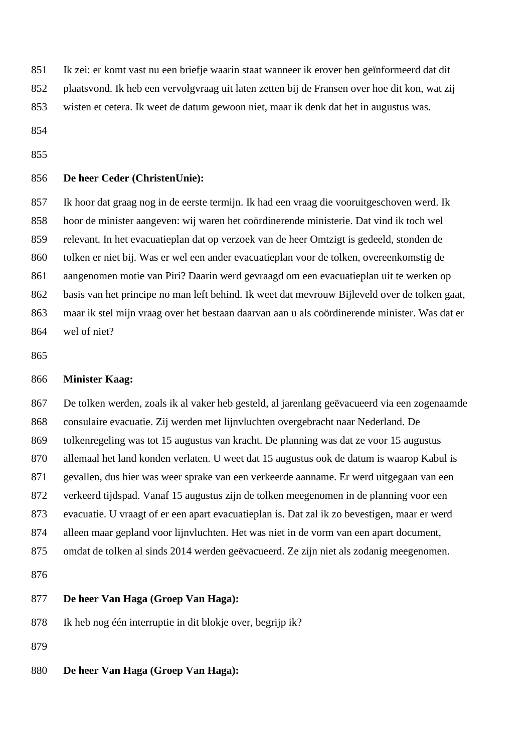Ik zei: er komt vast nu een briefje waarin staat wanneer ik erover ben geïnformeerd dat dit

plaatsvond. Ik heb een vervolgvraag uit laten zetten bij de Fransen over hoe dit kon, wat zij

wisten et cetera. Ik weet de datum gewoon niet, maar ik denk dat het in augustus was.

# **De heer Ceder (ChristenUnie):**

 Ik hoor dat graag nog in de eerste termijn. Ik had een vraag die vooruitgeschoven werd. Ik hoor de minister aangeven: wij waren het coördinerende ministerie. Dat vind ik toch wel relevant. In het evacuatieplan dat op verzoek van de heer Omtzigt is gedeeld, stonden de tolken er niet bij. Was er wel een ander evacuatieplan voor de tolken, overeenkomstig de aangenomen motie van Piri? Daarin werd gevraagd om een evacuatieplan uit te werken op basis van het principe no man left behind. Ik weet dat mevrouw Bijleveld over de tolken gaat, maar ik stel mijn vraag over het bestaan daarvan aan u als coördinerende minister. Was dat er wel of niet?

# **Minister Kaag:**

 De tolken werden, zoals ik al vaker heb gesteld, al jarenlang geëvacueerd via een zogenaamde consulaire evacuatie. Zij werden met lijnvluchten overgebracht naar Nederland. De tolkenregeling was tot 15 augustus van kracht. De planning was dat ze voor 15 augustus allemaal het land konden verlaten. U weet dat 15 augustus ook de datum is waarop Kabul is gevallen, dus hier was weer sprake van een verkeerde aanname. Er werd uitgegaan van een verkeerd tijdspad. Vanaf 15 augustus zijn de tolken meegenomen in de planning voor een evacuatie. U vraagt of er een apart evacuatieplan is. Dat zal ik zo bevestigen, maar er werd alleen maar gepland voor lijnvluchten. Het was niet in de vorm van een apart document, omdat de tolken al sinds 2014 werden geëvacueerd. Ze zijn niet als zodanig meegenomen. 

# **De heer Van Haga (Groep Van Haga):**

Ik heb nog één interruptie in dit blokje over, begrijp ik?

**De heer Van Haga (Groep Van Haga):**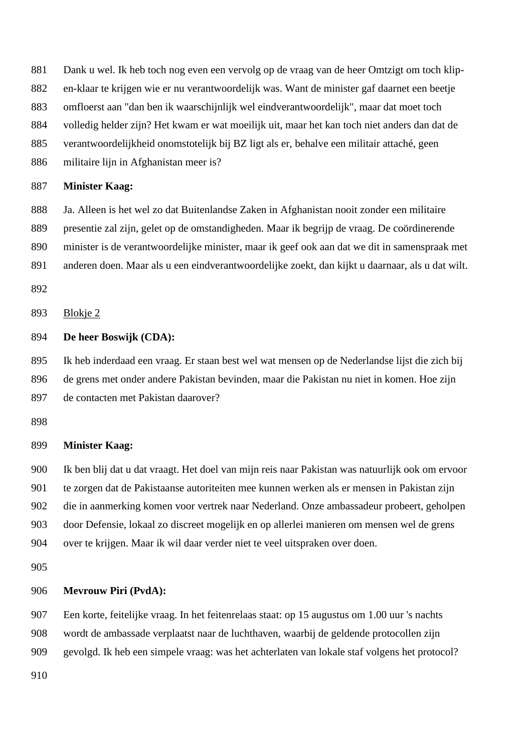Dank u wel. Ik heb toch nog even een vervolg op de vraag van de heer Omtzigt om toch klip-

- en-klaar te krijgen wie er nu verantwoordelijk was. Want de minister gaf daarnet een beetje
- omfloerst aan "dan ben ik waarschijnlijk wel eindverantwoordelijk", maar dat moet toch
- volledig helder zijn? Het kwam er wat moeilijk uit, maar het kan toch niet anders dan dat de
- verantwoordelijkheid onomstotelijk bij BZ ligt als er, behalve een militair attaché, geen
- militaire lijn in Afghanistan meer is?

### **Minister Kaag:**

 Ja. Alleen is het wel zo dat Buitenlandse Zaken in Afghanistan nooit zonder een militaire presentie zal zijn, gelet op de omstandigheden. Maar ik begrijp de vraag. De coördinerende minister is de verantwoordelijke minister, maar ik geef ook aan dat we dit in samenspraak met anderen doen. Maar als u een eindverantwoordelijke zoekt, dan kijkt u daarnaar, als u dat wilt.

Blokje 2

# **De heer Boswijk (CDA):**

 Ik heb inderdaad een vraag. Er staan best wel wat mensen op de Nederlandse lijst die zich bij de grens met onder andere Pakistan bevinden, maar die Pakistan nu niet in komen. Hoe zijn de contacten met Pakistan daarover?

# **Minister Kaag:**

 Ik ben blij dat u dat vraagt. Het doel van mijn reis naar Pakistan was natuurlijk ook om ervoor te zorgen dat de Pakistaanse autoriteiten mee kunnen werken als er mensen in Pakistan zijn die in aanmerking komen voor vertrek naar Nederland. Onze ambassadeur probeert, geholpen door Defensie, lokaal zo discreet mogelijk en op allerlei manieren om mensen wel de grens over te krijgen. Maar ik wil daar verder niet te veel uitspraken over doen.

# **Mevrouw Piri (PvdA):**

 Een korte, feitelijke vraag. In het feitenrelaas staat: op 15 augustus om 1.00 uur 's nachts wordt de ambassade verplaatst naar de luchthaven, waarbij de geldende protocollen zijn gevolgd. Ik heb een simpele vraag: was het achterlaten van lokale staf volgens het protocol?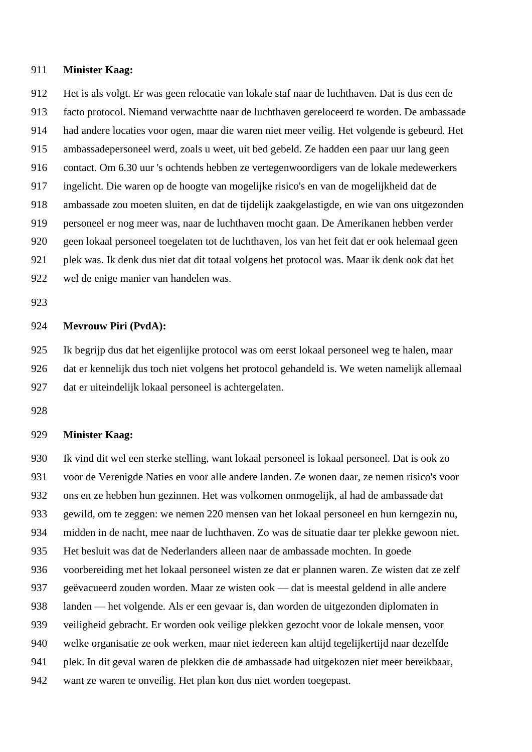Het is als volgt. Er was geen relocatie van lokale staf naar de luchthaven. Dat is dus een de facto protocol. Niemand verwachtte naar de luchthaven gereloceerd te worden. De ambassade had andere locaties voor ogen, maar die waren niet meer veilig. Het volgende is gebeurd. Het ambassadepersoneel werd, zoals u weet, uit bed gebeld. Ze hadden een paar uur lang geen contact. Om 6.30 uur 's ochtends hebben ze vertegenwoordigers van de lokale medewerkers ingelicht. Die waren op de hoogte van mogelijke risico's en van de mogelijkheid dat de ambassade zou moeten sluiten, en dat de tijdelijk zaakgelastigde, en wie van ons uitgezonden personeel er nog meer was, naar de luchthaven mocht gaan. De Amerikanen hebben verder geen lokaal personeel toegelaten tot de luchthaven, los van het feit dat er ook helemaal geen plek was. Ik denk dus niet dat dit totaal volgens het protocol was. Maar ik denk ook dat het wel de enige manier van handelen was.

## **Mevrouw Piri (PvdA):**

 Ik begrijp dus dat het eigenlijke protocol was om eerst lokaal personeel weg te halen, maar dat er kennelijk dus toch niet volgens het protocol gehandeld is. We weten namelijk allemaal dat er uiteindelijk lokaal personeel is achtergelaten.

# **Minister Kaag:**

 Ik vind dit wel een sterke stelling, want lokaal personeel is lokaal personeel. Dat is ook zo voor de Verenigde Naties en voor alle andere landen. Ze wonen daar, ze nemen risico's voor ons en ze hebben hun gezinnen. Het was volkomen onmogelijk, al had de ambassade dat gewild, om te zeggen: we nemen 220 mensen van het lokaal personeel en hun kerngezin nu, midden in de nacht, mee naar de luchthaven. Zo was de situatie daar ter plekke gewoon niet. Het besluit was dat de Nederlanders alleen naar de ambassade mochten. In goede voorbereiding met het lokaal personeel wisten ze dat er plannen waren. Ze wisten dat ze zelf geëvacueerd zouden worden. Maar ze wisten ook — dat is meestal geldend in alle andere landen — het volgende. Als er een gevaar is, dan worden de uitgezonden diplomaten in veiligheid gebracht. Er worden ook veilige plekken gezocht voor de lokale mensen, voor welke organisatie ze ook werken, maar niet iedereen kan altijd tegelijkertijd naar dezelfde plek. In dit geval waren de plekken die de ambassade had uitgekozen niet meer bereikbaar, want ze waren te onveilig. Het plan kon dus niet worden toegepast.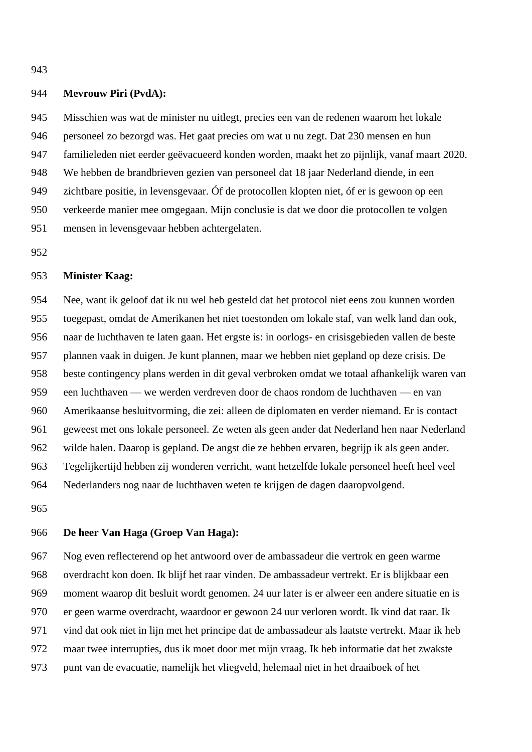### **Mevrouw Piri (PvdA):**

 Misschien was wat de minister nu uitlegt, precies een van de redenen waarom het lokale personeel zo bezorgd was. Het gaat precies om wat u nu zegt. Dat 230 mensen en hun familieleden niet eerder geëvacueerd konden worden, maakt het zo pijnlijk, vanaf maart 2020. We hebben de brandbrieven gezien van personeel dat 18 jaar Nederland diende, in een zichtbare positie, in levensgevaar. Óf de protocollen klopten niet, óf er is gewoon op een verkeerde manier mee omgegaan. Mijn conclusie is dat we door die protocollen te volgen mensen in levensgevaar hebben achtergelaten.

#### **Minister Kaag:**

 Nee, want ik geloof dat ik nu wel heb gesteld dat het protocol niet eens zou kunnen worden toegepast, omdat de Amerikanen het niet toestonden om lokale staf, van welk land dan ook, naar de luchthaven te laten gaan. Het ergste is: in oorlogs- en crisisgebieden vallen de beste plannen vaak in duigen. Je kunt plannen, maar we hebben niet gepland op deze crisis. De beste contingency plans werden in dit geval verbroken omdat we totaal afhankelijk waren van een luchthaven — we werden verdreven door de chaos rondom de luchthaven — en van Amerikaanse besluitvorming, die zei: alleen de diplomaten en verder niemand. Er is contact geweest met ons lokale personeel. Ze weten als geen ander dat Nederland hen naar Nederland wilde halen. Daarop is gepland. De angst die ze hebben ervaren, begrijp ik als geen ander. Tegelijkertijd hebben zij wonderen verricht, want hetzelfde lokale personeel heeft heel veel Nederlanders nog naar de luchthaven weten te krijgen de dagen daaropvolgend.

## **De heer Van Haga (Groep Van Haga):**

 Nog even reflecterend op het antwoord over de ambassadeur die vertrok en geen warme overdracht kon doen. Ik blijf het raar vinden. De ambassadeur vertrekt. Er is blijkbaar een moment waarop dit besluit wordt genomen. 24 uur later is er alweer een andere situatie en is er geen warme overdracht, waardoor er gewoon 24 uur verloren wordt. Ik vind dat raar. Ik vind dat ook niet in lijn met het principe dat de ambassadeur als laatste vertrekt. Maar ik heb maar twee interrupties, dus ik moet door met mijn vraag. Ik heb informatie dat het zwakste punt van de evacuatie, namelijk het vliegveld, helemaal niet in het draaiboek of het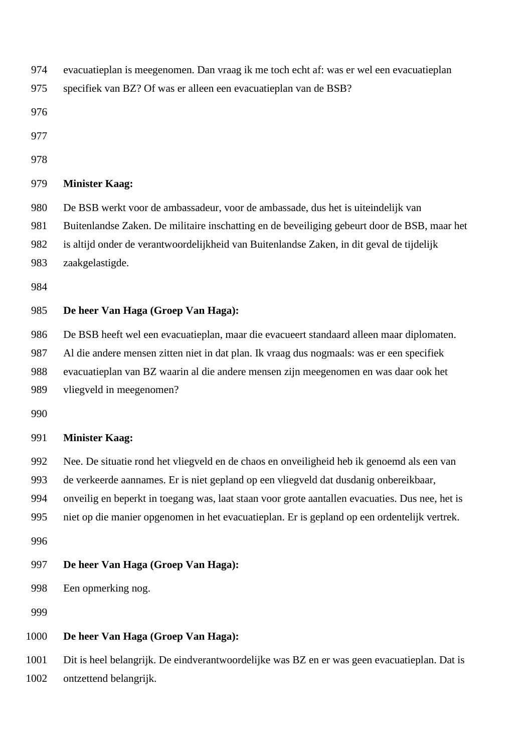- evacuatieplan is meegenomen. Dan vraag ik me toch echt af: was er wel een evacuatieplan
- specifiek van BZ? Of was er alleen een evacuatieplan van de BSB?
- 
- 
- 

- De BSB werkt voor de ambassadeur, voor de ambassade, dus het is uiteindelijk van
- Buitenlandse Zaken. De militaire inschatting en de beveiliging gebeurt door de BSB, maar het
- is altijd onder de verantwoordelijkheid van Buitenlandse Zaken, in dit geval de tijdelijk
- zaakgelastigde.
- 

# **De heer Van Haga (Groep Van Haga):**

- De BSB heeft wel een evacuatieplan, maar die evacueert standaard alleen maar diplomaten.
- Al die andere mensen zitten niet in dat plan. Ik vraag dus nogmaals: was er een specifiek
- evacuatieplan van BZ waarin al die andere mensen zijn meegenomen en was daar ook het
- vliegveld in meegenomen?
- 

# **Minister Kaag:**

- Nee. De situatie rond het vliegveld en de chaos en onveiligheid heb ik genoemd als een van
- de verkeerde aannames. Er is niet gepland op een vliegveld dat dusdanig onbereikbaar,
- onveilig en beperkt in toegang was, laat staan voor grote aantallen evacuaties. Dus nee, het is
- niet op die manier opgenomen in het evacuatieplan. Er is gepland op een ordentelijk vertrek.
- 

# **De heer Van Haga (Groep Van Haga):**

- Een opmerking nog.
- 

# **De heer Van Haga (Groep Van Haga):**

 Dit is heel belangrijk. De eindverantwoordelijke was BZ en er was geen evacuatieplan. Dat is ontzettend belangrijk.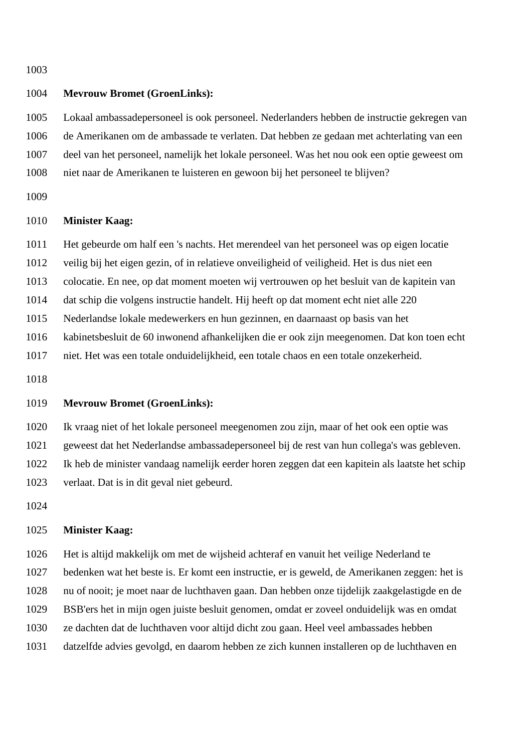# **Mevrouw Bromet (GroenLinks):**

 Lokaal ambassadepersoneel is ook personeel. Nederlanders hebben de instructie gekregen van de Amerikanen om de ambassade te verlaten. Dat hebben ze gedaan met achterlating van een deel van het personeel, namelijk het lokale personeel. Was het nou ook een optie geweest om niet naar de Amerikanen te luisteren en gewoon bij het personeel te blijven?

#### **Minister Kaag:**

Het gebeurde om half een 's nachts. Het merendeel van het personeel was op eigen locatie

veilig bij het eigen gezin, of in relatieve onveiligheid of veiligheid. Het is dus niet een

colocatie. En nee, op dat moment moeten wij vertrouwen op het besluit van de kapitein van

dat schip die volgens instructie handelt. Hij heeft op dat moment echt niet alle 220

Nederlandse lokale medewerkers en hun gezinnen, en daarnaast op basis van het

kabinetsbesluit de 60 inwonend afhankelijken die er ook zijn meegenomen. Dat kon toen echt

niet. Het was een totale onduidelijkheid, een totale chaos en een totale onzekerheid.

### **Mevrouw Bromet (GroenLinks):**

Ik vraag niet of het lokale personeel meegenomen zou zijn, maar of het ook een optie was

geweest dat het Nederlandse ambassadepersoneel bij de rest van hun collega's was gebleven.

Ik heb de minister vandaag namelijk eerder horen zeggen dat een kapitein als laatste het schip

verlaat. Dat is in dit geval niet gebeurd.

## **Minister Kaag:**

 Het is altijd makkelijk om met de wijsheid achteraf en vanuit het veilige Nederland te bedenken wat het beste is. Er komt een instructie, er is geweld, de Amerikanen zeggen: het is nu of nooit; je moet naar de luchthaven gaan. Dan hebben onze tijdelijk zaakgelastigde en de BSB'ers het in mijn ogen juiste besluit genomen, omdat er zoveel onduidelijk was en omdat ze dachten dat de luchthaven voor altijd dicht zou gaan. Heel veel ambassades hebben datzelfde advies gevolgd, en daarom hebben ze zich kunnen installeren op de luchthaven en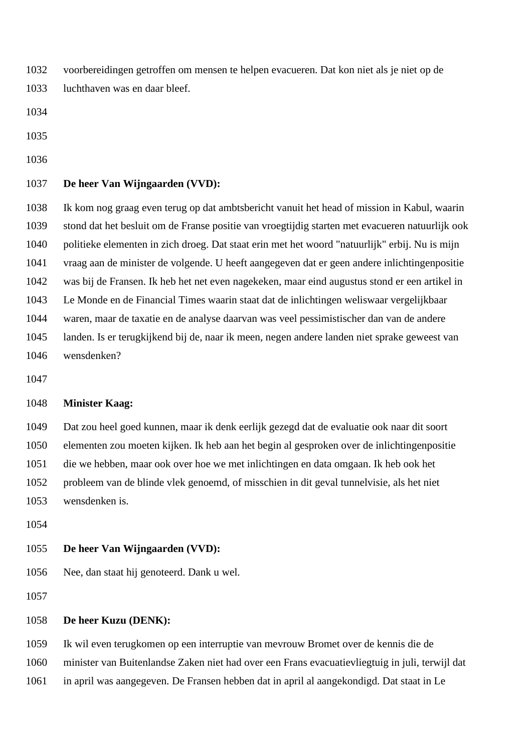voorbereidingen getroffen om mensen te helpen evacueren. Dat kon niet als je niet op de luchthaven was en daar bleef.

# **De heer Van Wijngaarden (VVD):**

 Ik kom nog graag even terug op dat ambtsbericht vanuit het head of mission in Kabul, waarin stond dat het besluit om de Franse positie van vroegtijdig starten met evacueren natuurlijk ook politieke elementen in zich droeg. Dat staat erin met het woord "natuurlijk" erbij. Nu is mijn vraag aan de minister de volgende. U heeft aangegeven dat er geen andere inlichtingenpositie was bij de Fransen. Ik heb het net even nagekeken, maar eind augustus stond er een artikel in Le Monde en de Financial Times waarin staat dat de inlichtingen weliswaar vergelijkbaar waren, maar de taxatie en de analyse daarvan was veel pessimistischer dan van de andere landen. Is er terugkijkend bij de, naar ik meen, negen andere landen niet sprake geweest van wensdenken?

## **Minister Kaag:**

 Dat zou heel goed kunnen, maar ik denk eerlijk gezegd dat de evaluatie ook naar dit soort elementen zou moeten kijken. Ik heb aan het begin al gesproken over de inlichtingenpositie die we hebben, maar ook over hoe we met inlichtingen en data omgaan. Ik heb ook het probleem van de blinde vlek genoemd, of misschien in dit geval tunnelvisie, als het niet wensdenken is.

# **De heer Van Wijngaarden (VVD):**

Nee, dan staat hij genoteerd. Dank u wel.

# **De heer Kuzu (DENK):**

Ik wil even terugkomen op een interruptie van mevrouw Bromet over de kennis die de

minister van Buitenlandse Zaken niet had over een Frans evacuatievliegtuig in juli, terwijl dat

in april was aangegeven. De Fransen hebben dat in april al aangekondigd. Dat staat in Le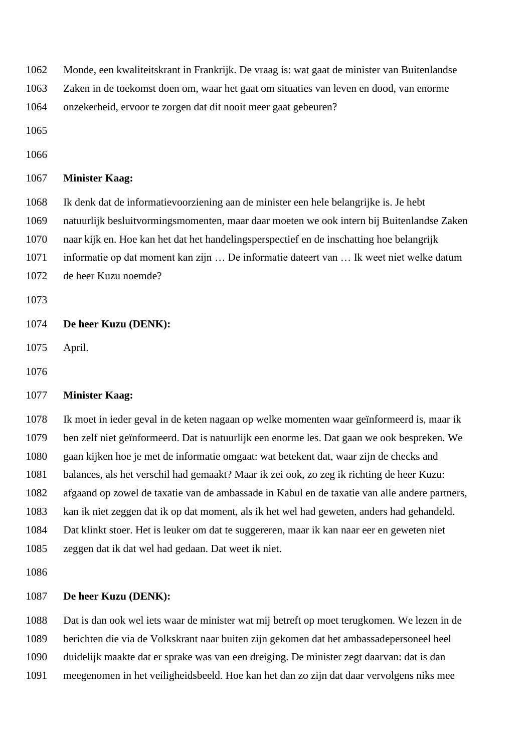Monde, een kwaliteitskrant in Frankrijk. De vraag is: wat gaat de minister van Buitenlandse

Zaken in de toekomst doen om, waar het gaat om situaties van leven en dood, van enorme

onzekerheid, ervoor te zorgen dat dit nooit meer gaat gebeuren?

- 
- 

## **Minister Kaag:**

 Ik denk dat de informatievoorziening aan de minister een hele belangrijke is. Je hebt natuurlijk besluitvormingsmomenten, maar daar moeten we ook intern bij Buitenlandse Zaken naar kijk en. Hoe kan het dat het handelingsperspectief en de inschatting hoe belangrijk informatie op dat moment kan zijn … De informatie dateert van … Ik weet niet welke datum de heer Kuzu noemde?

# **De heer Kuzu (DENK):**

April.

# **Minister Kaag:**

 Ik moet in ieder geval in de keten nagaan op welke momenten waar geïnformeerd is, maar ik ben zelf niet geïnformeerd. Dat is natuurlijk een enorme les. Dat gaan we ook bespreken. We gaan kijken hoe je met de informatie omgaat: wat betekent dat, waar zijn de checks and balances, als het verschil had gemaakt? Maar ik zei ook, zo zeg ik richting de heer Kuzu: afgaand op zowel de taxatie van de ambassade in Kabul en de taxatie van alle andere partners, kan ik niet zeggen dat ik op dat moment, als ik het wel had geweten, anders had gehandeld. Dat klinkt stoer. Het is leuker om dat te suggereren, maar ik kan naar eer en geweten niet zeggen dat ik dat wel had gedaan. Dat weet ik niet.

# **De heer Kuzu (DENK):**

 Dat is dan ook wel iets waar de minister wat mij betreft op moet terugkomen. We lezen in de berichten die via de Volkskrant naar buiten zijn gekomen dat het ambassadepersoneel heel duidelijk maakte dat er sprake was van een dreiging. De minister zegt daarvan: dat is dan

meegenomen in het veiligheidsbeeld. Hoe kan het dan zo zijn dat daar vervolgens niks mee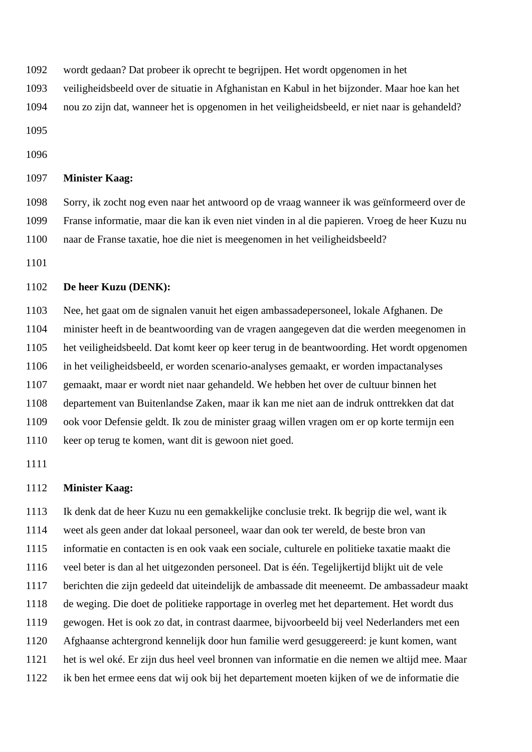- wordt gedaan? Dat probeer ik oprecht te begrijpen. Het wordt opgenomen in het
- veiligheidsbeeld over de situatie in Afghanistan en Kabul in het bijzonder. Maar hoe kan het
- nou zo zijn dat, wanneer het is opgenomen in het veiligheidsbeeld, er niet naar is gehandeld?
- 
- 

 Sorry, ik zocht nog even naar het antwoord op de vraag wanneer ik was geïnformeerd over de Franse informatie, maar die kan ik even niet vinden in al die papieren. Vroeg de heer Kuzu nu naar de Franse taxatie, hoe die niet is meegenomen in het veiligheidsbeeld?

### **De heer Kuzu (DENK):**

 Nee, het gaat om de signalen vanuit het eigen ambassadepersoneel, lokale Afghanen. De minister heeft in de beantwoording van de vragen aangegeven dat die werden meegenomen in het veiligheidsbeeld. Dat komt keer op keer terug in de beantwoording. Het wordt opgenomen in het veiligheidsbeeld, er worden scenario-analyses gemaakt, er worden impactanalyses gemaakt, maar er wordt niet naar gehandeld. We hebben het over de cultuur binnen het departement van Buitenlandse Zaken, maar ik kan me niet aan de indruk onttrekken dat dat ook voor Defensie geldt. Ik zou de minister graag willen vragen om er op korte termijn een keer op terug te komen, want dit is gewoon niet goed.

## **Minister Kaag:**

 Ik denk dat de heer Kuzu nu een gemakkelijke conclusie trekt. Ik begrijp die wel, want ik weet als geen ander dat lokaal personeel, waar dan ook ter wereld, de beste bron van informatie en contacten is en ook vaak een sociale, culturele en politieke taxatie maakt die veel beter is dan al het uitgezonden personeel. Dat is één. Tegelijkertijd blijkt uit de vele berichten die zijn gedeeld dat uiteindelijk de ambassade dit meeneemt. De ambassadeur maakt de weging. Die doet de politieke rapportage in overleg met het departement. Het wordt dus gewogen. Het is ook zo dat, in contrast daarmee, bijvoorbeeld bij veel Nederlanders met een Afghaanse achtergrond kennelijk door hun familie werd gesuggereerd: je kunt komen, want het is wel oké. Er zijn dus heel veel bronnen van informatie en die nemen we altijd mee. Maar ik ben het ermee eens dat wij ook bij het departement moeten kijken of we de informatie die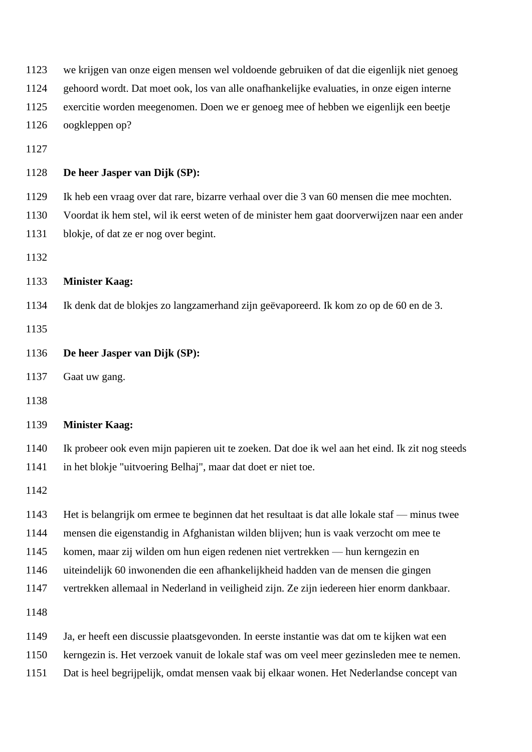| 1123 | we krijgen van onze eigen mensen wel voldoende gebruiken of dat die eigenlijk niet genoeg       |
|------|-------------------------------------------------------------------------------------------------|
| 1124 | gehoord wordt. Dat moet ook, los van alle onafhankelijke evaluaties, in onze eigen interne      |
| 1125 | exercitie worden meegenomen. Doen we er genoeg mee of hebben we eigenlijk een beetje            |
| 1126 | oogkleppen op?                                                                                  |
| 1127 |                                                                                                 |
| 1128 | De heer Jasper van Dijk (SP):                                                                   |
| 1129 | Ik heb een vraag over dat rare, bizarre verhaal over die 3 van 60 mensen die mee mochten.       |
| 1130 | Voordat ik hem stel, wil ik eerst weten of de minister hem gaat doorverwijzen naar een ander    |
| 1131 | blokje, of dat ze er nog over begint.                                                           |
| 1132 |                                                                                                 |
| 1133 | <b>Minister Kaag:</b>                                                                           |
| 1134 | Ik denk dat de blokjes zo langzamerhand zijn geëvaporeerd. Ik kom zo op de 60 en de 3.          |
| 1135 |                                                                                                 |
| 1136 | De heer Jasper van Dijk (SP):                                                                   |
| 1137 | Gaat uw gang.                                                                                   |
| 1138 |                                                                                                 |
| 1139 | <b>Minister Kaag:</b>                                                                           |
| 1140 | Ik probeer ook even mijn papieren uit te zoeken. Dat doe ik wel aan het eind. Ik zit nog steeds |
| 1141 | in het blokje "uitvoering Belhaj", maar dat doet er niet toe.                                   |
| 1142 |                                                                                                 |
| 1143 | Het is belangrijk om ermee te beginnen dat het resultaat is dat alle lokale staf — minus twee   |
| 1144 | mensen die eigenstandig in Afghanistan wilden blijven; hun is vaak verzocht om mee te           |
| 1145 | komen, maar zij wilden om hun eigen redenen niet vertrekken — hun kerngezin en                  |
| 1146 | uiteindelijk 60 inwonenden die een afhankelijkheid hadden van de mensen die gingen              |
| 1147 | vertrekken allemaal in Nederland in veiligheid zijn. Ze zijn iedereen hier enorm dankbaar.      |
| 1148 |                                                                                                 |
| 1149 | Ja, er heeft een discussie plaatsgevonden. In eerste instantie was dat om te kijken wat een     |
| 1150 | kerngezin is. Het verzoek vanuit de lokale staf was om veel meer gezinsleden mee te nemen.      |
| 1151 | Dat is heel begrijpelijk, omdat mensen vaak bij elkaar wonen. Het Nederlandse concept van       |
|      |                                                                                                 |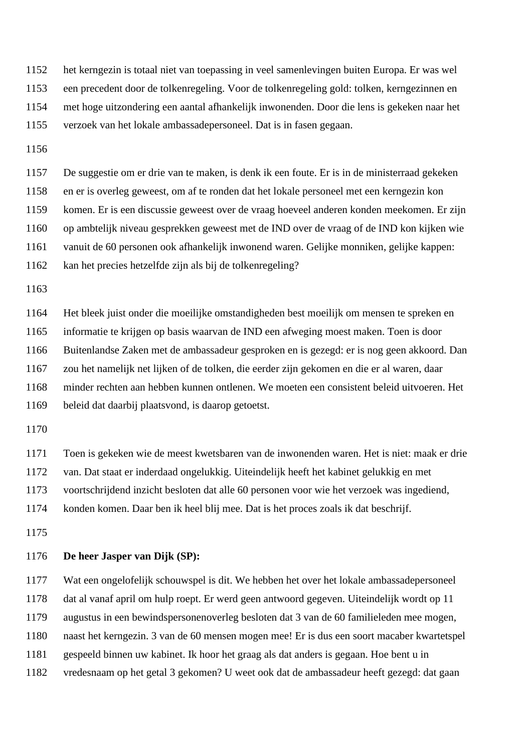het kerngezin is totaal niet van toepassing in veel samenlevingen buiten Europa. Er was wel een precedent door de tolkenregeling. Voor de tolkenregeling gold: tolken, kerngezinnen en met hoge uitzondering een aantal afhankelijk inwonenden. Door die lens is gekeken naar het verzoek van het lokale ambassadepersoneel. Dat is in fasen gegaan.

 De suggestie om er drie van te maken, is denk ik een foute. Er is in de ministerraad gekeken en er is overleg geweest, om af te ronden dat het lokale personeel met een kerngezin kon komen. Er is een discussie geweest over de vraag hoeveel anderen konden meekomen. Er zijn op ambtelijk niveau gesprekken geweest met de IND over de vraag of de IND kon kijken wie vanuit de 60 personen ook afhankelijk inwonend waren. Gelijke monniken, gelijke kappen: kan het precies hetzelfde zijn als bij de tolkenregeling?

 Het bleek juist onder die moeilijke omstandigheden best moeilijk om mensen te spreken en informatie te krijgen op basis waarvan de IND een afweging moest maken. Toen is door Buitenlandse Zaken met de ambassadeur gesproken en is gezegd: er is nog geen akkoord. Dan zou het namelijk net lijken of de tolken, die eerder zijn gekomen en die er al waren, daar minder rechten aan hebben kunnen ontlenen. We moeten een consistent beleid uitvoeren. Het beleid dat daarbij plaatsvond, is daarop getoetst.

Toen is gekeken wie de meest kwetsbaren van de inwonenden waren. Het is niet: maak er drie

van. Dat staat er inderdaad ongelukkig. Uiteindelijk heeft het kabinet gelukkig en met

voortschrijdend inzicht besloten dat alle 60 personen voor wie het verzoek was ingediend,

konden komen. Daar ben ik heel blij mee. Dat is het proces zoals ik dat beschrijf.

## **De heer Jasper van Dijk (SP):**

 Wat een ongelofelijk schouwspel is dit. We hebben het over het lokale ambassadepersoneel dat al vanaf april om hulp roept. Er werd geen antwoord gegeven. Uiteindelijk wordt op 11 augustus in een bewindspersonenoverleg besloten dat 3 van de 60 familieleden mee mogen, naast het kerngezin. 3 van de 60 mensen mogen mee! Er is dus een soort macaber kwartetspel gespeeld binnen uw kabinet. Ik hoor het graag als dat anders is gegaan. Hoe bent u in vredesnaam op het getal 3 gekomen? U weet ook dat de ambassadeur heeft gezegd: dat gaan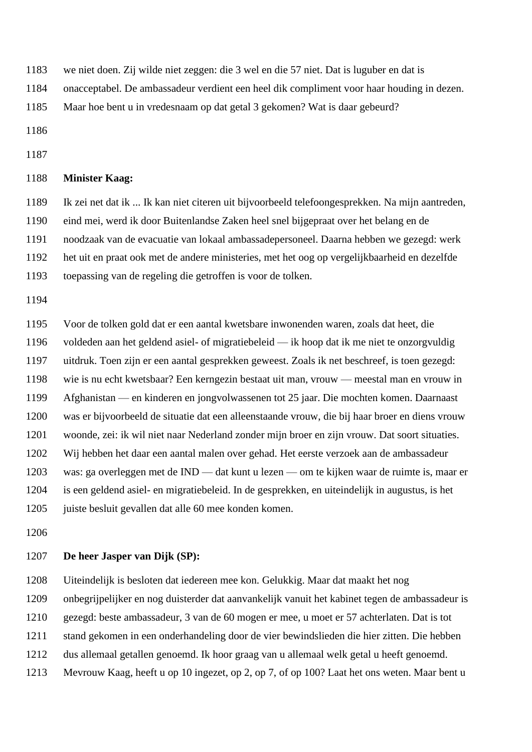- we niet doen. Zij wilde niet zeggen: die 3 wel en die 57 niet. Dat is luguber en dat is
- onacceptabel. De ambassadeur verdient een heel dik compliment voor haar houding in dezen.
- Maar hoe bent u in vredesnaam op dat getal 3 gekomen? Wat is daar gebeurd?
- 
- 

 Ik zei net dat ik ... Ik kan niet citeren uit bijvoorbeeld telefoongesprekken. Na mijn aantreden, eind mei, werd ik door Buitenlandse Zaken heel snel bijgepraat over het belang en de noodzaak van de evacuatie van lokaal ambassadepersoneel. Daarna hebben we gezegd: werk het uit en praat ook met de andere ministeries, met het oog op vergelijkbaarheid en dezelfde toepassing van de regeling die getroffen is voor de tolken.

 Voor de tolken gold dat er een aantal kwetsbare inwonenden waren, zoals dat heet, die voldeden aan het geldend asiel- of migratiebeleid — ik hoop dat ik me niet te onzorgvuldig uitdruk. Toen zijn er een aantal gesprekken geweest. Zoals ik net beschreef, is toen gezegd: wie is nu echt kwetsbaar? Een kerngezin bestaat uit man, vrouw — meestal man en vrouw in Afghanistan — en kinderen en jongvolwassenen tot 25 jaar. Die mochten komen. Daarnaast was er bijvoorbeeld de situatie dat een alleenstaande vrouw, die bij haar broer en diens vrouw woonde, zei: ik wil niet naar Nederland zonder mijn broer en zijn vrouw. Dat soort situaties. Wij hebben het daar een aantal malen over gehad. Het eerste verzoek aan de ambassadeur was: ga overleggen met de IND — dat kunt u lezen — om te kijken waar de ruimte is, maar er is een geldend asiel- en migratiebeleid. In de gesprekken, en uiteindelijk in augustus, is het juiste besluit gevallen dat alle 60 mee konden komen.

## **De heer Jasper van Dijk (SP):**

Uiteindelijk is besloten dat iedereen mee kon. Gelukkig. Maar dat maakt het nog

- onbegrijpelijker en nog duisterder dat aanvankelijk vanuit het kabinet tegen de ambassadeur is
- gezegd: beste ambassadeur, 3 van de 60 mogen er mee, u moet er 57 achterlaten. Dat is tot
- stand gekomen in een onderhandeling door de vier bewindslieden die hier zitten. Die hebben
- dus allemaal getallen genoemd. Ik hoor graag van u allemaal welk getal u heeft genoemd.
- Mevrouw Kaag, heeft u op 10 ingezet, op 2, op 7, of op 100? Laat het ons weten. Maar bent u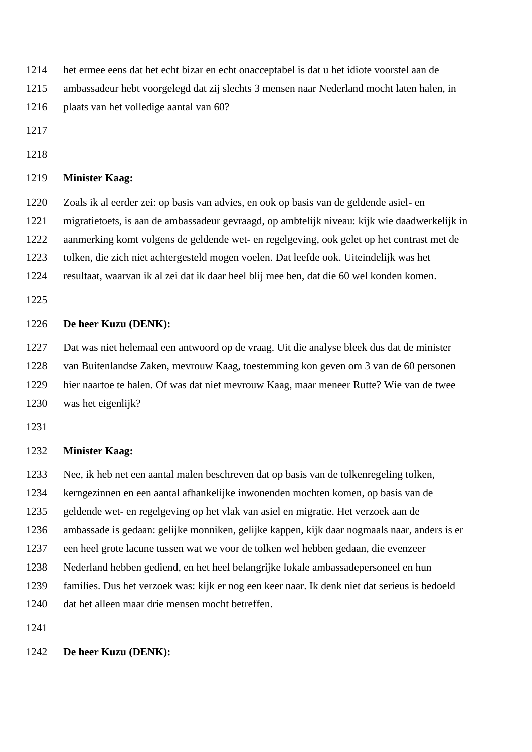- het ermee eens dat het echt bizar en echt onacceptabel is dat u het idiote voorstel aan de
- ambassadeur hebt voorgelegd dat zij slechts 3 mensen naar Nederland mocht laten halen, in
- plaats van het volledige aantal van 60?
- 
- 

 Zoals ik al eerder zei: op basis van advies, en ook op basis van de geldende asiel- en migratietoets, is aan de ambassadeur gevraagd, op ambtelijk niveau: kijk wie daadwerkelijk in aanmerking komt volgens de geldende wet- en regelgeving, ook gelet op het contrast met de tolken, die zich niet achtergesteld mogen voelen. Dat leefde ook. Uiteindelijk was het resultaat, waarvan ik al zei dat ik daar heel blij mee ben, dat die 60 wel konden komen.

### **De heer Kuzu (DENK):**

 Dat was niet helemaal een antwoord op de vraag. Uit die analyse bleek dus dat de minister van Buitenlandse Zaken, mevrouw Kaag, toestemming kon geven om 3 van de 60 personen hier naartoe te halen. Of was dat niet mevrouw Kaag, maar meneer Rutte? Wie van de twee was het eigenlijk?

## **Minister Kaag:**

Nee, ik heb net een aantal malen beschreven dat op basis van de tolkenregeling tolken,

kerngezinnen en een aantal afhankelijke inwonenden mochten komen, op basis van de

geldende wet- en regelgeving op het vlak van asiel en migratie. Het verzoek aan de

ambassade is gedaan: gelijke monniken, gelijke kappen, kijk daar nogmaals naar, anders is er

- een heel grote lacune tussen wat we voor de tolken wel hebben gedaan, die evenzeer
- Nederland hebben gediend, en het heel belangrijke lokale ambassadepersoneel en hun
- families. Dus het verzoek was: kijk er nog een keer naar. Ik denk niet dat serieus is bedoeld
- dat het alleen maar drie mensen mocht betreffen.

## **De heer Kuzu (DENK):**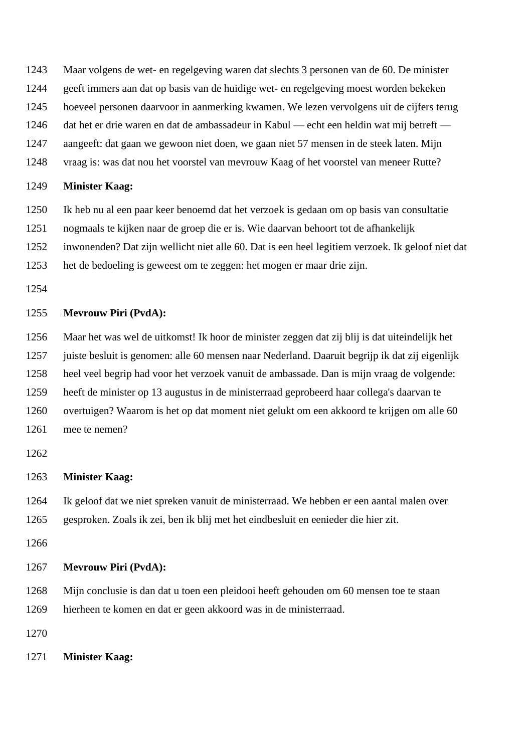- Maar volgens de wet- en regelgeving waren dat slechts 3 personen van de 60. De minister
- geeft immers aan dat op basis van de huidige wet- en regelgeving moest worden bekeken
- hoeveel personen daarvoor in aanmerking kwamen. We lezen vervolgens uit de cijfers terug
- dat het er drie waren en dat de ambassadeur in Kabul echt een heldin wat mij betreft —
- aangeeft: dat gaan we gewoon niet doen, we gaan niet 57 mensen in de steek laten. Mijn
- vraag is: was dat nou het voorstel van mevrouw Kaag of het voorstel van meneer Rutte?

- Ik heb nu al een paar keer benoemd dat het verzoek is gedaan om op basis van consultatie
- nogmaals te kijken naar de groep die er is. Wie daarvan behoort tot de afhankelijk
- inwonenden? Dat zijn wellicht niet alle 60. Dat is een heel legitiem verzoek. Ik geloof niet dat
- het de bedoeling is geweest om te zeggen: het mogen er maar drie zijn.
- 

## **Mevrouw Piri (PvdA):**

 Maar het was wel de uitkomst! Ik hoor de minister zeggen dat zij blij is dat uiteindelijk het juiste besluit is genomen: alle 60 mensen naar Nederland. Daaruit begrijp ik dat zij eigenlijk

- 
- heel veel begrip had voor het verzoek vanuit de ambassade. Dan is mijn vraag de volgende:
- heeft de minister op 13 augustus in de ministerraad geprobeerd haar collega's daarvan te
- overtuigen? Waarom is het op dat moment niet gelukt om een akkoord te krijgen om alle 60
- mee te nemen?

#### **Minister Kaag:**

 Ik geloof dat we niet spreken vanuit de ministerraad. We hebben er een aantal malen over gesproken. Zoals ik zei, ben ik blij met het eindbesluit en eenieder die hier zit.

# **Mevrouw Piri (PvdA):**

- Mijn conclusie is dan dat u toen een pleidooi heeft gehouden om 60 mensen toe te staan
- hierheen te komen en dat er geen akkoord was in de ministerraad.

**Minister Kaag:**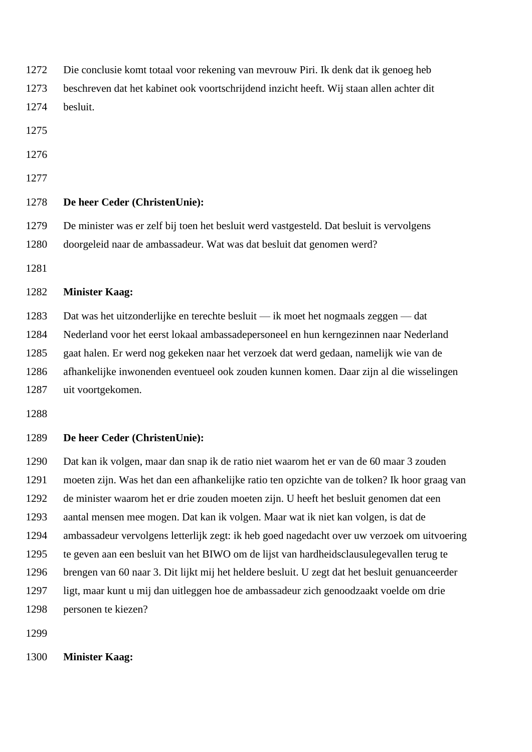| 1272 | Die conclusie komt totaal voor rekening van mevrouw Piri. Ik denk dat ik genoeg heb            |
|------|------------------------------------------------------------------------------------------------|
| 1273 | beschreven dat het kabinet ook voortschrijdend inzicht heeft. Wij staan allen achter dit       |
| 1274 | besluit.                                                                                       |
| 1275 |                                                                                                |
| 1276 |                                                                                                |
| 1277 |                                                                                                |
| 1278 | De heer Ceder (ChristenUnie):                                                                  |
| 1279 | De minister was er zelf bij toen het besluit werd vastgesteld. Dat besluit is vervolgens       |
| 1280 | doorgeleid naar de ambassadeur. Wat was dat besluit dat genomen werd?                          |
| 1281 |                                                                                                |
| 1282 | <b>Minister Kaag:</b>                                                                          |
| 1283 | Dat was het uitzonderlijke en terechte besluit — ik moet het nogmaals zeggen — dat             |
| 1284 | Nederland voor het eerst lokaal ambassadepersoneel en hun kerngezinnen naar Nederland          |
| 1285 | gaat halen. Er werd nog gekeken naar het verzoek dat werd gedaan, namelijk wie van de          |
| 1286 | afhankelijke inwonenden eventueel ook zouden kunnen komen. Daar zijn al die wisselingen        |
| 1287 | uit voortgekomen.                                                                              |
| 1288 |                                                                                                |
| 1289 | De heer Ceder (ChristenUnie):                                                                  |
| 1290 | Dat kan ik volgen, maar dan snap ik de ratio niet waarom het er van de 60 maar 3 zouden        |
| 1291 | moeten zijn. Was het dan een afhankelijke ratio ten opzichte van de tolken? Ik hoor graag van  |
| 1292 | de minister waarom het er drie zouden moeten zijn. U heeft het besluit genomen dat een         |
| 1293 | aantal mensen mee mogen. Dat kan ik volgen. Maar wat ik niet kan volgen, is dat de             |
| 1294 | ambassadeur vervolgens letterlijk zegt: ik heb goed nagedacht over uw verzoek om uitvoering    |
| 1295 | te geven aan een besluit van het BIWO om de lijst van hardheidsclausulegevallen terug te       |
| 1296 | brengen van 60 naar 3. Dit lijkt mij het heldere besluit. U zegt dat het besluit genuanceerder |
| 1297 | ligt, maar kunt u mij dan uitleggen hoe de ambassadeur zich genoodzaakt voelde om drie         |
| 1298 | personen te kiezen?                                                                            |
| 1299 |                                                                                                |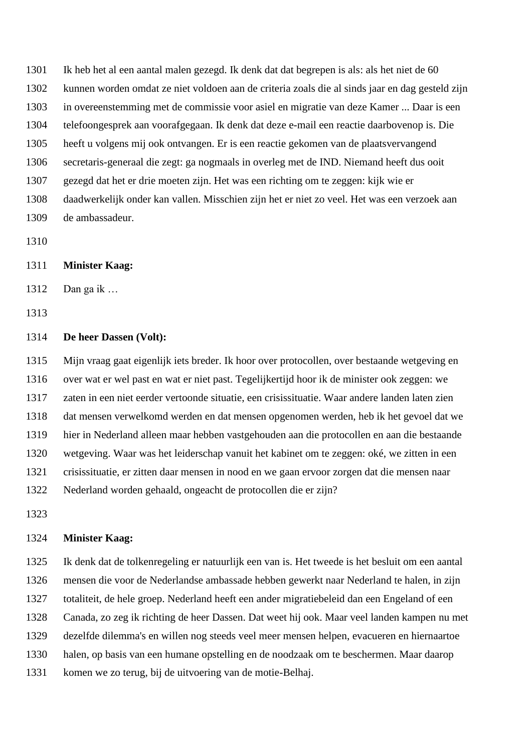Ik heb het al een aantal malen gezegd. Ik denk dat dat begrepen is als: als het niet de 60 kunnen worden omdat ze niet voldoen aan de criteria zoals die al sinds jaar en dag gesteld zijn in overeenstemming met de commissie voor asiel en migratie van deze Kamer ... Daar is een telefoongesprek aan voorafgegaan. Ik denk dat deze e-mail een reactie daarbovenop is. Die heeft u volgens mij ook ontvangen. Er is een reactie gekomen van de plaatsvervangend secretaris-generaal die zegt: ga nogmaals in overleg met de IND. Niemand heeft dus ooit gezegd dat het er drie moeten zijn. Het was een richting om te zeggen: kijk wie er daadwerkelijk onder kan vallen. Misschien zijn het er niet zo veel. Het was een verzoek aan de ambassadeur.

# **Minister Kaag:**

Dan ga ik …

# **De heer Dassen (Volt):**

 Mijn vraag gaat eigenlijk iets breder. Ik hoor over protocollen, over bestaande wetgeving en over wat er wel past en wat er niet past. Tegelijkertijd hoor ik de minister ook zeggen: we zaten in een niet eerder vertoonde situatie, een crisissituatie. Waar andere landen laten zien dat mensen verwelkomd werden en dat mensen opgenomen werden, heb ik het gevoel dat we hier in Nederland alleen maar hebben vastgehouden aan die protocollen en aan die bestaande wetgeving. Waar was het leiderschap vanuit het kabinet om te zeggen: oké, we zitten in een crisissituatie, er zitten daar mensen in nood en we gaan ervoor zorgen dat die mensen naar Nederland worden gehaald, ongeacht de protocollen die er zijn?

#### **Minister Kaag:**

 Ik denk dat de tolkenregeling er natuurlijk een van is. Het tweede is het besluit om een aantal mensen die voor de Nederlandse ambassade hebben gewerkt naar Nederland te halen, in zijn totaliteit, de hele groep. Nederland heeft een ander migratiebeleid dan een Engeland of een Canada, zo zeg ik richting de heer Dassen. Dat weet hij ook. Maar veel landen kampen nu met dezelfde dilemma's en willen nog steeds veel meer mensen helpen, evacueren en hiernaartoe halen, op basis van een humane opstelling en de noodzaak om te beschermen. Maar daarop

komen we zo terug, bij de uitvoering van de motie-Belhaj.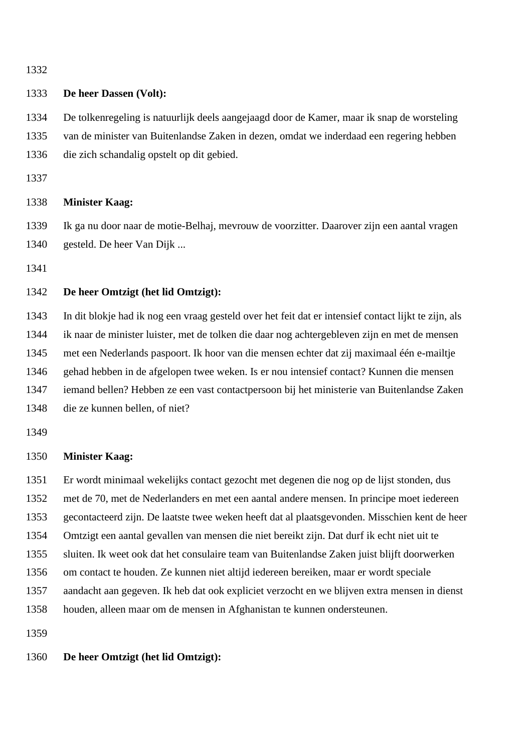## **De heer Dassen (Volt):**

 De tolkenregeling is natuurlijk deels aangejaagd door de Kamer, maar ik snap de worsteling van de minister van Buitenlandse Zaken in dezen, omdat we inderdaad een regering hebben die zich schandalig opstelt op dit gebied.

# **Minister Kaag:**

 Ik ga nu door naar de motie-Belhaj, mevrouw de voorzitter. Daarover zijn een aantal vragen gesteld. De heer Van Dijk ...

# **De heer Omtzigt (het lid Omtzigt):**

 In dit blokje had ik nog een vraag gesteld over het feit dat er intensief contact lijkt te zijn, als ik naar de minister luister, met de tolken die daar nog achtergebleven zijn en met de mensen met een Nederlands paspoort. Ik hoor van die mensen echter dat zij maximaal één e-mailtje gehad hebben in de afgelopen twee weken. Is er nou intensief contact? Kunnen die mensen iemand bellen? Hebben ze een vast contactpersoon bij het ministerie van Buitenlandse Zaken die ze kunnen bellen, of niet?

## **Minister Kaag:**

 Er wordt minimaal wekelijks contact gezocht met degenen die nog op de lijst stonden, dus met de 70, met de Nederlanders en met een aantal andere mensen. In principe moet iedereen gecontacteerd zijn. De laatste twee weken heeft dat al plaatsgevonden. Misschien kent de heer Omtzigt een aantal gevallen van mensen die niet bereikt zijn. Dat durf ik echt niet uit te sluiten. Ik weet ook dat het consulaire team van Buitenlandse Zaken juist blijft doorwerken om contact te houden. Ze kunnen niet altijd iedereen bereiken, maar er wordt speciale

 aandacht aan gegeven. Ik heb dat ook expliciet verzocht en we blijven extra mensen in dienst houden, alleen maar om de mensen in Afghanistan te kunnen ondersteunen.

# **De heer Omtzigt (het lid Omtzigt):**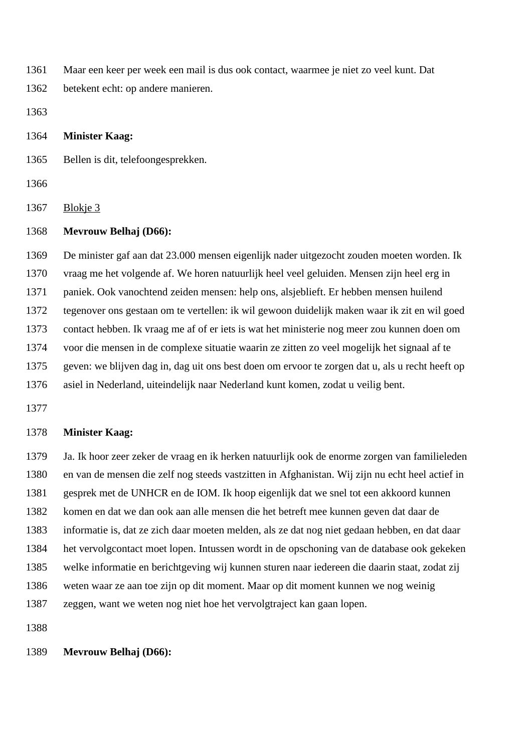Maar een keer per week een mail is dus ook contact, waarmee je niet zo veel kunt. Dat

betekent echt: op andere manieren.

**Minister Kaag:**

Bellen is dit, telefoongesprekken.

Blokje 3

# **Mevrouw Belhaj (D66):**

 De minister gaf aan dat 23.000 mensen eigenlijk nader uitgezocht zouden moeten worden. Ik vraag me het volgende af. We horen natuurlijk heel veel geluiden. Mensen zijn heel erg in paniek. Ook vanochtend zeiden mensen: help ons, alsjeblieft. Er hebben mensen huilend tegenover ons gestaan om te vertellen: ik wil gewoon duidelijk maken waar ik zit en wil goed contact hebben. Ik vraag me af of er iets is wat het ministerie nog meer zou kunnen doen om voor die mensen in de complexe situatie waarin ze zitten zo veel mogelijk het signaal af te geven: we blijven dag in, dag uit ons best doen om ervoor te zorgen dat u, als u recht heeft op asiel in Nederland, uiteindelijk naar Nederland kunt komen, zodat u veilig bent.

# **Minister Kaag:**

 Ja. Ik hoor zeer zeker de vraag en ik herken natuurlijk ook de enorme zorgen van familieleden en van de mensen die zelf nog steeds vastzitten in Afghanistan. Wij zijn nu echt heel actief in gesprek met de UNHCR en de IOM. Ik hoop eigenlijk dat we snel tot een akkoord kunnen komen en dat we dan ook aan alle mensen die het betreft mee kunnen geven dat daar de informatie is, dat ze zich daar moeten melden, als ze dat nog niet gedaan hebben, en dat daar het vervolgcontact moet lopen. Intussen wordt in de opschoning van de database ook gekeken welke informatie en berichtgeving wij kunnen sturen naar iedereen die daarin staat, zodat zij weten waar ze aan toe zijn op dit moment. Maar op dit moment kunnen we nog weinig zeggen, want we weten nog niet hoe het vervolgtraject kan gaan lopen.

# **Mevrouw Belhaj (D66):**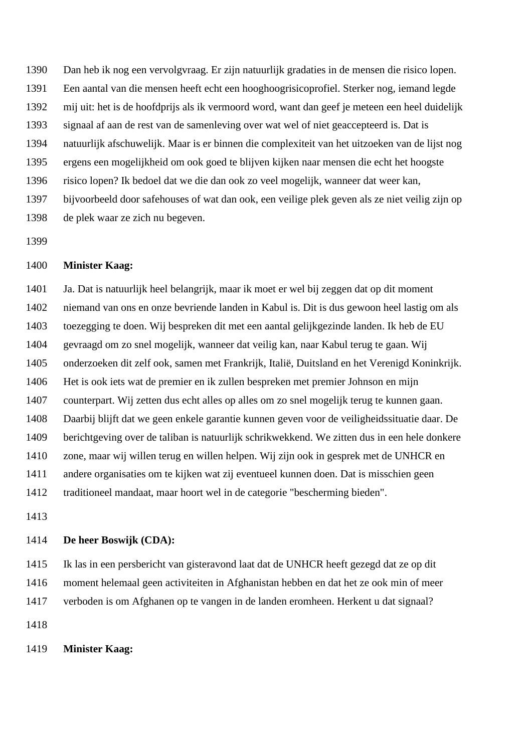Dan heb ik nog een vervolgvraag. Er zijn natuurlijk gradaties in de mensen die risico lopen. Een aantal van die mensen heeft echt een hooghoogrisicoprofiel. Sterker nog, iemand legde mij uit: het is de hoofdprijs als ik vermoord word, want dan geef je meteen een heel duidelijk signaal af aan de rest van de samenleving over wat wel of niet geaccepteerd is. Dat is natuurlijk afschuwelijk. Maar is er binnen die complexiteit van het uitzoeken van de lijst nog ergens een mogelijkheid om ook goed te blijven kijken naar mensen die echt het hoogste risico lopen? Ik bedoel dat we die dan ook zo veel mogelijk, wanneer dat weer kan, bijvoorbeeld door safehouses of wat dan ook, een veilige plek geven als ze niet veilig zijn op de plek waar ze zich nu begeven.

## **Minister Kaag:**

 Ja. Dat is natuurlijk heel belangrijk, maar ik moet er wel bij zeggen dat op dit moment niemand van ons en onze bevriende landen in Kabul is. Dit is dus gewoon heel lastig om als toezegging te doen. Wij bespreken dit met een aantal gelijkgezinde landen. Ik heb de EU gevraagd om zo snel mogelijk, wanneer dat veilig kan, naar Kabul terug te gaan. Wij onderzoeken dit zelf ook, samen met Frankrijk, Italië, Duitsland en het Verenigd Koninkrijk. Het is ook iets wat de premier en ik zullen bespreken met premier Johnson en mijn counterpart. Wij zetten dus echt alles op alles om zo snel mogelijk terug te kunnen gaan. Daarbij blijft dat we geen enkele garantie kunnen geven voor de veiligheidssituatie daar. De berichtgeving over de taliban is natuurlijk schrikwekkend. We zitten dus in een hele donkere zone, maar wij willen terug en willen helpen. Wij zijn ook in gesprek met de UNHCR en andere organisaties om te kijken wat zij eventueel kunnen doen. Dat is misschien geen traditioneel mandaat, maar hoort wel in de categorie "bescherming bieden".

#### **De heer Boswijk (CDA):**

 Ik las in een persbericht van gisteravond laat dat de UNHCR heeft gezegd dat ze op dit moment helemaal geen activiteiten in Afghanistan hebben en dat het ze ook min of meer

verboden is om Afghanen op te vangen in de landen eromheen. Herkent u dat signaal?

### **Minister Kaag:**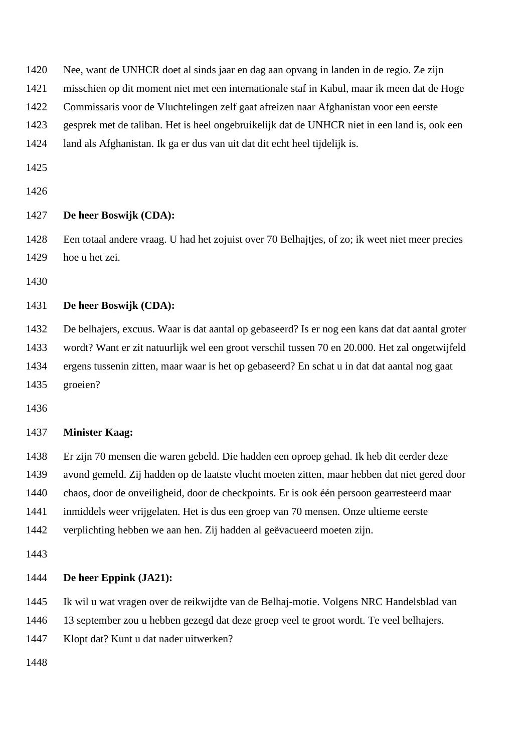Nee, want de UNHCR doet al sinds jaar en dag aan opvang in landen in de regio. Ze zijn

misschien op dit moment niet met een internationale staf in Kabul, maar ik meen dat de Hoge

Commissaris voor de Vluchtelingen zelf gaat afreizen naar Afghanistan voor een eerste

gesprek met de taliban. Het is heel ongebruikelijk dat de UNHCR niet in een land is, ook een

land als Afghanistan. Ik ga er dus van uit dat dit echt heel tijdelijk is.

# **De heer Boswijk (CDA):**

 Een totaal andere vraag. U had het zojuist over 70 Belhajtjes, of zo; ik weet niet meer precies hoe u het zei.

# **De heer Boswijk (CDA):**

 De belhajers, excuus. Waar is dat aantal op gebaseerd? Is er nog een kans dat dat aantal groter wordt? Want er zit natuurlijk wel een groot verschil tussen 70 en 20.000. Het zal ongetwijfeld ergens tussenin zitten, maar waar is het op gebaseerd? En schat u in dat dat aantal nog gaat groeien?

### **Minister Kaag:**

 Er zijn 70 mensen die waren gebeld. Die hadden een oproep gehad. Ik heb dit eerder deze avond gemeld. Zij hadden op de laatste vlucht moeten zitten, maar hebben dat niet gered door chaos, door de onveiligheid, door de checkpoints. Er is ook één persoon gearresteerd maar

inmiddels weer vrijgelaten. Het is dus een groep van 70 mensen. Onze ultieme eerste

verplichting hebben we aan hen. Zij hadden al geëvacueerd moeten zijn.

# **De heer Eppink (JA21):**

Ik wil u wat vragen over de reikwijdte van de Belhaj-motie. Volgens NRC Handelsblad van

13 september zou u hebben gezegd dat deze groep veel te groot wordt. Te veel belhajers.

Klopt dat? Kunt u dat nader uitwerken?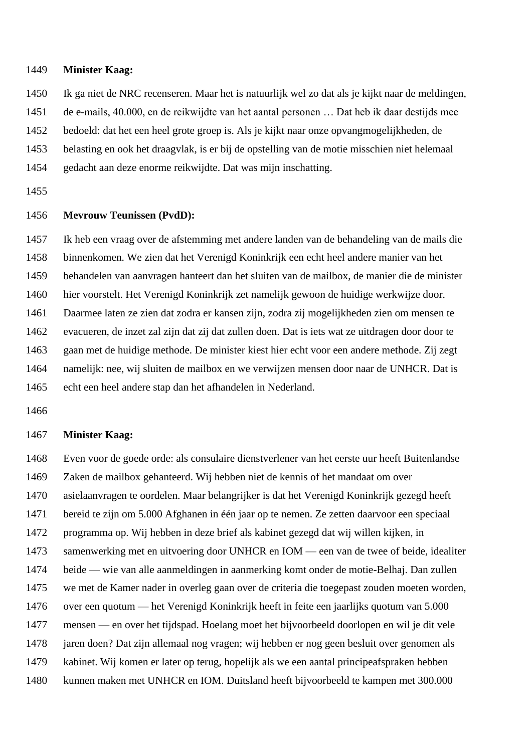Ik ga niet de NRC recenseren. Maar het is natuurlijk wel zo dat als je kijkt naar de meldingen,

de e-mails, 40.000, en de reikwijdte van het aantal personen … Dat heb ik daar destijds mee

bedoeld: dat het een heel grote groep is. Als je kijkt naar onze opvangmogelijkheden, de

belasting en ook het draagvlak, is er bij de opstelling van de motie misschien niet helemaal

gedacht aan deze enorme reikwijdte. Dat was mijn inschatting.

### **Mevrouw Teunissen (PvdD):**

 Ik heb een vraag over de afstemming met andere landen van de behandeling van de mails die binnenkomen. We zien dat het Verenigd Koninkrijk een echt heel andere manier van het behandelen van aanvragen hanteert dan het sluiten van de mailbox, de manier die de minister hier voorstelt. Het Verenigd Koninkrijk zet namelijk gewoon de huidige werkwijze door. Daarmee laten ze zien dat zodra er kansen zijn, zodra zij mogelijkheden zien om mensen te evacueren, de inzet zal zijn dat zij dat zullen doen. Dat is iets wat ze uitdragen door door te gaan met de huidige methode. De minister kiest hier echt voor een andere methode. Zij zegt namelijk: nee, wij sluiten de mailbox en we verwijzen mensen door naar de UNHCR. Dat is echt een heel andere stap dan het afhandelen in Nederland.

# **Minister Kaag:**

 Even voor de goede orde: als consulaire dienstverlener van het eerste uur heeft Buitenlandse Zaken de mailbox gehanteerd. Wij hebben niet de kennis of het mandaat om over asielaanvragen te oordelen. Maar belangrijker is dat het Verenigd Koninkrijk gezegd heeft bereid te zijn om 5.000 Afghanen in één jaar op te nemen. Ze zetten daarvoor een speciaal programma op. Wij hebben in deze brief als kabinet gezegd dat wij willen kijken, in samenwerking met en uitvoering door UNHCR en IOM — een van de twee of beide, idealiter beide — wie van alle aanmeldingen in aanmerking komt onder de motie-Belhaj. Dan zullen we met de Kamer nader in overleg gaan over de criteria die toegepast zouden moeten worden, over een quotum — het Verenigd Koninkrijk heeft in feite een jaarlijks quotum van 5.000 mensen — en over het tijdspad. Hoelang moet het bijvoorbeeld doorlopen en wil je dit vele jaren doen? Dat zijn allemaal nog vragen; wij hebben er nog geen besluit over genomen als kabinet. Wij komen er later op terug, hopelijk als we een aantal principeafspraken hebben kunnen maken met UNHCR en IOM. Duitsland heeft bijvoorbeeld te kampen met 300.000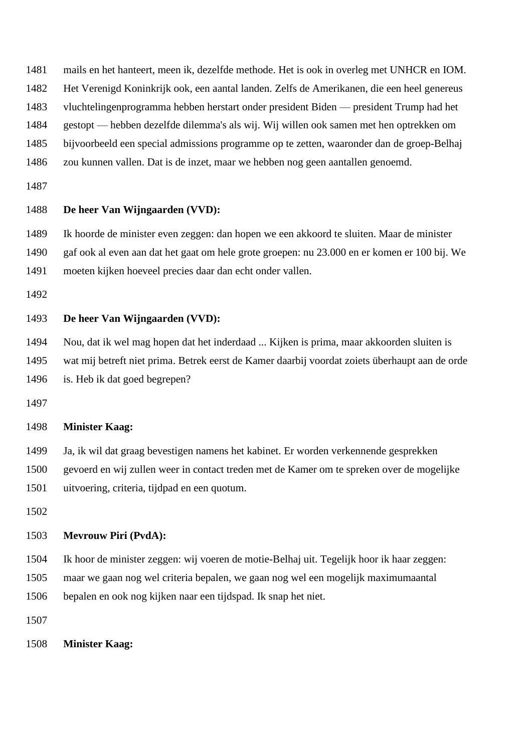- mails en het hanteert, meen ik, dezelfde methode. Het is ook in overleg met UNHCR en IOM.
- Het Verenigd Koninkrijk ook, een aantal landen. Zelfs de Amerikanen, die een heel genereus
- vluchtelingenprogramma hebben herstart onder president Biden president Trump had het
- gestopt hebben dezelfde dilemma's als wij. Wij willen ook samen met hen optrekken om
- bijvoorbeeld een special admissions programme op te zetten, waaronder dan de groep-Belhaj
- zou kunnen vallen. Dat is de inzet, maar we hebben nog geen aantallen genoemd.
- 

## **De heer Van Wijngaarden (VVD):**

Ik hoorde de minister even zeggen: dan hopen we een akkoord te sluiten. Maar de minister

gaf ook al even aan dat het gaat om hele grote groepen: nu 23.000 en er komen er 100 bij. We

moeten kijken hoeveel precies daar dan echt onder vallen.

# **De heer Van Wijngaarden (VVD):**

Nou, dat ik wel mag hopen dat het inderdaad ... Kijken is prima, maar akkoorden sluiten is

wat mij betreft niet prima. Betrek eerst de Kamer daarbij voordat zoiets überhaupt aan de orde

is. Heb ik dat goed begrepen?

# **Minister Kaag:**

- Ja, ik wil dat graag bevestigen namens het kabinet. Er worden verkennende gesprekken
- gevoerd en wij zullen weer in contact treden met de Kamer om te spreken over de mogelijke

uitvoering, criteria, tijdpad en een quotum.

# **Mevrouw Piri (PvdA):**

Ik hoor de minister zeggen: wij voeren de motie-Belhaj uit. Tegelijk hoor ik haar zeggen:

maar we gaan nog wel criteria bepalen, we gaan nog wel een mogelijk maximumaantal

bepalen en ook nog kijken naar een tijdspad. Ik snap het niet.

**Minister Kaag:**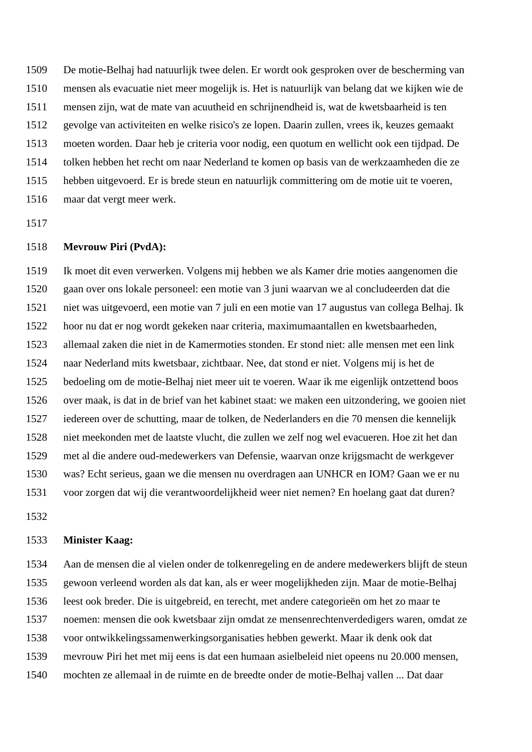De motie-Belhaj had natuurlijk twee delen. Er wordt ook gesproken over de bescherming van mensen als evacuatie niet meer mogelijk is. Het is natuurlijk van belang dat we kijken wie de mensen zijn, wat de mate van acuutheid en schrijnendheid is, wat de kwetsbaarheid is ten gevolge van activiteiten en welke risico's ze lopen. Daarin zullen, vrees ik, keuzes gemaakt moeten worden. Daar heb je criteria voor nodig, een quotum en wellicht ook een tijdpad. De tolken hebben het recht om naar Nederland te komen op basis van de werkzaamheden die ze hebben uitgevoerd. Er is brede steun en natuurlijk committering om de motie uit te voeren, maar dat vergt meer werk.

### **Mevrouw Piri (PvdA):**

 Ik moet dit even verwerken. Volgens mij hebben we als Kamer drie moties aangenomen die gaan over ons lokale personeel: een motie van 3 juni waarvan we al concludeerden dat die niet was uitgevoerd, een motie van 7 juli en een motie van 17 augustus van collega Belhaj. Ik hoor nu dat er nog wordt gekeken naar criteria, maximumaantallen en kwetsbaarheden, allemaal zaken die niet in de Kamermoties stonden. Er stond niet: alle mensen met een link naar Nederland mits kwetsbaar, zichtbaar. Nee, dat stond er niet. Volgens mij is het de bedoeling om de motie-Belhaj niet meer uit te voeren. Waar ik me eigenlijk ontzettend boos over maak, is dat in de brief van het kabinet staat: we maken een uitzondering, we gooien niet iedereen over de schutting, maar de tolken, de Nederlanders en die 70 mensen die kennelijk niet meekonden met de laatste vlucht, die zullen we zelf nog wel evacueren. Hoe zit het dan met al die andere oud-medewerkers van Defensie, waarvan onze krijgsmacht de werkgever was? Echt serieus, gaan we die mensen nu overdragen aan UNHCR en IOM? Gaan we er nu voor zorgen dat wij die verantwoordelijkheid weer niet nemen? En hoelang gaat dat duren?

#### **Minister Kaag:**

 Aan de mensen die al vielen onder de tolkenregeling en de andere medewerkers blijft de steun gewoon verleend worden als dat kan, als er weer mogelijkheden zijn. Maar de motie-Belhaj leest ook breder. Die is uitgebreid, en terecht, met andere categorieën om het zo maar te noemen: mensen die ook kwetsbaar zijn omdat ze mensenrechtenverdedigers waren, omdat ze voor ontwikkelingssamenwerkingsorganisaties hebben gewerkt. Maar ik denk ook dat mevrouw Piri het met mij eens is dat een humaan asielbeleid niet opeens nu 20.000 mensen, mochten ze allemaal in de ruimte en de breedte onder de motie-Belhaj vallen ... Dat daar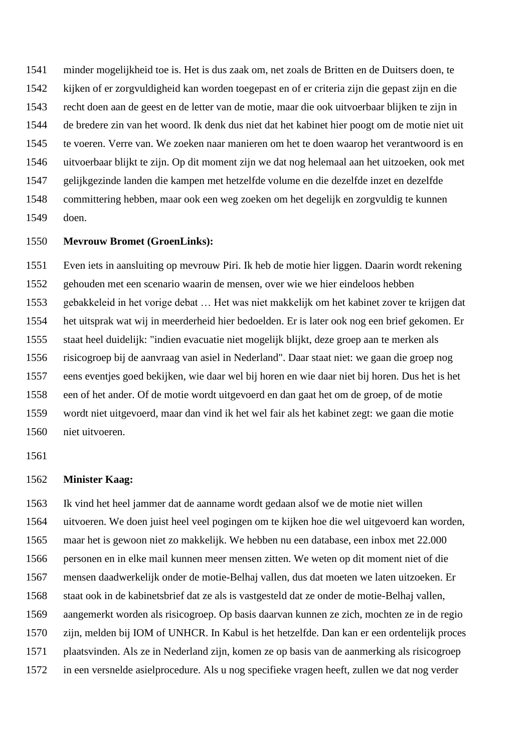minder mogelijkheid toe is. Het is dus zaak om, net zoals de Britten en de Duitsers doen, te kijken of er zorgvuldigheid kan worden toegepast en of er criteria zijn die gepast zijn en die recht doen aan de geest en de letter van de motie, maar die ook uitvoerbaar blijken te zijn in de bredere zin van het woord. Ik denk dus niet dat het kabinet hier poogt om de motie niet uit te voeren. Verre van. We zoeken naar manieren om het te doen waarop het verantwoord is en uitvoerbaar blijkt te zijn. Op dit moment zijn we dat nog helemaal aan het uitzoeken, ook met gelijkgezinde landen die kampen met hetzelfde volume en die dezelfde inzet en dezelfde committering hebben, maar ook een weg zoeken om het degelijk en zorgvuldig te kunnen doen.

# **Mevrouw Bromet (GroenLinks):**

 Even iets in aansluiting op mevrouw Piri. Ik heb de motie hier liggen. Daarin wordt rekening gehouden met een scenario waarin de mensen, over wie we hier eindeloos hebben gebakkeleid in het vorige debat … Het was niet makkelijk om het kabinet zover te krijgen dat het uitsprak wat wij in meerderheid hier bedoelden. Er is later ook nog een brief gekomen. Er staat heel duidelijk: "indien evacuatie niet mogelijk blijkt, deze groep aan te merken als risicogroep bij de aanvraag van asiel in Nederland". Daar staat niet: we gaan die groep nog eens eventjes goed bekijken, wie daar wel bij horen en wie daar niet bij horen. Dus het is het een of het ander. Of de motie wordt uitgevoerd en dan gaat het om de groep, of de motie wordt niet uitgevoerd, maar dan vind ik het wel fair als het kabinet zegt: we gaan die motie niet uitvoeren.

#### **Minister Kaag:**

 Ik vind het heel jammer dat de aanname wordt gedaan alsof we de motie niet willen uitvoeren. We doen juist heel veel pogingen om te kijken hoe die wel uitgevoerd kan worden, maar het is gewoon niet zo makkelijk. We hebben nu een database, een inbox met 22.000 personen en in elke mail kunnen meer mensen zitten. We weten op dit moment niet of die mensen daadwerkelijk onder de motie-Belhaj vallen, dus dat moeten we laten uitzoeken. Er staat ook in de kabinetsbrief dat ze als is vastgesteld dat ze onder de motie-Belhaj vallen, aangemerkt worden als risicogroep. Op basis daarvan kunnen ze zich, mochten ze in de regio zijn, melden bij IOM of UNHCR. In Kabul is het hetzelfde. Dan kan er een ordentelijk proces plaatsvinden. Als ze in Nederland zijn, komen ze op basis van de aanmerking als risicogroep in een versnelde asielprocedure. Als u nog specifieke vragen heeft, zullen we dat nog verder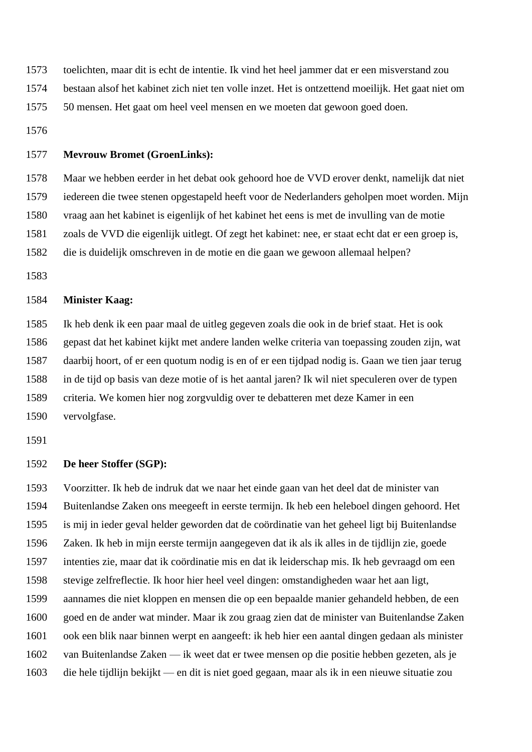- toelichten, maar dit is echt de intentie. Ik vind het heel jammer dat er een misverstand zou
- bestaan alsof het kabinet zich niet ten volle inzet. Het is ontzettend moeilijk. Het gaat niet om
- 50 mensen. Het gaat om heel veel mensen en we moeten dat gewoon goed doen.
- 

# **Mevrouw Bromet (GroenLinks):**

Maar we hebben eerder in het debat ook gehoord hoe de VVD erover denkt, namelijk dat niet

iedereen die twee stenen opgestapeld heeft voor de Nederlanders geholpen moet worden. Mijn

- vraag aan het kabinet is eigenlijk of het kabinet het eens is met de invulling van de motie
- zoals de VVD die eigenlijk uitlegt. Of zegt het kabinet: nee, er staat echt dat er een groep is,
- die is duidelijk omschreven in de motie en die gaan we gewoon allemaal helpen?
- 

# **Minister Kaag:**

 Ik heb denk ik een paar maal de uitleg gegeven zoals die ook in de brief staat. Het is ook gepast dat het kabinet kijkt met andere landen welke criteria van toepassing zouden zijn, wat daarbij hoort, of er een quotum nodig is en of er een tijdpad nodig is. Gaan we tien jaar terug in de tijd op basis van deze motie of is het aantal jaren? Ik wil niet speculeren over de typen criteria. We komen hier nog zorgvuldig over te debatteren met deze Kamer in een vervolgfase.

## **De heer Stoffer (SGP):**

 Voorzitter. Ik heb de indruk dat we naar het einde gaan van het deel dat de minister van Buitenlandse Zaken ons meegeeft in eerste termijn. Ik heb een heleboel dingen gehoord. Het is mij in ieder geval helder geworden dat de coördinatie van het geheel ligt bij Buitenlandse Zaken. Ik heb in mijn eerste termijn aangegeven dat ik als ik alles in de tijdlijn zie, goede intenties zie, maar dat ik coördinatie mis en dat ik leiderschap mis. Ik heb gevraagd om een stevige zelfreflectie. Ik hoor hier heel veel dingen: omstandigheden waar het aan ligt, aannames die niet kloppen en mensen die op een bepaalde manier gehandeld hebben, de een goed en de ander wat minder. Maar ik zou graag zien dat de minister van Buitenlandse Zaken ook een blik naar binnen werpt en aangeeft: ik heb hier een aantal dingen gedaan als minister van Buitenlandse Zaken — ik weet dat er twee mensen op die positie hebben gezeten, als je die hele tijdlijn bekijkt — en dit is niet goed gegaan, maar als ik in een nieuwe situatie zou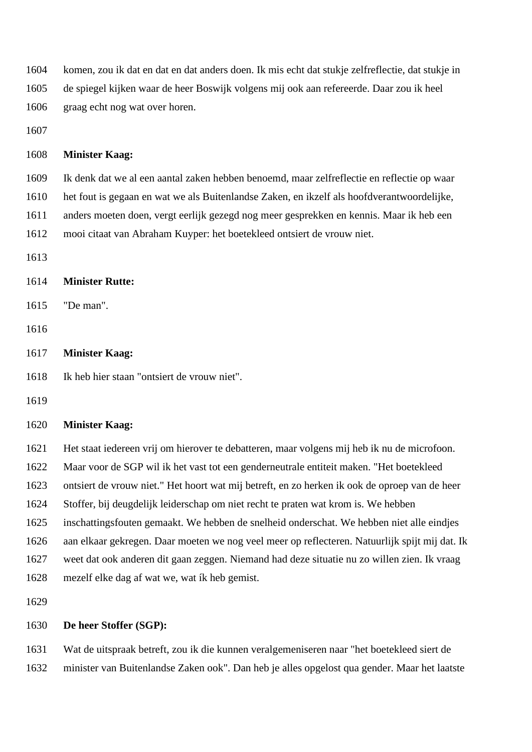komen, zou ik dat en dat en dat anders doen. Ik mis echt dat stukje zelfreflectie, dat stukje in de spiegel kijken waar de heer Boswijk volgens mij ook aan refereerde. Daar zou ik heel

graag echt nog wat over horen.

## **Minister Kaag:**

Ik denk dat we al een aantal zaken hebben benoemd, maar zelfreflectie en reflectie op waar

het fout is gegaan en wat we als Buitenlandse Zaken, en ikzelf als hoofdverantwoordelijke,

anders moeten doen, vergt eerlijk gezegd nog meer gesprekken en kennis. Maar ik heb een

mooi citaat van Abraham Kuyper: het boetekleed ontsiert de vrouw niet.

# **Minister Rutte:**

- "De man".
- 

## **Minister Kaag:**

Ik heb hier staan "ontsiert de vrouw niet".

## **Minister Kaag:**

Het staat iedereen vrij om hierover te debatteren, maar volgens mij heb ik nu de microfoon.

Maar voor de SGP wil ik het vast tot een genderneutrale entiteit maken. "Het boetekleed

ontsiert de vrouw niet." Het hoort wat mij betreft, en zo herken ik ook de oproep van de heer

Stoffer, bij deugdelijk leiderschap om niet recht te praten wat krom is. We hebben

inschattingsfouten gemaakt. We hebben de snelheid onderschat. We hebben niet alle eindjes

aan elkaar gekregen. Daar moeten we nog veel meer op reflecteren. Natuurlijk spijt mij dat. Ik

 weet dat ook anderen dit gaan zeggen. Niemand had deze situatie nu zo willen zien. Ik vraag mezelf elke dag af wat we, wat ík heb gemist.

# **De heer Stoffer (SGP):**

 Wat de uitspraak betreft, zou ik die kunnen veralgemeniseren naar "het boetekleed siert de minister van Buitenlandse Zaken ook". Dan heb je alles opgelost qua gender. Maar het laatste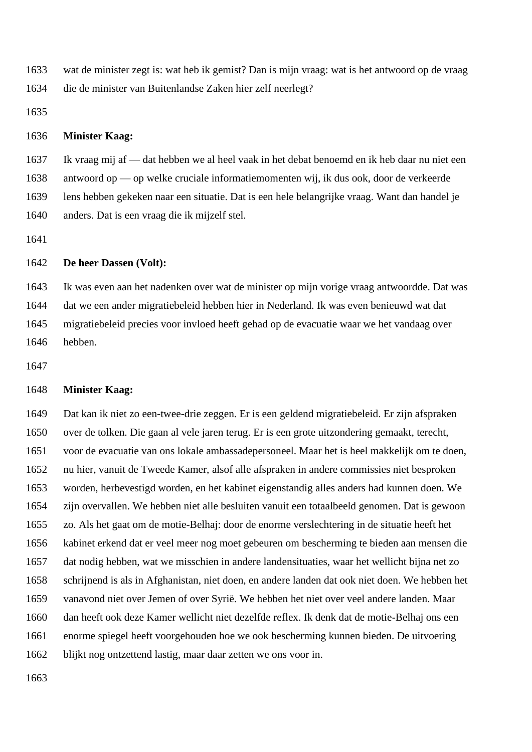wat de minister zegt is: wat heb ik gemist? Dan is mijn vraag: wat is het antwoord op de vraag die de minister van Buitenlandse Zaken hier zelf neerlegt?

## **Minister Kaag:**

 Ik vraag mij af — dat hebben we al heel vaak in het debat benoemd en ik heb daar nu niet een antwoord op — op welke cruciale informatiemomenten wij, ik dus ook, door de verkeerde lens hebben gekeken naar een situatie. Dat is een hele belangrijke vraag. Want dan handel je anders. Dat is een vraag die ik mijzelf stel.

## **De heer Dassen (Volt):**

 Ik was even aan het nadenken over wat de minister op mijn vorige vraag antwoordde. Dat was dat we een ander migratiebeleid hebben hier in Nederland. Ik was even benieuwd wat dat migratiebeleid precies voor invloed heeft gehad op de evacuatie waar we het vandaag over hebben.

## **Minister Kaag:**

 Dat kan ik niet zo een-twee-drie zeggen. Er is een geldend migratiebeleid. Er zijn afspraken over de tolken. Die gaan al vele jaren terug. Er is een grote uitzondering gemaakt, terecht, voor de evacuatie van ons lokale ambassadepersoneel. Maar het is heel makkelijk om te doen, nu hier, vanuit de Tweede Kamer, alsof alle afspraken in andere commissies niet besproken worden, herbevestigd worden, en het kabinet eigenstandig alles anders had kunnen doen. We zijn overvallen. We hebben niet alle besluiten vanuit een totaalbeeld genomen. Dat is gewoon zo. Als het gaat om de motie-Belhaj: door de enorme verslechtering in de situatie heeft het kabinet erkend dat er veel meer nog moet gebeuren om bescherming te bieden aan mensen die dat nodig hebben, wat we misschien in andere landensituaties, waar het wellicht bijna net zo schrijnend is als in Afghanistan, niet doen, en andere landen dat ook niet doen. We hebben het vanavond niet over Jemen of over Syrië. We hebben het niet over veel andere landen. Maar dan heeft ook deze Kamer wellicht niet dezelfde reflex. Ik denk dat de motie-Belhaj ons een enorme spiegel heeft voorgehouden hoe we ook bescherming kunnen bieden. De uitvoering blijkt nog ontzettend lastig, maar daar zetten we ons voor in.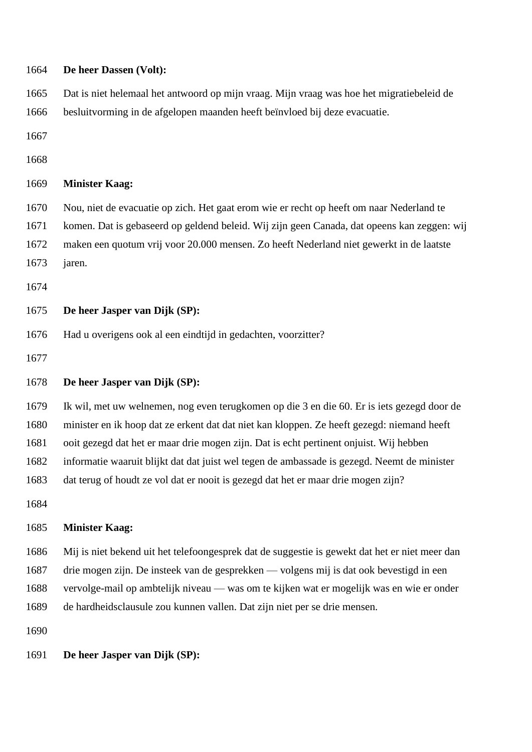| 1664 | De heer Dassen (Volt):                                                                         |
|------|------------------------------------------------------------------------------------------------|
| 1665 | Dat is niet helemaal het antwoord op mijn vraag. Mijn vraag was hoe het migratiebeleid de      |
| 1666 | besluitvorming in de afgelopen maanden heeft beïnvloed bij deze evacuatie.                     |
| 1667 |                                                                                                |
| 1668 |                                                                                                |
| 1669 | <b>Minister Kaag:</b>                                                                          |
| 1670 | Nou, niet de evacuatie op zich. Het gaat erom wie er recht op heeft om naar Nederland te       |
| 1671 | komen. Dat is gebaseerd op geldend beleid. Wij zijn geen Canada, dat opeens kan zeggen: wij    |
| 1672 | maken een quotum vrij voor 20.000 mensen. Zo heeft Nederland niet gewerkt in de laatste        |
| 1673 | jaren.                                                                                         |
| 1674 |                                                                                                |
| 1675 | De heer Jasper van Dijk (SP):                                                                  |
| 1676 | Had u overigens ook al een eindtijd in gedachten, voorzitter?                                  |
| 1677 |                                                                                                |
| 1678 | De heer Jasper van Dijk (SP):                                                                  |
| 1679 | Ik wil, met uw welnemen, nog even terugkomen op die 3 en die 60. Er is iets gezegd door de     |
| 1680 | minister en ik hoop dat ze erkent dat dat niet kan kloppen. Ze heeft gezegd: niemand heeft     |
| 1681 | ooit gezegd dat het er maar drie mogen zijn. Dat is echt pertinent onjuist. Wij hebben         |
| 1682 | informatie waaruit blijkt dat dat juist wel tegen de ambassade is gezegd. Neemt de minister    |
| 1683 | dat terug of houdt ze vol dat er nooit is gezegd dat het er maar drie mogen zijn?              |
| 1684 |                                                                                                |
| 1685 | <b>Minister Kaag:</b>                                                                          |
| 1686 | Mij is niet bekend uit het telefoongesprek dat de suggestie is gewekt dat het er niet meer dan |
| 1687 | drie mogen zijn. De insteek van de gesprekken — volgens mij is dat ook bevestigd in een        |
| 1688 | vervolge-mail op ambtelijk niveau — was om te kijken wat er mogelijk was en wie er onder       |
| 1689 | de hardheidsclausule zou kunnen vallen. Dat zijn niet per se drie mensen.                      |
| 1690 |                                                                                                |
| 1691 | De heer Jasper van Dijk (SP):                                                                  |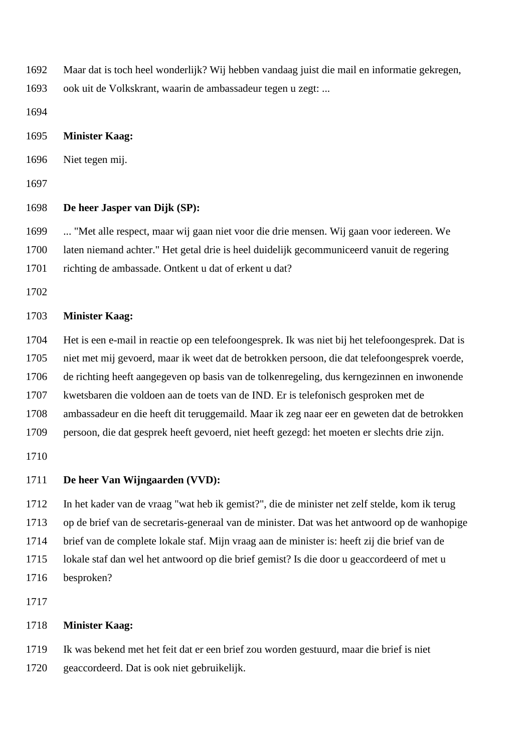- Maar dat is toch heel wonderlijk? Wij hebben vandaag juist die mail en informatie gekregen,
- ook uit de Volkskrant, waarin de ambassadeur tegen u zegt: ...

- **Minister Kaag:**
- Niet tegen mij.

### **De heer Jasper van Dijk (SP):**

 ... "Met alle respect, maar wij gaan niet voor die drie mensen. Wij gaan voor iedereen. We laten niemand achter." Het getal drie is heel duidelijk gecommuniceerd vanuit de regering richting de ambassade. Ontkent u dat of erkent u dat?

# **Minister Kaag:**

 Het is een e-mail in reactie op een telefoongesprek. Ik was niet bij het telefoongesprek. Dat is niet met mij gevoerd, maar ik weet dat de betrokken persoon, die dat telefoongesprek voerde, de richting heeft aangegeven op basis van de tolkenregeling, dus kerngezinnen en inwonende kwetsbaren die voldoen aan de toets van de IND. Er is telefonisch gesproken met de ambassadeur en die heeft dit teruggemaild. Maar ik zeg naar eer en geweten dat de betrokken

persoon, die dat gesprek heeft gevoerd, niet heeft gezegd: het moeten er slechts drie zijn.

## **De heer Van Wijngaarden (VVD):**

 In het kader van de vraag "wat heb ik gemist?", die de minister net zelf stelde, kom ik terug op de brief van de secretaris-generaal van de minister. Dat was het antwoord op de wanhopige brief van de complete lokale staf. Mijn vraag aan de minister is: heeft zij die brief van de lokale staf dan wel het antwoord op die brief gemist? Is die door u geaccordeerd of met u besproken?

## **Minister Kaag:**

 Ik was bekend met het feit dat er een brief zou worden gestuurd, maar die brief is niet geaccordeerd. Dat is ook niet gebruikelijk.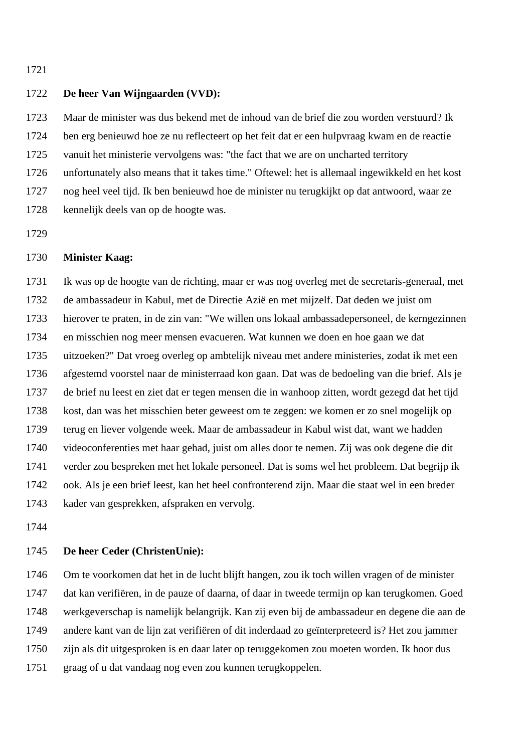## **De heer Van Wijngaarden (VVD):**

 Maar de minister was dus bekend met de inhoud van de brief die zou worden verstuurd? Ik ben erg benieuwd hoe ze nu reflecteert op het feit dat er een hulpvraag kwam en de reactie vanuit het ministerie vervolgens was: "the fact that we are on uncharted territory unfortunately also means that it takes time." Oftewel: het is allemaal ingewikkeld en het kost nog heel veel tijd. Ik ben benieuwd hoe de minister nu terugkijkt op dat antwoord, waar ze kennelijk deels van op de hoogte was.

# **Minister Kaag:**

 Ik was op de hoogte van de richting, maar er was nog overleg met de secretaris-generaal, met de ambassadeur in Kabul, met de Directie Azië en met mijzelf. Dat deden we juist om hierover te praten, in de zin van: "We willen ons lokaal ambassadepersoneel, de kerngezinnen en misschien nog meer mensen evacueren. Wat kunnen we doen en hoe gaan we dat uitzoeken?" Dat vroeg overleg op ambtelijk niveau met andere ministeries, zodat ik met een afgestemd voorstel naar de ministerraad kon gaan. Dat was de bedoeling van die brief. Als je de brief nu leest en ziet dat er tegen mensen die in wanhoop zitten, wordt gezegd dat het tijd kost, dan was het misschien beter geweest om te zeggen: we komen er zo snel mogelijk op terug en liever volgende week. Maar de ambassadeur in Kabul wist dat, want we hadden videoconferenties met haar gehad, juist om alles door te nemen. Zij was ook degene die dit verder zou bespreken met het lokale personeel. Dat is soms wel het probleem. Dat begrijp ik ook. Als je een brief leest, kan het heel confronterend zijn. Maar die staat wel in een breder kader van gesprekken, afspraken en vervolg.

### **De heer Ceder (ChristenUnie):**

 Om te voorkomen dat het in de lucht blijft hangen, zou ik toch willen vragen of de minister dat kan verifiëren, in de pauze of daarna, of daar in tweede termijn op kan terugkomen. Goed werkgeverschap is namelijk belangrijk. Kan zij even bij de ambassadeur en degene die aan de andere kant van de lijn zat verifiëren of dit inderdaad zo geïnterpreteerd is? Het zou jammer zijn als dit uitgesproken is en daar later op teruggekomen zou moeten worden. Ik hoor dus graag of u dat vandaag nog even zou kunnen terugkoppelen.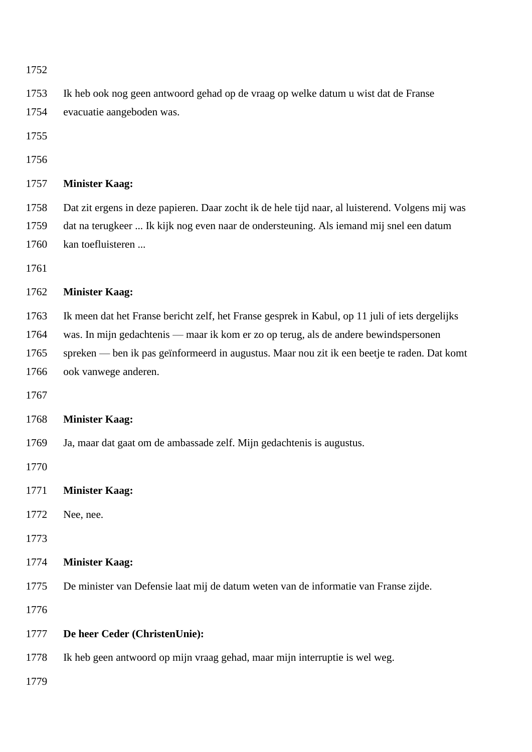| 1752 |                                                                                                  |
|------|--------------------------------------------------------------------------------------------------|
| 1753 | Ik heb ook nog geen antwoord gehad op de vraag op welke datum u wist dat de Franse               |
| 1754 | evacuatie aangeboden was.                                                                        |
| 1755 |                                                                                                  |
| 1756 |                                                                                                  |
| 1757 | <b>Minister Kaag:</b>                                                                            |
| 1758 | Dat zit ergens in deze papieren. Daar zocht ik de hele tijd naar, al luisterend. Volgens mij was |
| 1759 | dat na terugkeer  Ik kijk nog even naar de ondersteuning. Als iemand mij snel een datum          |
| 1760 | kan toefluisteren                                                                                |
| 1761 |                                                                                                  |
| 1762 | <b>Minister Kaag:</b>                                                                            |
| 1763 | Ik meen dat het Franse bericht zelf, het Franse gesprek in Kabul, op 11 juli of iets dergelijks  |
| 1764 | was. In mijn gedachtenis — maar ik kom er zo op terug, als de andere bewindspersonen             |
| 1765 | spreken — ben ik pas geïnformeerd in augustus. Maar nou zit ik een beetje te raden. Dat komt     |
| 1766 | ook vanwege anderen.                                                                             |
| 1767 |                                                                                                  |
| 1768 | <b>Minister Kaag:</b>                                                                            |
| 1769 | Ja, maar dat gaat om de ambassade zelf. Mijn gedachtenis is augustus.                            |
| 1770 |                                                                                                  |
| 1771 | <b>Minister Kaag:</b>                                                                            |
| 1772 | Nee, nee.                                                                                        |
| 1773 |                                                                                                  |
| 1774 | <b>Minister Kaag:</b>                                                                            |
| 1775 | De minister van Defensie laat mij de datum weten van de informatie van Franse zijde.             |
| 1776 |                                                                                                  |
| 1777 | De heer Ceder (ChristenUnie):                                                                    |
| 1778 | Ik heb geen antwoord op mijn vraag gehad, maar mijn interruptie is wel weg.                      |
| 1779 |                                                                                                  |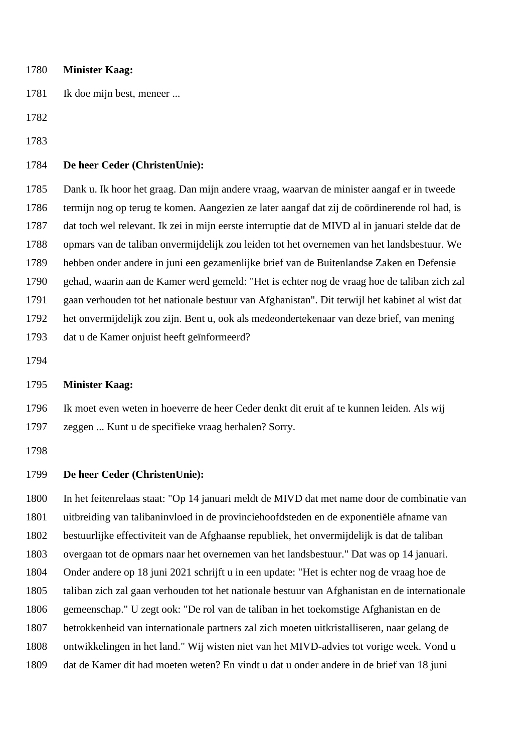| 1780 | <b>Minister Kaag:</b>                                                                            |
|------|--------------------------------------------------------------------------------------------------|
| 1781 | Ik doe mijn best, meneer                                                                         |
| 1782 |                                                                                                  |
| 1783 |                                                                                                  |
| 1784 | De heer Ceder (ChristenUnie):                                                                    |
| 1785 | Dank u. Ik hoor het graag. Dan mijn andere vraag, waarvan de minister aangaf er in tweede        |
| 1786 | termijn nog op terug te komen. Aangezien ze later aangaf dat zij de coördinerende rol had, is    |
| 1787 | dat toch wel relevant. Ik zei in mijn eerste interruptie dat de MIVD al in januari stelde dat de |
| 1788 | opmars van de taliban onvermijdelijk zou leiden tot het overnemen van het landsbestuur. We       |
| 1789 | hebben onder andere in juni een gezamenlijke brief van de Buitenlandse Zaken en Defensie         |
| 1790 | gehad, waarin aan de Kamer werd gemeld: "Het is echter nog de vraag hoe de taliban zich zal      |
| 1791 | gaan verhouden tot het nationale bestuur van Afghanistan". Dit terwijl het kabinet al wist dat   |
| 1792 | het onvermijdelijk zou zijn. Bent u, ook als medeondertekenaar van deze brief, van mening        |
| 1793 | dat u de Kamer onjuist heeft geïnformeerd?                                                       |
| 1794 |                                                                                                  |
| 1795 | <b>Minister Kaag:</b>                                                                            |
| 1796 | Ik moet even weten in hoeverre de heer Ceder denkt dit eruit af te kunnen leiden. Als wij        |
| 1797 | zeggen  Kunt u de specifieke vraag herhalen? Sorry.                                              |
| 1798 |                                                                                                  |

# **De heer Ceder (ChristenUnie):**

 In het feitenrelaas staat: "Op 14 januari meldt de MIVD dat met name door de combinatie van uitbreiding van talibaninvloed in de provinciehoofdsteden en de exponentiële afname van bestuurlijke effectiviteit van de Afghaanse republiek, het onvermijdelijk is dat de taliban overgaan tot de opmars naar het overnemen van het landsbestuur." Dat was op 14 januari. Onder andere op 18 juni 2021 schrijft u in een update: "Het is echter nog de vraag hoe de taliban zich zal gaan verhouden tot het nationale bestuur van Afghanistan en de internationale gemeenschap." U zegt ook: "De rol van de taliban in het toekomstige Afghanistan en de betrokkenheid van internationale partners zal zich moeten uitkristalliseren, naar gelang de ontwikkelingen in het land." Wij wisten niet van het MIVD-advies tot vorige week. Vond u dat de Kamer dit had moeten weten? En vindt u dat u onder andere in de brief van 18 juni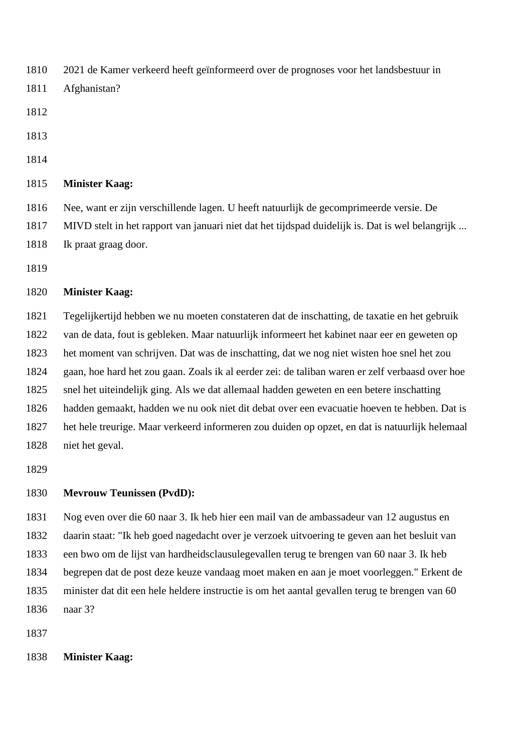2021 de Kamer verkeerd heeft geïnformeerd over de prognoses voor het landsbestuur in

- Afghanistan?
- 
- 
- 

## **Minister Kaag:**

 Nee, want er zijn verschillende lagen. U heeft natuurlijk de gecomprimeerde versie. De MIVD stelt in het rapport van januari niet dat het tijdspad duidelijk is. Dat is wel belangrijk ... Ik praat graag door.

## **Minister Kaag:**

 Tegelijkertijd hebben we nu moeten constateren dat de inschatting, de taxatie en het gebruik van de data, fout is gebleken. Maar natuurlijk informeert het kabinet naar eer en geweten op het moment van schrijven. Dat was de inschatting, dat we nog niet wisten hoe snel het zou gaan, hoe hard het zou gaan. Zoals ik al eerder zei: de taliban waren er zelf verbaasd over hoe snel het uiteindelijk ging. Als we dat allemaal hadden geweten en een betere inschatting hadden gemaakt, hadden we nu ook niet dit debat over een evacuatie hoeven te hebben. Dat is het hele treurige. Maar verkeerd informeren zou duiden op opzet, en dat is natuurlijk helemaal niet het geval.

## **Mevrouw Teunissen (PvdD):**

 Nog even over die 60 naar 3. Ik heb hier een mail van de ambassadeur van 12 augustus en daarin staat: "Ik heb goed nagedacht over je verzoek uitvoering te geven aan het besluit van een bwo om de lijst van hardheidsclausulegevallen terug te brengen van 60 naar 3. Ik heb begrepen dat de post deze keuze vandaag moet maken en aan je moet voorleggen." Erkent de minister dat dit een hele heldere instructie is om het aantal gevallen terug te brengen van 60 naar 3?

### **Minister Kaag:**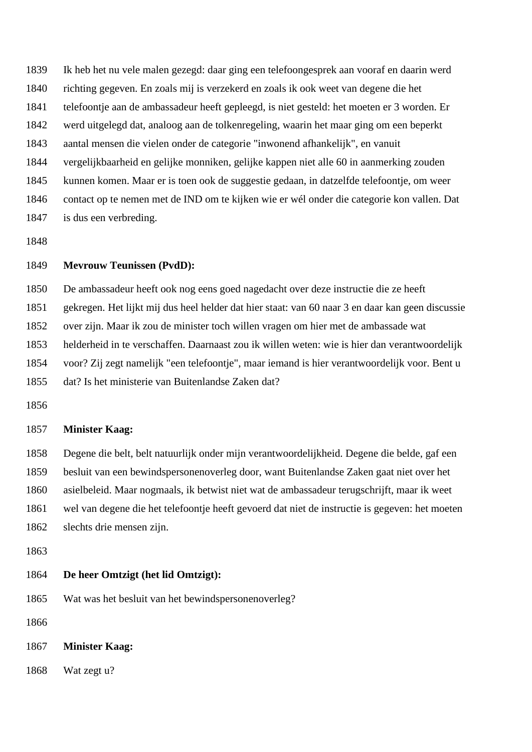Ik heb het nu vele malen gezegd: daar ging een telefoongesprek aan vooraf en daarin werd richting gegeven. En zoals mij is verzekerd en zoals ik ook weet van degene die het telefoontje aan de ambassadeur heeft gepleegd, is niet gesteld: het moeten er 3 worden. Er werd uitgelegd dat, analoog aan de tolkenregeling, waarin het maar ging om een beperkt aantal mensen die vielen onder de categorie "inwonend afhankelijk", en vanuit vergelijkbaarheid en gelijke monniken, gelijke kappen niet alle 60 in aanmerking zouden kunnen komen. Maar er is toen ook de suggestie gedaan, in datzelfde telefoontje, om weer contact op te nemen met de IND om te kijken wie er wél onder die categorie kon vallen. Dat is dus een verbreding.

#### **Mevrouw Teunissen (PvdD):**

De ambassadeur heeft ook nog eens goed nagedacht over deze instructie die ze heeft

gekregen. Het lijkt mij dus heel helder dat hier staat: van 60 naar 3 en daar kan geen discussie

over zijn. Maar ik zou de minister toch willen vragen om hier met de ambassade wat

helderheid in te verschaffen. Daarnaast zou ik willen weten: wie is hier dan verantwoordelijk

voor? Zij zegt namelijk "een telefoontje", maar iemand is hier verantwoordelijk voor. Bent u

dat? Is het ministerie van Buitenlandse Zaken dat?

#### **Minister Kaag:**

 Degene die belt, belt natuurlijk onder mijn verantwoordelijkheid. Degene die belde, gaf een besluit van een bewindspersonenoverleg door, want Buitenlandse Zaken gaat niet over het asielbeleid. Maar nogmaals, ik betwist niet wat de ambassadeur terugschrijft, maar ik weet wel van degene die het telefoontje heeft gevoerd dat niet de instructie is gegeven: het moeten slechts drie mensen zijn.

#### **De heer Omtzigt (het lid Omtzigt):**

Wat was het besluit van het bewindspersonenoverleg?

**Minister Kaag:**

Wat zegt u?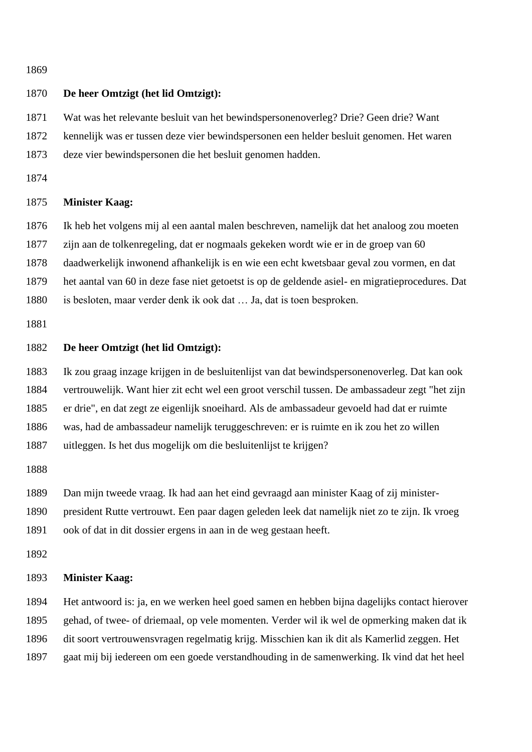## **De heer Omtzigt (het lid Omtzigt):**

Wat was het relevante besluit van het bewindspersonenoverleg? Drie? Geen drie? Want

kennelijk was er tussen deze vier bewindspersonen een helder besluit genomen. Het waren

deze vier bewindspersonen die het besluit genomen hadden.

## **Minister Kaag:**

Ik heb het volgens mij al een aantal malen beschreven, namelijk dat het analoog zou moeten

zijn aan de tolkenregeling, dat er nogmaals gekeken wordt wie er in de groep van 60

daadwerkelijk inwonend afhankelijk is en wie een echt kwetsbaar geval zou vormen, en dat

het aantal van 60 in deze fase niet getoetst is op de geldende asiel- en migratieprocedures. Dat

is besloten, maar verder denk ik ook dat … Ja, dat is toen besproken.

# **De heer Omtzigt (het lid Omtzigt):**

 Ik zou graag inzage krijgen in de besluitenlijst van dat bewindspersonenoverleg. Dat kan ook vertrouwelijk. Want hier zit echt wel een groot verschil tussen. De ambassadeur zegt "het zijn er drie", en dat zegt ze eigenlijk snoeihard. Als de ambassadeur gevoeld had dat er ruimte was, had de ambassadeur namelijk teruggeschreven: er is ruimte en ik zou het zo willen

uitleggen. Is het dus mogelijk om die besluitenlijst te krijgen?

Dan mijn tweede vraag. Ik had aan het eind gevraagd aan minister Kaag of zij minister-

president Rutte vertrouwt. Een paar dagen geleden leek dat namelijk niet zo te zijn. Ik vroeg

ook of dat in dit dossier ergens in aan in de weg gestaan heeft.

### **Minister Kaag:**

 Het antwoord is: ja, en we werken heel goed samen en hebben bijna dagelijks contact hierover gehad, of twee- of driemaal, op vele momenten. Verder wil ik wel de opmerking maken dat ik

dit soort vertrouwensvragen regelmatig krijg. Misschien kan ik dit als Kamerlid zeggen. Het

gaat mij bij iedereen om een goede verstandhouding in de samenwerking. Ik vind dat het heel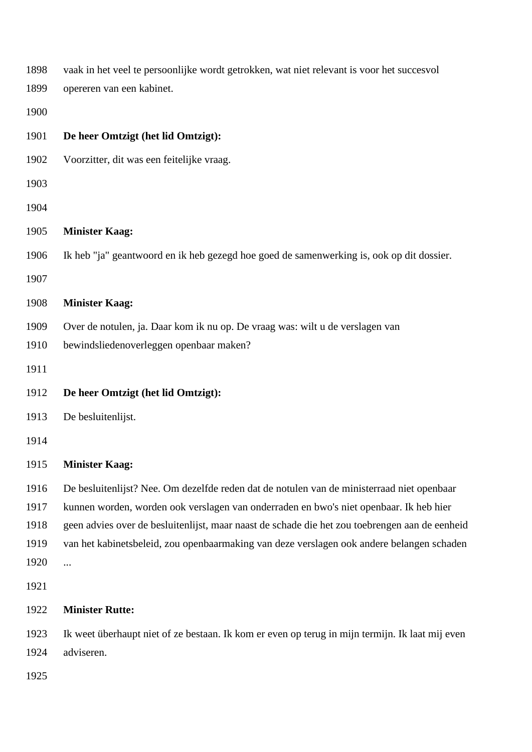| vaak in het veel te persoonlijke wordt getrokken, wat niet relevant is voor het succesvol       |
|-------------------------------------------------------------------------------------------------|
| opereren van een kabinet.                                                                       |
|                                                                                                 |
| De heer Omtzigt (het lid Omtzigt):                                                              |
| Voorzitter, dit was een feitelijke vraag.                                                       |
|                                                                                                 |
|                                                                                                 |
| <b>Minister Kaag:</b>                                                                           |
| Ik heb "ja" geantwoord en ik heb gezegd hoe goed de samenwerking is, ook op dit dossier.        |
|                                                                                                 |
| <b>Minister Kaag:</b>                                                                           |
| Over de notulen, ja. Daar kom ik nu op. De vraag was: wilt u de verslagen van                   |
| bewindsliedenoverleggen openbaar maken?                                                         |
|                                                                                                 |
| De heer Omtzigt (het lid Omtzigt):                                                              |
| De besluitenlijst.                                                                              |
|                                                                                                 |
| <b>Minister Kaag:</b>                                                                           |
| De besluitenlijst? Nee. Om dezelfde reden dat de notulen van de ministerraad niet openbaar      |
| kunnen worden, worden ook verslagen van onderraden en bwo's niet openbaar. Ik heb hier          |
| geen advies over de besluitenlijst, maar naast de schade die het zou toebrengen aan de eenheid  |
| van het kabinetsbeleid, zou openbaarmaking van deze verslagen ook andere belangen schaden       |
|                                                                                                 |
|                                                                                                 |
| <b>Minister Rutte:</b>                                                                          |
| Ik weet überhaupt niet of ze bestaan. Ik kom er even op terug in mijn termijn. Ik laat mij even |
| adviseren.                                                                                      |
|                                                                                                 |
|                                                                                                 |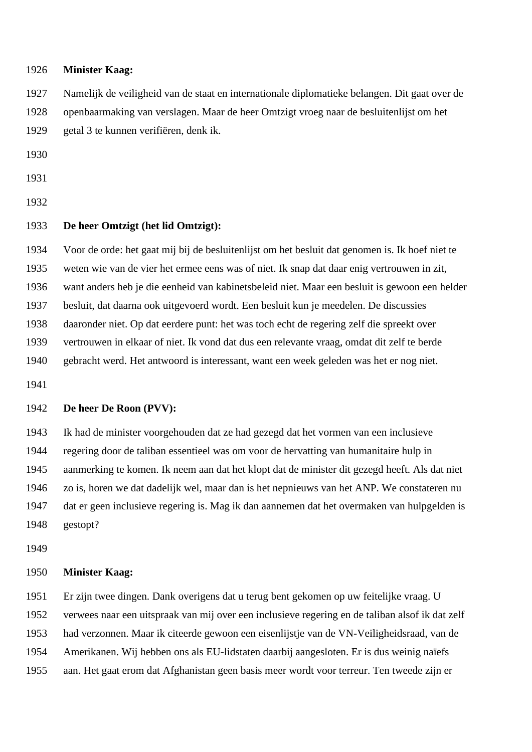#### **Minister Kaag:**

 Namelijk de veiligheid van de staat en internationale diplomatieke belangen. Dit gaat over de openbaarmaking van verslagen. Maar de heer Omtzigt vroeg naar de besluitenlijst om het getal 3 te kunnen verifiëren, denk ik.

## **De heer Omtzigt (het lid Omtzigt):**

 Voor de orde: het gaat mij bij de besluitenlijst om het besluit dat genomen is. Ik hoef niet te weten wie van de vier het ermee eens was of niet. Ik snap dat daar enig vertrouwen in zit, want anders heb je die eenheid van kabinetsbeleid niet. Maar een besluit is gewoon een helder besluit, dat daarna ook uitgevoerd wordt. Een besluit kun je meedelen. De discussies daaronder niet. Op dat eerdere punt: het was toch echt de regering zelf die spreekt over vertrouwen in elkaar of niet. Ik vond dat dus een relevante vraag, omdat dit zelf te berde gebracht werd. Het antwoord is interessant, want een week geleden was het er nog niet.

# **De heer De Roon (PVV):**

 Ik had de minister voorgehouden dat ze had gezegd dat het vormen van een inclusieve regering door de taliban essentieel was om voor de hervatting van humanitaire hulp in aanmerking te komen. Ik neem aan dat het klopt dat de minister dit gezegd heeft. Als dat niet zo is, horen we dat dadelijk wel, maar dan is het nepnieuws van het ANP. We constateren nu dat er geen inclusieve regering is. Mag ik dan aannemen dat het overmaken van hulpgelden is gestopt?

## **Minister Kaag:**

 Er zijn twee dingen. Dank overigens dat u terug bent gekomen op uw feitelijke vraag. U verwees naar een uitspraak van mij over een inclusieve regering en de taliban alsof ik dat zelf had verzonnen. Maar ik citeerde gewoon een eisenlijstje van de VN-Veiligheidsraad, van de Amerikanen. Wij hebben ons als EU-lidstaten daarbij aangesloten. Er is dus weinig naïefs aan. Het gaat erom dat Afghanistan geen basis meer wordt voor terreur. Ten tweede zijn er